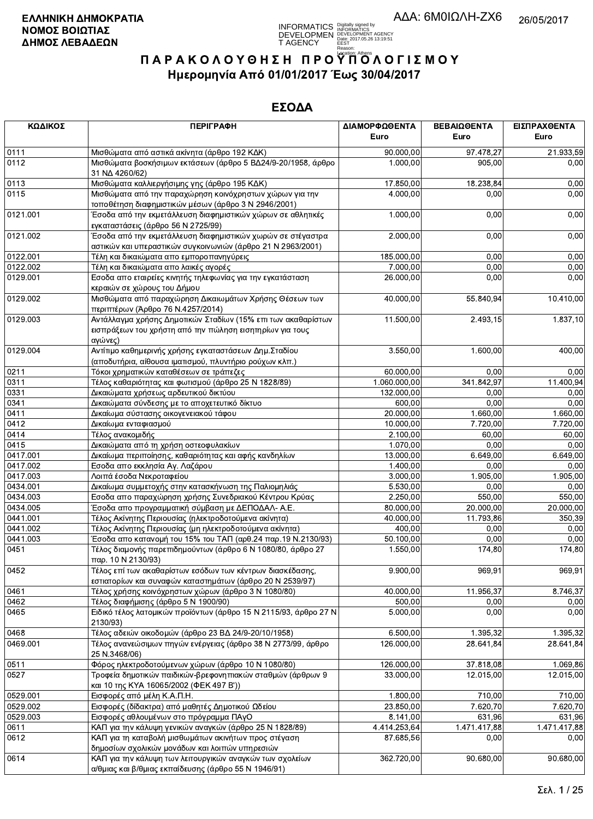

| ΚΩΔΙΚΟΣ  | <b>ПЕРІГРАФН</b>                                                                                                                    | ΔΙΑΜΟΡΦΩΘΕΝΤΑ | ΒΕΒΑΙΩΘΕΝΤΑ  | ΕΙΣΠΡΑΧΘΕΝΤΑ |
|----------|-------------------------------------------------------------------------------------------------------------------------------------|---------------|--------------|--------------|
|          |                                                                                                                                     | Euro          | Euro         | Euro         |
| 0111     | Μισθώματα από αστικά ακίνητα (άρθρο 192 ΚΔΚ)                                                                                        | 90.000,00     | 97.478.27    | 21.933,59    |
| 0112     | Μισθώματα βοσκήσιμων εκτάσεων (άρθρο 5 ΒΔ24/9-20/1958, άρθρο<br>31 NA 4260/62)                                                      | 1.000,00      | 905,00       | 0,00         |
| 0113     | Μισθώματα καλλιεργήσιμης γης (άρθρο 195 ΚΔΚ)                                                                                        | 17.850,00     | 18.238,84    | 0,00         |
| 0115     | Μισθώματα από την παραχώρηση κοινόχρηστων χώρων για την<br>τοποθέτηση διαφημιστικών μέσων (άρθρο 3 Ν 2946/2001)                     | 4.000.00      | 0,00         | 0,00         |
| 0121.001 | Έσοδα από την εκμετάλλευση διαφημιστικών χώρων σε αθλητικές<br>εγκαταστάσεις (άρθρο 56 Ν 2725/99)                                   | 1.000,00      | 0,00         | 0,00         |
| 0121.002 | Έσοδα από την εκμετάλλευση διαφημιστικών χωρών σε στέγαστρα<br>αστικών και υπεραστικών συγκοινωνιών (άρθρο 21 Ν 2963/2001)          | 2.000,00      | 0,00         | 0,00         |
| 0122.001 | Τέλη και δικαιώματα απο εμποροπανηγύρεις                                                                                            | 185.000,00    | 0,00         | 0,00         |
| 0122.002 | Τέλη και δικαιώματα απο λαικές αγορές                                                                                               | 7.000,00      | 0,00         | 0,00         |
| 0129.001 | Εσοδα απο εταιρείες κινητής τηλεφωνίας για την εγκατάσταση<br>κεραιών σε χώρους του Δήμου                                           | 26.000,00     | 0,00         | 0,00         |
| 0129.002 | Μισθώματα από παραχώρηση Δικαιωμάτων Χρήσης Θέσεων των<br>περιπτέρων (Άρθρο 76 Ν.4257/2014)                                         | 40.000,00     | 55.840,94    | 10.410,00    |
| 0129.003 | Αντάλλαγμα χρήσης Δημοτικών Σταδίων (15% επι των ακαθαρίστων<br>εισπράξεων του χρήστη από την πώληση εισητηρίων για τους<br>αγώνες) | 11.500,00     | 2.493,15     | 1.837,10     |
| 0129.004 | Αντίτιμο καθημερινής χρήσης εγκαταστάσεων Δημ. Σταδίου<br>(αποδυτήρια, αίθουσα ιματισμού, πλυντήριο ρούχων κλπ.)                    | 3.550,00      | 1.600,00     | 400,00       |
| 0211     | Τόκοι χρηματικών καταθέσεων σε τράπεζες                                                                                             | 60.000.00     | 0,00         | 0,00         |
| 0311     | Τέλος καθαριότητας και φωτισμού (άρθρο 25 Ν 1828/89)                                                                                | 1.060.000,00  | 341.842,97   | 11.400,94    |
| 0331     | Δικαιώματα χρήσεως αρδευτικού δικτύου                                                                                               | 132.000.00    | 0,00         | 0,00         |
| 0341     | Δικαιώματα σύνδεσης με το αποχετευτικό δίκτυο                                                                                       | 600,00        | 0,00         | 0,00         |
| 0411     | Δικαίωμα σύστασης οικογενειακού τάφου                                                                                               | 20.000,00     | 1.660,00     | 1.660,00     |
| 0412     | Δικαίωμα ενταφιασμού                                                                                                                | 10.000,00     | 7.720,00     | 7.720,00     |
| 0414     | Τέλος ανακομιδής                                                                                                                    | 2.100,00      | 60,00        | 60,00        |
| 0415     | Δικαιώματα από τη χρήση οστεοφυλακίων                                                                                               | 1.070,00      | 0,00         | 0,00         |
| 0417.001 | Δικαίωμα περιποίησης, καθαριότητας και αφής κανδηλίων                                                                               | 13.000,00     | 6.649,00     | 6.649,00     |
| 0417.002 | Εσοδα απο εκκλησία Αγ. Λαζάρου                                                                                                      | 1.400,00      | 0,00         | 0,00         |
| 0417.003 | Λοιπά έσοδα Νεκροταφείου                                                                                                            | 3.000,00      | 1.905,00     | 1.905,00     |
| 0434.001 | Δικαίωμα συμμετοχής στην κατασκήνωση της Παλιομηλιάς                                                                                | 5.530,00      | 0,00         | 0,00         |
| 0434.003 | Εσοδα απο παραχώρηση χρήσης Συνεδριακού Κέντρου Κρύας                                                                               | 2.250,00      | 550,00       | 550,00       |
| 0434.005 | Έσοδα απο προγραμματική σύμβαση με ΔΕΠΟΔΑΛ- Α.Ε.                                                                                    | 80.000,00     | 20.000,00    | 20.000,00    |
| 0441.001 | Τέλος Ακίνητης Περιουσίας (ηλεκτροδοτούμενα ακίνητα)                                                                                | 40.000.00     | 11.793,86    | 350,39       |
| 0441.002 | Τέλος Ακίνητης Περιουσίας (μη ηλεκτροδοτούμενα ακίνητα)                                                                             | 400,00        | 0,00         | 0,00         |
| 0441.003 | Έσοδα απο κατανομή του 15% του ΤΑΠ (αρθ.24 παρ.19 Ν.2130/93)                                                                        | 50.100,00     | 0,00         | 0,00         |
| 0451     | Τέλος διαμονής παρεπιδημούντων (άρθρο 6 Ν 1080/80, άρθρο 27<br>παρ. 10 N 2130/93)                                                   | 1.550,00      | 174,80       | 174,80       |
| 0452     | Τέλος επί των ακαθαρίστων εσόδων των κέντρων διασκέδασης,<br>εστιατορίων και συναφών καταστημάτων (άρθρο 20 Ν 2539/97)              | 9.900,00      | 969,91       | 969,91       |
| 0461     | Τέλος χρήσης κοινόχρηστων χώρων (άρθρο 3 Ν 1080/80)                                                                                 | 40.000,00     | 11.956,37    | 8.746,37     |
| 0462     | Τέλος διαφήμισης (άρθρο 5 Ν 1900/90)                                                                                                | 500,00        | 0,00         | 0,00         |
| 0465     | Ειδικό τέλος λατομικών προϊόντων (άρθρο 15 Ν 2115/93, άρθρο 27 Ν<br>2130/93)                                                        | 5.000,00      | 0,00         | 0,00         |
| 0468     | Τέλος αδειών οικοδομών (άρθρο 23 ΒΔ 24/9-20/10/1958)                                                                                | 6.500,00      | 1.395,32     | 1.395,32     |
| 0469.001 | Τέλος ανανεώσιμων πηγών ενέργειας (άρθρο 38 Ν 2773/99, άρθρο<br>25 N.3468/06)                                                       | 126.000,00    | 28.641,84    | 28.641,84    |
| 0511     | Φόρος ηλεκτροδοτούμενων χώρων (άρθρο 10 Ν 1080/80)                                                                                  | 126.000,00    | 37.818,08    | 1.069,86     |
| 0527     | Τροφεία δημοτικών παιδικών-βρεφονηπιακών σταθμών (άρθρων 9<br>και 10 της ΚΥΑ 16065/2002 (ΦΕΚ 497 Β'))                               | 33.000,00     | 12.015,00    | 12.015,00    |
| 0529.001 | Εισφορές από μέλη Κ.Α.Π.Η.                                                                                                          | 1.800,00      | 710,00       | 710,00       |
| 0529.002 | Εισφορές (δίδακτρα) από μαθητές Δημοτικού Ωδείου                                                                                    | 23.850,00     | 7.620,70     | 7.620,70     |
| 0529.003 | Εισφορές αθλουμένων στο πρόγραμμα ΠΑγΟ                                                                                              | 8.141,00      | 631,96       | 631,96       |
| 0611     | ΚΑΠ για την κάλυψη γενικών αναγκών (άρθρο 25 Ν 1828/89)                                                                             | 4.414.253,64  | 1.471.417,88 | 1.471.417,88 |
| 0612     | ΚΑΠ για τη καταβολή μισθωμάτων ακινήτων προς στέγαση<br>δημοσίων σχολικών μονάδων και λοιπών υπηρεσιών                              | 87.685,56     | 0.00         | 0,00         |
| 0614     | ΚΑΠ για την κάλυψη των λειτουργικών αναγκών των σχολείων                                                                            | 362.720,00    | 90.680,00    | 90.680,00    |
|          | α/θμιας και β/θμιας εκπαίδευσης (άρθρο 55 Ν 1946/91)                                                                                |               |              |              |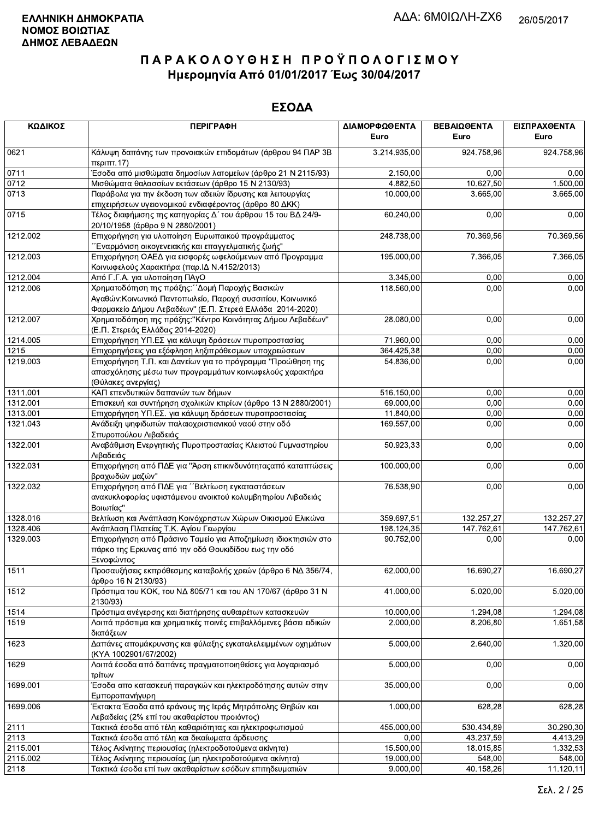| ΚΩΔΙΚΟΣ  | <b>ПЕРІГРАФН</b>                                                                                                                                                          | ΔΙΑΜΟΡΦΩΘΕΝΤΑ<br>Euro | ΒΕΒΑΙΩΘΕΝΤΑ<br>Euro | ΕΙΣΠΡΑΧΘΕΝΤΑ<br>Euro |
|----------|---------------------------------------------------------------------------------------------------------------------------------------------------------------------------|-----------------------|---------------------|----------------------|
| 0621     | Κάλυψη δαπάνης των προνοιακών επιδομάτων (άρθρου 94 ΠΑΡ 3Β<br>περ <sub>1</sub> ππ.17                                                                                      | 3.214.935,00          | 924.758,96          | 924.758,96           |
| 0711     | Έσοδα από μισθώματα δημοσίων λατομείων (άρθρο 21 Ν 2115/93)                                                                                                               | 2.150,00              | 0,00                | 0,00                 |
| 0712     | Μισθώματα θαλασσίων εκτάσεων (άρθρο 15 Ν 2130/93)                                                                                                                         | 4 882,50              | 10.627,50           | 1.500,00             |
| 0713     | Παράβολα για την έκδοση των αδειών ίδρυσης και λειτουργίας                                                                                                                | 10.000,00             | 3.665,00            | 3.665,00             |
| 0715     | επιχειρήσεων υγειονομικού ενδιαφέροντος (άρθρο 80 ΔΚΚ)<br>Τέλος διαφήμισης της κατηγορίας Δ΄ του άρθρου 15 του ΒΔ 24/9-<br>20/10/1958 (άρθρο 9 Ν 2880/2001)               | 60.240,00             | 0,00                | 0,00                 |
| 1212.002 | Επιχορήγηση για υλοποίηση Ευρωπαικού προγράμματος<br>Έναρμόνιση οικογενειακής και επαγγελματικής ζωής"                                                                    | 248.738,00            | 70.369,56           | 70.369,56            |
| 1212.003 | Επιχορήγηση ΟΑΕΔ για εισφορές ωφελούμενων από Προγραμμα<br>Κοινωφελούς Χαρακτήρα (παρ. ΙΔ Ν.4152/2013)                                                                    | 195.000,00            | 7.366,05            | 7.366,05             |
| 1212.004 | Από Γ.Γ.Α. για υλοποίηση ΠΑγΟ                                                                                                                                             | 3.345,00              | 0,00                | 0,00                 |
| 1212.006 | Χρηματοδότηση της πράξης: "Δομή Παροχής Βασικών<br>Αγαθών: Κοινωνικό Παντοπωλείο, Παροχή συσσιτίου, Κοινωνικό<br>Φαρμακείο Δήμου Λεβαδέων" (Ε.Π. Στερεά Ελλάδα 2014-2020) | 118.560,00            | 0,00                | 0,00                 |
| 1212.007 | Χρηματοδότηση της πράξης: "Κέντρο Κοινότητας Δήμου Λεβαδέων"<br>(Ε.Π. Στερεάς Ελλάδας 2014-2020)                                                                          | 28.080,00             | 0,00                | 0,00                 |
| 1214.005 | Επιχορήγηση ΥΠ.ΕΣ για κάλυψη δράσεων πυροπροστασίας                                                                                                                       | 71.960,00             | 0,00                | 0,00                 |
| 1215     | Επιχορηγήσεις για εξόφληση ληξιπρόθεσμων υποχρεώσεων                                                                                                                      | 364.425,38            | 0,00                | 0,00                 |
| 1219.003 | Επιχορήγηση Τ.Π. και Δανείων για το πρόγραμμα "Προώθηση της<br>απασχόλησης μέσω των προγραμμάτων κοινωφελούς χαρακτήρα<br>(Θύλακες ανεργίας)                              | 54.836,00             | 0,00                | 0,00                 |
| 1311.001 | ΚΑΠ επενδυτικών δαπανών των δήμων                                                                                                                                         | 516.150,00            | 0,00                | 0,00                 |
| 1312.001 | Επισκευή και συντήρηση σχολικών κτιρίων (άρθρο 13 Ν 2880/2001)                                                                                                            | 69.000,00             | 0,00                | 0,00                 |
| 1313.001 | Επιχορήγηση ΥΠ.ΕΣ. για κάλυψη δράσεων πυροπροστασίας                                                                                                                      | 11.840,00             | 0,00                | 0,00                 |
| 1321.043 | Ανάδειξη ψηφιδωτών παλαιοχριστιανικού ναού στην οδό<br>Σπυροπούλου Λιβαδειάς                                                                                              | 169.557,00            | 0,00                | 0,00                 |
| 1322.001 | Αναβάθμιση Ενεργητικής Πυροπροστασίας Κλειστού Γυμναστηρίου<br>Λιβαδειάς                                                                                                  | 50.923,33             | 0,00                | 0,00                 |
| 1322.031 | Επιχορήγηση από ΠΔΕ για "Άρση επικινδυνότητας από καταπτώσεις<br>βραχωδών μαζών"                                                                                          | 100.000,00            | 0,00                | 0,00                 |
| 1322.032 | Επιχορήγηση από ΠΔΕ για "Βελτίωση εγκαταστάσεων<br>ανακυκλοφορίας υφιστάμενου ανοικτού κολυμβητηρίου Λιβαδειάς<br>Βοιωτίας"                                               | 76.538,90             | 0,00                | 0,00                 |
| 1328.016 | Βελτίωση και Ανάπλαση Κοινόχρηστων Χώρων Οικισμού Ελικώνα                                                                                                                 | 359.697,51            | 132.257,27          | 132.257,27           |
| 1328.406 | Ανάπλαση Πλατείας Τ.Κ. Αγίου Γεωργίου                                                                                                                                     | 198.124,35            | 147.762,61          | 147.762,61           |
| 1329.003 | Επιχορήγηση από Πράσινο Ταμείο για Αποζημίωση ιδιοκτησιών στο<br>πάρκο της Ερκυνας από την οδό Θουκιδίδου εως την οδό<br>Ξενοφώντος                                       | 90.752,00             | 0,00                | 0,00                 |
| 1511     | Προσαυξήσεις εκπρόθεσμης καταβολής χρεών (άρθρο 6 ΝΔ 356/74,<br>άρθρο 16 Ν 2130/93)                                                                                       | 62.000,00             | 16.690,27           | 16.690,27            |
| 1512     | Πρόστιμα του ΚΟΚ, του ΝΔ 805/71 και του ΑΝ 170/67 (άρθρο 31 Ν<br>2130/93)                                                                                                 | 41.000,00             | 5.020,00            | 5.020,00             |
| 1514     | Πρόστιμα ανέγερσης και διατήρησης αυθαιρέτων κατασκευών                                                                                                                   | 10.000,00             | 1.294,08            | 1.294,08             |
| 1519     | Λοιπά πρόστιμα και χρηματικές ποινές επιβαλλόμενες βάσει ειδικών<br>διατάξεων                                                                                             | 2.000,00              | 8.206,80            | 1.651,58             |
| 1623     | Δαπάνες απομάκρυνσης και φύλαξης εγκαταλελειμμένων οχημάτων<br>(KYA 1002901/67/2002)                                                                                      | 5.000,00              | 2.640,00            | 1.320,00             |
| 1629     | Λοιπά έσοδα από δαπάνες πραγματοποιηθείσες για λογαριασμό<br>τρίτων                                                                                                       | 5.000,00              | 0,00                | 0,00                 |
| 1699.001 | Έσοδα απο κατασκευή παραγκών και ηλεκτροδότησης αυτών στην<br>Εμποροπανήγυρη                                                                                              | 35.000,00             | 0,00                | 0,00                 |
| 1699.006 | Έκτακτα Έσοδα από εράνους της Ιεράς Μητρόπολης Θηβών και<br>Λεβαδείας (2% επί του ακαθαρίστου προιόντος)                                                                  | 1.000,00              | 628,28              | 628,28               |
| 2111     | Τακτικά έσοδα από τέλη καθαριότητας και ηλεκτροφωτισμού                                                                                                                   | 455.000,00            | 530.434,89          | 30.290,30            |
| 2113     | Τακτικά έσοδα από τέλη και δικαίωματα άρδευσης                                                                                                                            | 0,00                  | 43.237,59           | 4.413,29             |
| 2115.001 | Τέλος Ακίνητης περιουσίας (ηλεκτροδοτούμενα ακίνητα)                                                                                                                      | 15.500,00             | 18.015,85           | 1.332,53             |
| 2115.002 | Τέλος Ακίνητης περιουσίας (μη ηλεκτροδοτούμενα ακίνητα)                                                                                                                   | 19.000,00             | 548,00              | 548,00               |
| 2118     | Τακτικά έσοδα επί των ακαθαρίστων εσόδων επιτηδευματιών                                                                                                                   | 9.000,00              | 40.158,26           | 11.120,11            |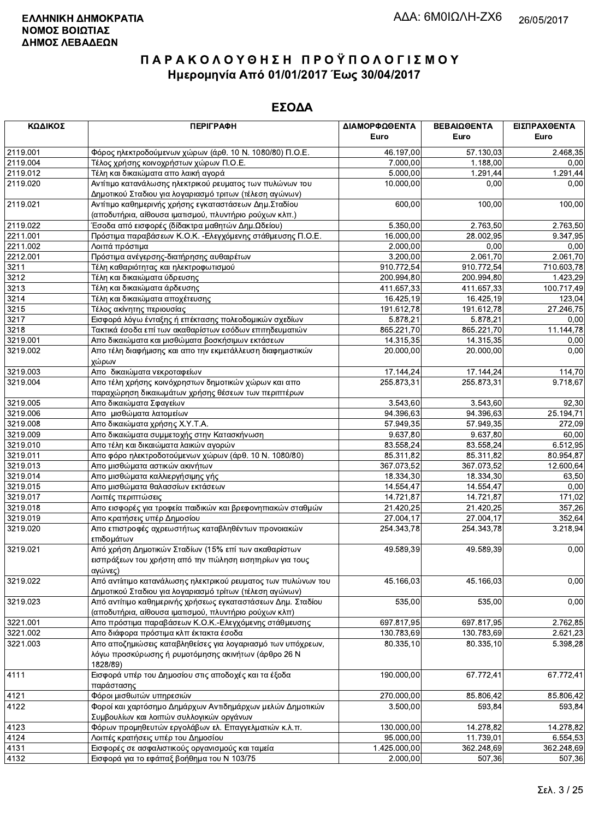| ΚΩΔΙΚΟΣ          | <b>ПЕРІГРАФН</b>                                              | ΔΙΑΜΟΡΦΩΘΕΝΤΑ<br>Euro | ΒΕΒΑΙΩΘΕΝΤΑ<br>Euro | ΕΙΣΠΡΑΧΘΕΝΤΑ<br>Euro |
|------------------|---------------------------------------------------------------|-----------------------|---------------------|----------------------|
| 2119.001         | Φόρος ηλεκτροδούμενων χώρων (άρθ. 10 Ν. 1080/80) Π.Ο.Ε.       | 46.197,00             | 57.130,03           | 2.468,35             |
| 2119.004         | Τέλος χρήσης κοινοχρήστων χώρων Π.Ο.Ε.                        | 7.000,00              | 1.188,00            | 0,00                 |
| 2119.012         | Τέλη και δικαιώματα απο λαική αγορά                           | 5.000,00              | 1.291,44            | 1.291,44             |
| 2119.020         | Αντίτιμο κατανάλωσης ηλεκτρικού ρευματος των πυλώνων του      | 10.000,00             | 0,00                | 0,00                 |
|                  | Δημοτικού Σταδιου για λογαριασμό τριτων (τέλεση αγώνων)       |                       |                     |                      |
| 2119.021         | Αντίτιμο καθημερινής χρήσης εγκαταστάσεων Δημ. Σταδίου        | 600,00                | 100,00              | 100,00               |
|                  | (αποδυτήρια, αίθουσα ιματισμού, πλυντήριο ρούχων κλπ.)        |                       |                     |                      |
| 2119.022         | Έσοδα από εισφορές (δίδακτρα μαθητών Δημ.Ωδείου)              | 5.350,00              | 2.763,50            | 2.763,50             |
| 2211.001         | Πρόστιμα παραβάσεων Κ.Ο.Κ. - Ελεγχόμενης στάθμευσης Π.Ο.Ε.    | 16.000,00             | 28.002,95           | 9.347,95             |
| 2211.002         | Λοιπά πρόστιμα                                                | 2.000,00              | 0,00                | 0,00                 |
| 2212.001         | Πρόστιμα ανέγερσης-διατήρησης αυθαιρέτων                      | 3.200,00              | 2.061,70            | 2.061,70             |
| 3211             | Τέλη καθαριότητας και ηλεκτροφωτισμού                         | 910.772,54            | 910.772,54          | 710.603,78           |
| 3212             | Τέλη και δικαιώματα ύδρευσης                                  | 200.994,80            | 200.994,80          | 1.423,29             |
| 3213             | Τέλη και δικαιώματα άρδευσης                                  | 411.657,33            | 411.657,33          | 100.717,49           |
| 3214             | Τέλη και δικαιώματα αποχέτευσης                               | 16.425,19             | 16.425,19           | 123,04               |
| $\frac{1}{3215}$ | Τέλος ακίνητης περιουσίας                                     | 191.612,78            | 191.612,78          | 27.246,75            |
| 3217             | Εισφορά λόγω ένταξης ή επέκτασης πολεοδομικών σχεδίων         | 5.878,21              | 5.878,21            | 0,00                 |
| 3218             | Τακτικά έσοδα επί των ακαθαρίστων εσόδων επιτηδευματιών       | 865.221,70            | 865.221,70          | 11.144,78            |
| 3219.001         | Απο δικαιώματα και μισθώματα βοσκήσιμων εκτάσεων              | 14.315,35             | 14.315,35           | 0,00                 |
| 3219.002         | Απο τέλη διαφήμισης και απο την εκμετάλλευση διαφημιστικών    | 20.000,00             | 20.000,00           | 0,00                 |
|                  | χώρων                                                         |                       |                     |                      |
| 3219.003         | Απο δικαιώματα νεκροταφείων                                   | 17.144,24             | 17.144,24           | 114,70               |
| 3219.004         | Απο τέλη χρήσης κοινόχρηστων δημοτικών χώρων και απο          | 255.873,31            | 255.873,31          | 9.718,67             |
|                  | παραχώρηση δικαιωμάτων χρήσης θέσεων των περιπτέρων           |                       |                     |                      |
| 3219.005         | Απο δικαιώματα Σφαγείων                                       | 3.543,60              | 3.543,60            | 92,30                |
| 3219.006         | Απο μισθώματα λατομείων                                       | 94.396,63             | 94.396,63           | 25.194,71            |
| 3219.008         | Απο δικαιώματα χρήσης Χ.Υ.Τ.Α.                                | 57.949,35             | 57.949,35           | 272,09               |
| 3219.009         | Απο δικαιώματα συμμετοχής στην Κατασκήνωση                    | 9.637,80              | 9.637,80            | 60,00                |
| 3219.010         | Απο τέλη και δικαιώματα λαικών αγορών                         | 83.558,24             | 83.558,24           | 6.512,95             |
| 3219.011         | Απο φόρο ηλεκτροδοτούμενων χώρων (άρθ. 10 Ν. 1080/80)         | 85.311,82             | 85.311,82           | 80.954,87            |
| 3219.013         | Απο μισθώματα αστικών ακινήτων                                | 367.073,52            | 367.073,52          | 12.600,64            |
| 3219.014         | Απο μισθώματα καλλιεργήσιμης γής                              | 18.334,30             | 18.334,30           | 63,50                |
| 3219.015         | Απο μισθώματα θαλασσίων εκτάσεων                              | 14.554,47             | 14.554,47           | 0,00                 |
| 3219.017         | Λοιπές περιπτώσεις                                            | 14.721,87             | 14.721,87           | 171,02               |
| 3219.018         | Απο εισφορές για τροφεία παιδικών και βρεφονηπιακών σταθμών   | 21.420,25             | 21.420,25           | 357,26               |
| 3219.019         | Απο κρατήσεις υπέρ Δημοσίου                                   | 27.004,17             | 27.004,17           | 352,64               |
| 3219.020         | Απο επιστροφές αχρεωστήτως καταβληθέντων προνοιακών           | 254.343,78            | 254.343,78          | 3.218,94             |
|                  | επιδομάτων                                                    |                       |                     |                      |
| 3219.021         | Από χρήση Δημοτικών Σταδίων (15% επί των ακαθαρίστων          | 49.589,39             | 49.589,39           | 0,00                 |
|                  | εισπράξεων του χρήστη από την πώληση εισητηρίων για τους      |                       |                     |                      |
|                  | αγώνες)                                                       |                       |                     |                      |
| 3219.022         | Από αντίιτιμο κατανάλωσης ηλεκτρικού ρευματος των πυλώνων του | 45.166,03             | 45.166,03           | 0,00                 |
|                  | Δημοτικού Σταδιου για λογαριασμό τρίτων (τέλεση αγώνων)       |                       |                     |                      |
| 3219.023         | Από αντίτιμο καθημερινής χρήσεως εγκαταστάσεων Δημ. Σταδίου   | 535,00                | 535,00              | 0,00                 |
|                  | (αποδυτήρια, αίθουσα ιματισμού, πλυντήριο ρούχων κλπ)         |                       |                     |                      |
| 3221.001         | Απο πρόστιμα παραβάσεων Κ.Ο.Κ.-Ελεγχόμενης στάθμευσης         | 697.817,95            | 697.817,95          | 2.762,85             |
| 3221.002         | Απο διάφορα πρόστιμα κλπ έκτακτα έσοδα                        | 130.783,69            | 130.783,69          | 2.621,23             |
| 3221.003         | Απο αποζημιώσεις καταβληθείσες για λογαριασμό των υπόχρεων,   | 80.335,10             | 80.335,10           | 5.398,28             |
|                  | λόγω προσκύρωσης ή ρυμοτόμησης ακινήτων (άρθρο 26 Ν           |                       |                     |                      |
|                  | 1828/89)                                                      |                       |                     |                      |
| 4111             | Εισφορά υπέρ του Δημοσίου στις αποδοχές και τα έξοδα          | 190.000,00            | 67.772,41           | 67.772,41            |
|                  | παράστασης                                                    |                       |                     |                      |
| 4121             | Φόροι μισθωτών υπηρεσιών                                      | 270.000,00            | 85.806,42           | 85.806,42            |
| 4122             | Φοροί και χαρτόσημο Δημάρχων Αντιδημάρχων μελών Δημοτικών     | 3.500,00              | 593,84              | 593,84               |
|                  | Συμβουλίων και λοιπών συλλογικών οργάνων                      |                       |                     |                      |
| 4123             | Φόρων προμηθευτών εργολάβων ελ. Επαγγελματιών κ.λ.π.          | 130.000,00            | 14.278,82           | 14.278,82            |
| 4124             | Λοιπές κρατήσεις υπέρ του Δημοσίου                            | 95.000,00             | 11.739,01           | 6.554,53             |
| 4131             | Εισφορές σε ασφαλιστικούς οργανισμούς και ταμεία              | 1.425.000,00          | 362.248,69          | 362.248,69           |
| 4132             | Εισφορά για το εφάπαξ βοήθημα του Ν 103/75                    | 2.000,00              | 507,36              | 507,36               |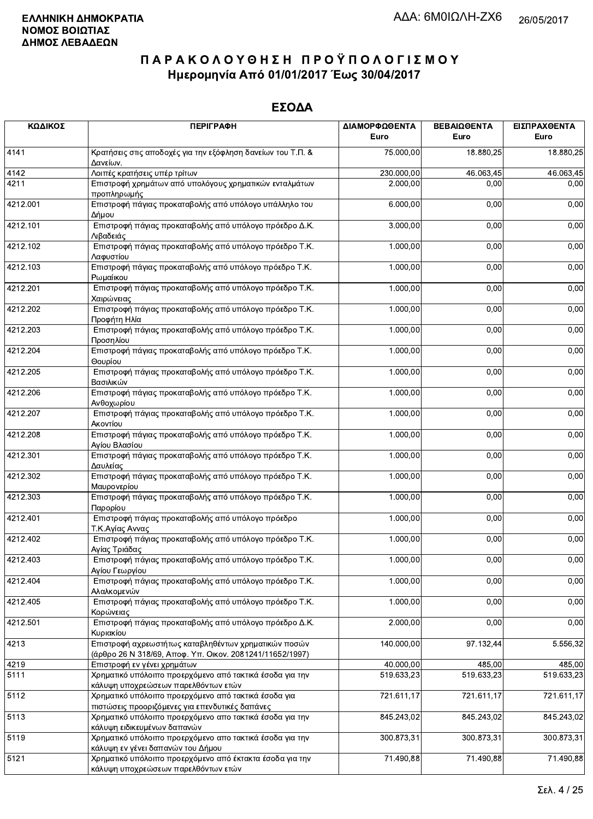| ΚΩΔΙΚΟΣ  | <b>ПЕРІГРАФН</b>                                                                                                 | ΔΙΑΜΟΡΦΩΘΕΝΤΑ<br>Euro | ΒΕΒΑΙΩΘΕΝΤΑ<br>Euro | ΕΙΣΠΡΑΧΘΕΝΤΑ<br>Euro |
|----------|------------------------------------------------------------------------------------------------------------------|-----------------------|---------------------|----------------------|
|          |                                                                                                                  |                       |                     |                      |
| 4141     | Κρατήσεις στις αποδοχές για την εξόφληση δανείων του Τ.Π. &<br>Δανείων.                                          | 75.000,00             | 18.880,25           | 18.880,25            |
| 4142     | Λοιπές κρατήσεις υπέρ τρίτων                                                                                     | 230.000,00            | 46.063,45           | 46.063,45            |
| 4211     | Επιστροφή χρημάτων από υπολόγους χρηματικών ενταλμάτων<br>προπληρωμής                                            | 2.000,00              | 0,00                | 0,00                 |
| 4212.001 | Επιστροφή πάγιας προκαταβολής από υπόλογο υπάλληλο του<br>Δήμου                                                  | 6.000,00              | 0,00                | 0,00                 |
| 4212.101 | Επιστροφή πάγιας προκαταβολής από υπόλογο πρόεδρο Δ.Κ.<br>Λιβαδειάς                                              | 3.000,00              | 0,00                | 0,00                 |
| 4212.102 | Επιστροφή πάγιας προκαταβολής από υπόλογο πρόεδρο Τ.Κ.<br>Λαφυστίου                                              | 1.000,00              | 0,00                | 0,00                 |
| 4212.103 | Επιστροφή πάγιας προκαταβολής από υπόλογο πρόεδρο Τ.Κ.<br>Ρωμαίικου                                              | 1.000,00              | 0,00                | 0,00                 |
| 4212.201 | Επιστροφή πάγιας προκαταβολής από υπόλογο πρόεδρο Τ.Κ.<br>Χαιρώνειας                                             | 1.000,00              | 0,00                | 0,00                 |
| 4212.202 | Επιστροφή πάγιας προκαταβολής από υπόλογο πρόεδρο Τ.Κ.<br>Προφήτη Ηλία                                           | 1.000,00              | 0,00                | 0,00                 |
| 4212.203 | Επιστροφή πάγιας προκαταβολής από υπόλογο πρόεδρο Τ.Κ.<br>Προσηλίου                                              | 1.000,00              | 0,00                | 0,00                 |
| 4212.204 | Επιστροφή πάγιας προκαταβολής από υπόλογο πρόεδρο Τ.Κ.<br>Θουρίου                                                | 1.000,00              | 0,00                | 0,00                 |
| 4212.205 | Επιστροφή πάγιας προκαταβολής από υπόλογο πρόεδρο Τ.Κ.<br>Βασιλικών                                              | 1.000,00              | 0,00                | 0,00                 |
| 4212.206 | Επιστροφή πάγιας προκαταβολής από υπόλογο πρόεδρο Τ.Κ.<br>Ανθοχωρίου                                             | 1.000,00              | 0,00                | 0,00                 |
| 4212.207 | Επιστροφή πάγιας προκαταβολής από υπόλογο πρόεδρο Τ.Κ.<br>Ακοντίου                                               | 1.000,00              | 0,00                | 0,00                 |
| 4212.208 | Επιστροφή πάγιας προκαταβολής από υπόλογο πρόεδρο Τ.Κ.<br>Αγίου Βλασίου                                          | 1.000,00              | 0,00                | 0,00                 |
| 4212.301 | Επιστροφή πάγιας προκαταβολής από υπόλογο πρόεδρο Τ.Κ.<br>Δαυλείας                                               | 1.000,00              | 0,00                | 0,00                 |
| 4212.302 | Επιστροφή πάγιας προκαταβολής από υπόλογο πρόεδρο Τ.Κ.<br>Μαυρονερίου                                            | 1.000,00              | 0,00                | 0,00                 |
| 4212.303 | Επιστροφή πάγιας προκαταβολής από υπόλογο πρόεδρο Τ.Κ.<br>Παρορίου                                               | 1.000,00              | 0,00                | 0,00                 |
| 4212.401 | Επιστροφή πάγιας προκαταβολής από υπόλογο πρόεδρο<br>Τ.Κ.Αγίας Αννας                                             | 1.000,00              | 0,00                | 0,00                 |
| 4212.402 | Επιστροφή πάγιας προκαταβολής από υπόλογο πρόεδρο Τ.Κ.<br>Αγίας Τριάδας                                          | 1.000,00              | 0,00                | 0,00                 |
| 4212.403 | Επιστροφή πάγιας προκαταβολής από υπόλογο πρόεδρο Τ.Κ.<br>Αγίου Γεωργίου                                         | 1.000,00              | 0,00                | 0,00                 |
| 4212.404 | Επιστροφή πάγιας προκαταβολής από υπόλογο πρόεδρο Τ.Κ.<br>Αλαλκομενών                                            | 1.000,00              | 0,00                | 0,00                 |
| 4212.405 | Επιστροφή πάγιας προκαταβολής από υπόλογο πρόεδρο Τ.Κ.<br>Κορώνειας                                              | 1.000,00              | 0,00                | 0,00                 |
| 4212.501 | Επιστροφή πάγιας προκαταβολής από υπόλογο πρόεδρο Δ.Κ.<br>Κυριακίου                                              | 2.000,00              | 0,00                | 0,00                 |
| 4213     | Επιστροφή αχρεωστήτως καταβληθέντων χρηματικών ποσών<br>(άρθρο 26 Ν 318/69, Αποφ. Υπ. Οικον. 2081241/11652/1997) | 140.000,00            | 97.132,44           | 5.556,32             |
| 4219     | Επιστροφή εν γένει χρημάτων                                                                                      | 40.000,00             | 485,00              | 485,00               |
| 5111     | Χρηματικό υπόλοιπο προερχόμενο από τακτικά έσοδα για την<br>κάλυψη υποχρεώσεων παρελθόντων ετών                  | 519.633,23            | 519.633,23          | 519.633,23           |
| 5112     | Χρηματικό υπόλοιπο προερχόμενο από τακτικά έσοδα για<br>πιστώσεις προοριζόμενες για επενδυτικές δαπάνες          | 721.611,17            | 721.611,17          | 721.611,17           |
| 5113     | Χρηματικό υπόλοιπο προερχόμενο απο τακτικά έσοδα για την<br>κάλυψη ειδικευμένων δαπανών                          | 845.243,02            | 845.243,02          | 845.243,02           |
| 5119     | Χρηματικό υπόλοιπο προερχόμενο απο τακτικά έσοδα για την<br>κάλυψη εν γένει δαπανών του Δήμου                    | 300.873,31            | 300.873,31          | 300.873,31           |
| 5121     | Χρηματικό υπόλοιπο προερχόμενο από έκτακτα έσοδα για την<br>κάλυψη υποχρεώσεων παρελθόντων ετών                  | 71.490,88             | 71.490,88           | 71.490,88            |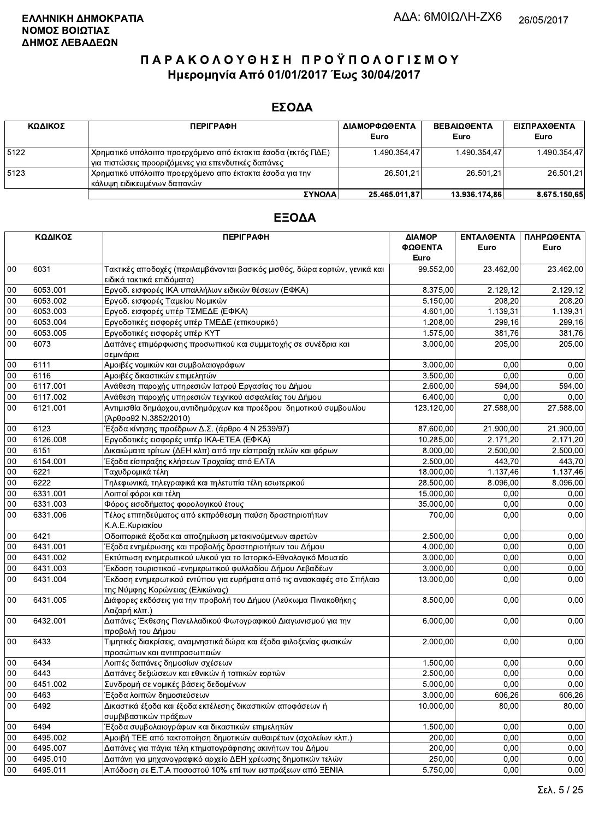#### ΕΣΟΔΑ

| ΚΩΔΙΚΟΣ | <b>ПЕРІГРАФН</b>                                                                                                      | ΔΙΑΜΟΡΦΩΘΕΝΤΑ<br>Euro | <b>ΒΕΒΑΙΩΘΕΝΤΑ</b><br>Euro | ΕΙΣΠΡΑΧΘΕΝΤΑ<br>Euro |
|---------|-----------------------------------------------------------------------------------------------------------------------|-----------------------|----------------------------|----------------------|
| 5122    | Χρηματικό υπόλοιπο προερχόμενο από έκτακτα έσοδα (εκτός ΠΔΕ)<br>' για πιστώσεις προοριζόμενες για επενδυτικές δαπάνες | 1.490.354.47          | 1.490.354.47               | 1.490.354.47         |
| 5123    | ΄ Χρηματικό υπόλοιπο προερχόμενο απο έκτακτα έσοδα για την<br>κάλυψη ειδικευμένων δαπανών                             | 26.501.21             | 26.501.21                  | 26.501,21            |
|         | ΣΥΝΟΛΑΙ                                                                                                               | 25.465.011.87         | 13.936.174.86              | 8.675.150.65         |

|        | ΚΩΔΙΚΟΣ  | <b>ПЕРІГРАФН</b>                                                                             | ΔΙΑΜΟΡ     | ΕΝΤΑΛΘΕΝΤΑ | ΠΛΗΡΩΘΕΝΤΑ |
|--------|----------|----------------------------------------------------------------------------------------------|------------|------------|------------|
|        |          |                                                                                              | ΦΩΘΕΝΤΑ    | Euro       | Euro       |
|        |          |                                                                                              | Euro       |            |            |
| 00     | 6031     | Τακτικές αποδοχές (περιλαμβάνονται βασικός μισθός, δώρα εορτών, γενικά και                   | 99.552,00  | 23.462,00  | 23.462,00  |
|        |          | ειδικά τακτικά επιδόματα)                                                                    |            |            |            |
| 00     | 6053.001 | Εργοδ. εισφορές ΙΚΑ υπαλλήλων ειδικών θέσεων (ΕΦΚΑ)                                          | 8.375,00   | 2.129,12   | 2.129,12   |
| 00     | 6053.002 | Εργοδ. εισφορές Ταμείου Νομικών                                                              | 5.150,00   | 208,20     | 208,20     |
| 00     | 6053.003 | Εργοδ. εισφορές υπέρ ΤΣΜΕΔΕ (ΕΦΚΑ)                                                           | 4.601,00   | 1.139,31   | 1.139,31   |
| 00     | 6053.004 | Εργοδοτικές εισφορές υπέρ ΤΜΕΔΕ (επικουρικό)                                                 | 1.208,00   | 299,16     | 299,16     |
| $00\,$ | 6053.005 | Εργοδοτικές εισφορές υπέρ ΚΥΤ                                                                | 1.575,00   | 381,76     | 381,76     |
| 00     | 6073     | Δαπάνες επιμόρφωσης προσωπικού και συμμετοχής σε συνέδρια και                                | 3.000,00   | 205,00     | 205,00     |
|        |          | σεμινάρια                                                                                    |            |            |            |
| 00     | 6111     | Αμοιβές νομικών και συμβολαιογράφων                                                          | 3.000,00   | 0.00       | 0,00       |
| 00     | 6116     | Αμοιβές δικαστικών επιμελητών                                                                | 3.500,00   | 0.00       | 0,00       |
| 00     | 6117.001 | Ανάθεση παροχής υπηρεσιών Ιατρού Εργασίας του Δήμου                                          | 2.600,00   | 594,00     | 594,00     |
| 00     | 6117.002 | Ανάθεση παροχής υπηρεσιών τεχνικού ασφαλείας του Δήμου                                       | 6.400,00   | 0,00       | 0,00       |
| 00     | 6121.001 | Αντιμισθία δημάρχου, αντιδημάρχων και προέδρου δημοτικού συμβουλίου<br>(Άρθρο92 Ν.3852/2010) | 123.120,00 | 27.588,00  | 27.588,00  |
| 00     | 6123     | Έξοδα κίνησης προέδρων Δ.Σ. (άρθρο 4 Ν 2539/97)                                              | 87.600,00  | 21.900,00  | 21.900,00  |
| 00     | 6126.008 | Εργοδοτικές εισφορές υπέρ ΙΚΑ-ΕΤΕΑ (ΕΦΚΑ)                                                    | 10.285,00  | 2.171,20   | 2.171,20   |
| 00     | 6151     | Δικαιώματα τρίτων (ΔΕΗ κλπ) από την είσπραξη τελών και φόρων                                 | 8.000,00   | 2.500,00   | 2.500,00   |
| 00     | 6154.001 | Έξοδα είσπραξης κλήσεων Τροχαίας από ΕΛΤΑ                                                    | 2.500,00   | 443,70     | 443,70     |
| 00     | 6221     | Ταχυδρομικά τέλη                                                                             | 18.000,00  | 1.137,46   | 1.137,46   |
| 00     | 6222     | Τηλεφωνικά, τηλεγραφικά και τηλετυπία τέλη εσωτερικού                                        | 28.500,00  | 8.096,00   | 8.096,00   |
| 00     | 6331.001 | Λοιποί φόροι και τέλη                                                                        | 15.000,00  | 0,00       | 0,00       |
| $00\,$ | 6331.003 | Φόρος εισοδήματος φορολογικού έτους                                                          | 35.000,00  | 0,00       | 0,00       |
| 00     | 6331.006 | Τέλος επιτηδεύματος από εκπρόθεσμη παύση δραστηριοτήτων                                      | 700,00     | 0,00       | 0,00       |
|        |          | Κ.Α.Ε.Κυριακίου                                                                              |            |            |            |
| 00     | 6421     | Οδοιπορικά έξοδα και αποζημίωση μετακινούμενων αιρετών                                       | 2.500,00   | 0,00       | 0,00       |
| 00     | 6431.001 | Έξοδα ενημέρωσης και προβολής δραστηριοτήτων του Δήμου                                       | 4.000,00   | 0,00       | 0,00       |
| 00     | 6431.002 | Εκτύπωση ενημερωτικού υλικού για το Ιστορικό-Εθνολογικό Μουσείο                              | 3.000,00   | 0,00       | 0,00       |
| 00     | 6431.003 | Έκδοση τουριστικού -ενημερωτικού φυλλαδίου Δήμου Λεβαδέων                                    | 3.000,00   | 0.00       | 0,00       |
| 00     | 6431.004 | Έκδοση ενημερωτικού εντύπου για ευρήματα από τις ανασκαφές στο Σπήλαιο                       | 13.000,00  | 0,00       | 0,00       |
|        |          | της Νύμφης Κορώνειας (Ελικώνας)                                                              |            |            |            |
| $00\,$ | 6431.005 | Διάφορες εκδόσεις για την προβολή του Δήμου (Λεύκωμα Πινακοθήκης<br>Λαζαρή κλπ.)             | 8.500,00   | 0,00       | 0,00       |
| $00\,$ | 6432.001 | Δαπάνες Έκθεσης Πανελλαδικού Φωτογραφικού Διαγωνισμού για την                                | 6.000.00   | 0,00       | 0,00       |
|        |          | προβολή του Δήμου                                                                            |            |            |            |
| 00     | 6433     | Τιμητικές διακρίσεις, αναμνηστικά δώρα και έξοδα φιλοξενίας φυσικών                          | 2.000,00   | 0,00       | 0,00       |
|        |          | προσώπων και αντιπροσωπειών                                                                  |            |            |            |
| 00     | 6434     | Λοιπές δαπάνες δημοσίων σχέσεων                                                              | 1.500,00   | 0,00       | 0,00       |
| 00     | 6443     | Δαπάνες δεξιώσεων και εθνικών ή τοπικών εορτών                                               | 2.500,00   | 0,00       | 0,00       |
| 00     | 6451.002 | Συνδρομή σε νομικές βάσεις δεδομένων                                                         | 5.000,00   | 0,00       | 0,00       |
| $00\,$ | 6463     | Έξοδα λοιπών δημοσιεύσεων                                                                    | 3.000,00   | 606,26     | 606,26     |
| 00     | 6492     | Δικαστικά έξοδα και έξοδα εκτέλεσης δικαστικών αποφάσεων ή                                   | 10.000,00  | 80,00      | 80,00      |
|        |          | συμβιβαστικών πράξεων                                                                        |            |            |            |
| 00     | 6494     | Έξοδα συμβολαιογράφων και δικαστικών επιμελητών                                              | 1.500,00   | 0,00       | 0,00       |
| 00     | 6495.002 | Αμοιβή ΤΕΕ από τακτοποίηση δημοτικών αυθαιρέτων (σχολείων κλπ.)                              | 200,00     | 0,00       | 0,00       |
| 00     | 6495.007 | Δαπάνες για πάγια τέλη κτηματογράφησης ακινήτων του Δήμου                                    | 200,00     | 0,00       | 0,00       |
| 00     | 6495.010 | Δαπάνη για μηχανογραφικό αρχείο ΔΕΗ χρέωσης δημοτικών τελών                                  | 250,00     | 0,00       | 0,00       |
| 00     | 6495.011 | Απόδοση σε Ε.Τ.Α ποσοστού 10% επί των εισπράξεων από ΞΕΝΙΑ                                   | 5.750,00   | 0,00       | 0,00       |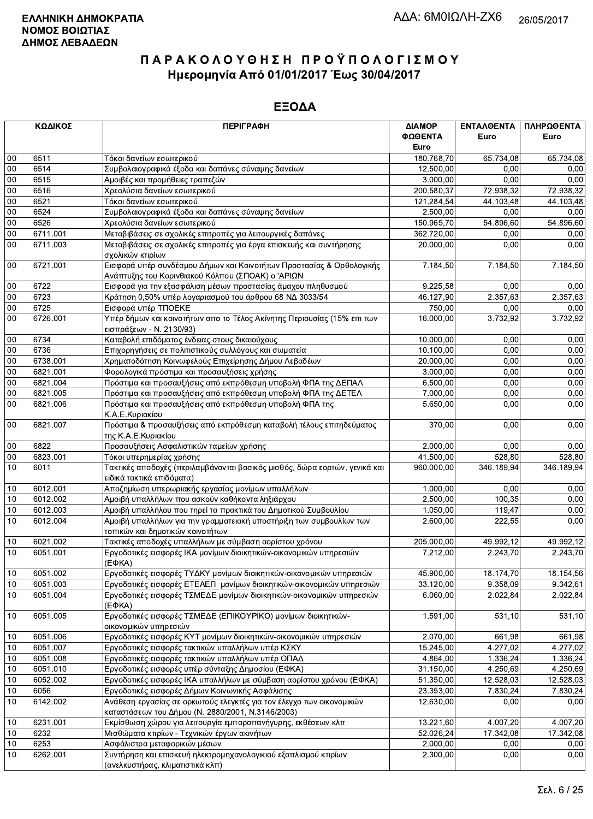|        | ΚΩΔΙΚΟΣ  | <b>ПЕРІГРАФН</b>                                                                                                          | ΔΙΑΜΟΡ     | <b>ENTAΛΘΕΝΤΑ</b>   | ΠΛΗΡΩΘΕΝΤΑ |
|--------|----------|---------------------------------------------------------------------------------------------------------------------------|------------|---------------------|------------|
|        |          |                                                                                                                           | ΦΩΘΕΝΤΑ    | Euro                | Euro       |
|        |          |                                                                                                                           | Euro       |                     |            |
| 00     | 6511     | Τόκοι δανείων εσωτερικού                                                                                                  | 180.768.70 | 65.734,08           | 65.734,08  |
| $00\,$ | 6514     | Συμβολαιογραφικά έξοδα και δαπάνες σύναψης δανείων                                                                        | 12.500,00  | 0,00                | 0,00       |
| 00     | 6515     | Αμοιβές και προμήθειες τραπεζών                                                                                           | 3.000,00   | 0,00                | 0,00       |
| 00     | 6516     | Χρεολύσια δανείων εσωτερικού                                                                                              | 200.580,37 | 72.938,32           | 72.938,32  |
| 00     | 6521     | Τόκοι δανείων εσωτερικού                                                                                                  | 121.284,54 | 44.103,48           | 44.103,48  |
| 00     | 6524     | Συμβολαιογραφικά έξοδα και δαπάνες σύναψης δανείων                                                                        | 2.500,00   | 0,00                | 0,00       |
| $00\,$ | 6526     | Χρεολύσια δανείων εσωτερικού                                                                                              | 150.965,70 | 54.896,60           | 54.896,60  |
| $00\,$ | 6711.001 | Μεταβιβάσεις σε σχολικές επιτροπές για λειτουργικές δαπάνες                                                               | 362.720,00 | 0,00                | 0,00       |
| 00     | 6711.003 | Μεταβιβάσεις σε σχολικές επιτροπές για έργα επισκευής και συντήρησης<br>σχολικών κτιρίων                                  | 20.000,00  | 0.00                | 0,00       |
| $00\,$ | 6721.001 | Εισφορά υπέρ συνδέσμου Δήμων και Κοινοτήτων Προστασίας & Ορθολογικής<br>Ανάπτυξης του Κορινθιακού Κόλπου (ΣΠΟΑΚ) ο 'ΑΡΙΩΝ | 7.184,50   | 7.184,50            | 7.184,50   |
| $00\,$ | 6722     | Εισφορά για την εξασφάλιση μέσων προστασίας άμαχου πληθυσμού                                                              | 9.225,58   | 0.00                | 0,00       |
| 00     | 6723     | Κράτηση 0,50% υπέρ λογαριασμού του άρθρου 68 ΝΔ 3033/54                                                                   | 46.127,90  | 2.357,63            | 2.357,63   |
| 00     | 6725     | Εισφορά υπέρ ΤΠΟΕΚΕ                                                                                                       | 750,00     | 0,00                | 0,00       |
| 00     | 6726.001 | Υπέρ δήμων και κοινοτήτων απο το Τέλος Ακίνητης Περιουσίας (15% επι των<br>εισπράξεων - Ν. 2130/93)                       | 16.000,00  | 3.732,92            | 3.732,92   |
| 00     | 6734     | Καταβολή επιδόματος ένδειας στους δικαιούχους                                                                             | 10.000,00  | 0,00                | 0,00       |
| 00     | 6736     | Επιχορηγήσεις σε πολιτιστικούς συλλόγους και σωματεία                                                                     | 10.100,00  | 0.00                | 0,00       |
| 00     | 6738.001 | Χρηματοδότηση Κοινωφελούς Επιχείρησης Δήμου Λεβαδέων                                                                      | 20.000,00  | 0,00                | 0,00       |
| $00\,$ | 6821.001 | Φορολογικά πρόστιμα και προσαυξήσεις χρήσης                                                                               | 3.000,00   | 0,00                | 0,00       |
| 00     | 6821.004 | Πρόστιμα και προσαυξήσεις από εκπρόθεσμη υποβολή ΦΠΑ της ΔΕΠΑΛ                                                            | 6.500,00   | 0.00                | 0,00       |
| 00     | 6821.005 | Πρόστιμα και προσαυξήσεις από εκπρόθεσμη υποβολή ΦΠΑ της ΔΕΤΕΛ                                                            | 7.000,00   | 0,00                | 0,00       |
| 00     | 6821.006 | Πρόστιμα και προσαυξήσεις από εκπρόθεσμη υποβολή ΦΠΑ της<br>Κ.Α.Ε.Κυριακίου                                               | 5.650.00   | 0,00                | 0,00       |
| 00     | 6821.007 | Πρόστιμα & προσαυξήσεις από εκπρόθεσμη καταβολή τέλους επιτηδεύματος<br>της Κ.Α.Ε.Κυριακίου                               | 370,00     | 0,00                | 0,00       |
| 00     | 6822     | Προσαυξήσεις Ασφαλιστικών ταμείων χρήσης                                                                                  | 2.000,00   | 0.00                | 0,00       |
| 00     | 6823.001 | Τόκοι υπερημερίας χρήσης                                                                                                  | 41.500,00  | 528,80              | 528,80     |
| 10     | 6011     | Τακτικές αποδοχές (περιλαμβάνονται βασικός μισθός, δώρα εορτών, γενικά και<br>ειδικά τακτικά επιδόματα)                   | 960.000,00 | 346.189,94          | 346.189,94 |
| 10     | 6012.001 | Αποζημίωση υπερωριακής εργασίας μονίμων υπαλλήλων                                                                         | 1.000,00   | 0.00                | 0,00       |
| 10     | 6012.002 | Αμοιβή υπαλλήλων που ασκούν καθήκοντα ληξιάρχου                                                                           | 2.500,00   | 100,35              | 0,00       |
| 10     | 6012.003 | Αμοιβή υπαλλήλου που τηρεί τα πρακτικά του Δημοτικού Συμβουλίου                                                           | 1.050,00   | 119,47              | 0,00       |
| 10     | 6012.004 | Αμοιβή υπαλλήλων για την γραμματειακή υποστήριξη των συμβουλίων των<br>τοπικών και δημοτικών κοινοτήτων                   | 2.600,00   | 222,55              | 0,00       |
| 10     | 6021.002 | Τακτικές αποδοχές υπαλλήλων με σύμβαση αορίστου χρόνου                                                                    | 205.000,00 | 49.992.12           | 49.992.12  |
| 10     | 6051.001 | Εργοδοτικές εισφορές ΙΚΑ μονίμων διοικητικών-οικονομικών υπηρεσιών<br>$(E\Phi KA)$                                        | 7.212,00   | 2.243,70            | 2.243,70   |
| 10     | 6051.002 | Εργοδοτικές εισφορές ΤΥΔΚΥ μονίμων διοικητικών-οικονομικών υπηρεσιών                                                      | 45.900,00  | 18.174,70           | 18.154,56  |
| 10     | 6051.003 | Εργοδοτικές εισφορές ΕΤΕΑΕΠ μονίμων διοικητικών-οικονομικών υπηρεσιών                                                     | 33.120,00  | 9.358,09            | 9.342,61   |
| 10     | 6051.004 | Εργοδοτικές εισφορές ΤΣΜΕΔΕ μονίμων διοικητικών-οικονομικών υπηρεσιών<br>$(E\Phi KA)$                                     | 6.060,00   | 2.022,84            | 2.022,84   |
| 10     | 6051.005 | Εργοδοτικές εισφορές ΤΣΜΕΔΕ (ΕΠΙΚΟΥΡΙΚΟ) μονίμων διοικητικών-<br>οικονομικών υπηρεσιών                                    | 1.591,00   | $\overline{5}31,10$ | 531,10     |
| 10     | 6051.006 | Εργοδοτικές εισφορές ΚΥΤ μονίμων διοικητικών-οικονομικών υπηρεσιών                                                        | 2.070,00   | 661,98              | 661,98     |
| 10     | 6051.007 | Εργοδοτικές εισφορές τακτικών υπαλλήλων υπέρ ΚΣΚΥ                                                                         | 15.245,00  | 4.277,02            | 4.277,02   |
| 10     | 6051.008 | Εργοδοτικές εισφορές τακτικών υπαλλήλων υπέρ ΟΠΑΔ                                                                         | 4.864,00   | 1.336,24            | 1.336,24   |
| 10     | 6051.010 | Εργοδοτικές εισφορές υπέρ σύνταξης Δημοσίου (ΕΦΚΑ)                                                                        | 31.150,00  | 4.250,69            | 4.250,69   |
| 10     | 6052.002 | Εργοδοτικές εισφορές ΙΚΑ υπαλλήλων με σύμβαση αορίστου χρόνου (ΕΦΚΑ)                                                      | 51.350,00  | 12.528,03           | 12.528,03  |
| $10$   | 6056     | Εργοδοτικές εισφορές Δήμων Κοινωνικής Ασφάλισης                                                                           | 23.353,00  | 7.830,24            | 7.830,24   |
| 10     | 6142.002 | Ανάθεση εργασίας σε ορκωτούς ελεγκτές για τον έλεγχο των οικονομικών<br>καταστάσεων του Δήμου (Ν. 2880/2001, Ν.3146/2003) | 12.630,00  | 0,00                | 0,00       |
| 10     | 6231.001 | Εκμίσθωση χώρου για λειτουργία εμποροπανήγυρης, εκθέσεων κλπ                                                              | 13.221,60  | 4.007,20            | 4.007,20   |
| 10     | 6232     | Μισθώματα κτιρίων - Τεχνικών έργων ακινήτων                                                                               | 52.026,24  | 17.342,08           | 17.342,08  |
| 10     | 6253     | Ασφάλιστρα μεταφορικών μέσων                                                                                              | 2.000,00   | 0,00                | 0,00       |
| 10     | 6262.001 | Συντήρηση και επισκευή ηλεκτρομηχανολογικιού εξοπλισμού κτιρίων<br>(ανελκυστήρας, κλιματιστικά κλπ)                       | 2.300,00   | 0,00                | 0,00       |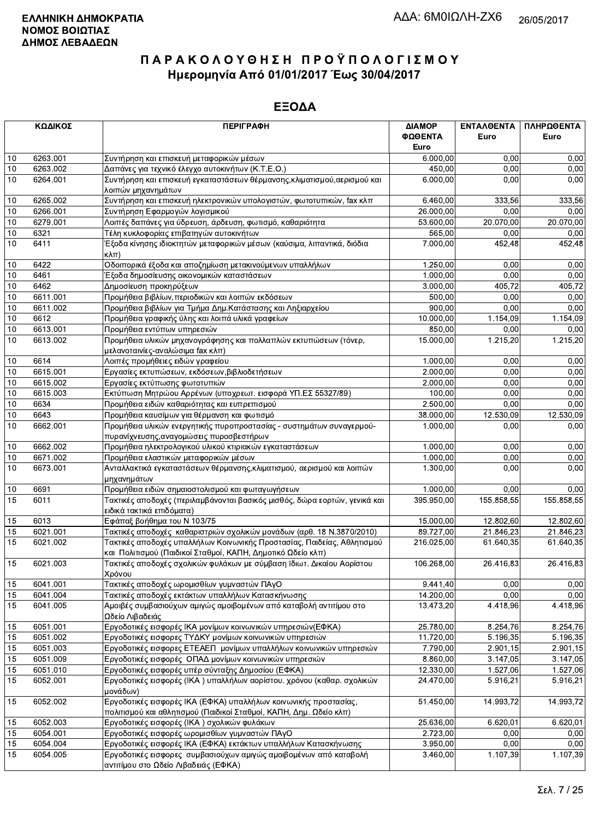|      | ΚΩΔΙΚΟΣ  | <b>ПЕРІГРАФН</b>                                                                                                                       | ΔΙΑΜΟΡ<br>ΦΩΘΕΝΤΑ<br>Euro | <b>ENTAAOENTA</b><br>Euro | ΠΛΗΡΩΘΕΝΤΑ<br>Euro |
|------|----------|----------------------------------------------------------------------------------------------------------------------------------------|---------------------------|---------------------------|--------------------|
| 10   | 6263.001 | Συντήρηση και επισκευή μεταφορικών μέσων                                                                                               | 6.000,00                  | 0.00                      | 0,00               |
| 10   | 6263.002 | Δαπάνες για τεχνικό έλεγχο αυτοκινήτων (Κ.Τ.Ε.Ο.)                                                                                      | 450,00                    | 0,00                      | 0,00               |
| 10   | 6264.001 | Συντήρηση και επισκευή εγκαταστάσεων θέρμανσης, κλιματισμού, αερισμού και<br>λοιπών μηχανημάτων                                        | 6.000,00                  | 0.00                      | 0,00               |
| 10   | 6265.002 | Συντήρηση και επισκευή ηλεκτρονικών υπολογιστών, φωτοτυπικών, fax κλπ                                                                  | 6.460,00                  | 333,56                    | 333,56             |
| 10   | 6266.001 | Συντήρηση Εφαρμογών λογισμικού                                                                                                         | 26.000,00                 | 0,00                      | 0,00               |
| 10   | 6279.001 | Λοιπές δαπάνες για ύδρευση, άρδευση, φωτισμό, καθαριότητα                                                                              | 53.600,00                 | 20.070,00                 | 20.070,00          |
| 10   | 6321     | Τέλη κυκλοφορίας επιβατηγών αυτοκινήτων                                                                                                | 565,00                    | 0,00                      | 0,00               |
| 10   | 6411     | Έξοδα κίνησης ιδιοκτητών μεταφορικών μέσων (καύσιμα, λιπαντικά, διόδια<br>$\kappa\lambda\pi$                                           | 7.000,00                  | 452,48                    | 452,48             |
| 10   | 6422     | Οδοιπορικά έξοδα και αποζημίωση μετακινούμενων υπαλλήλων                                                                               | 1.250,00                  | 0.00                      | 0,00               |
| 10   | 6461     | Έξοδα δημοσίευσης οικονομικών καταστάσεων                                                                                              | 1.000,00                  | 0.00                      | 0,00               |
| 10   | 6462     | Δημοσίευση προκηρύξεων                                                                                                                 | 3.000,00                  | $\overline{405,72}$       | 405,72             |
| 10   | 6611.001 | Προμήθεια βιβλίων, περιοδικών και λοιπών εκδόσεων                                                                                      | 500,00                    | 0,00                      | 0,00               |
| 10   | 6611.002 | Προμήθεια βιβλίων για Τμήμα Δημ.Κατάστασης και Ληξιαρχείου                                                                             | 900,00                    | 0,00                      | 0,00               |
| 10   | 6612     | Προμήθεια γραφικής ύλης και λοιπά υλικά γραφείων                                                                                       | 10.000.00                 | 1.154,09                  | 1.154,09           |
| 10   | 6613.001 | Προμήθεια εντύπων υπηρεσιών                                                                                                            | 850,00                    | 0,00                      | 0,00               |
| 10   | 6613.002 | Προμήθεια υλικών μηχανογράφησης και πολλαπλών εκτυπώσεων (τόνερ,<br>μελανοταινίες-αναλώσιμα fax κλπ)                                   | 15.000,00                 | 1.215,20                  | 1.215,20           |
| 10   | 6614     | Λοιπές προμήθειες ειδών γραφείου                                                                                                       | 1.000,00                  | 0,00                      | 0,00               |
| 10   | 6615.001 | Εργασίες εκτυπώσεων, εκδόσεων, βιβλιοδετήσεων                                                                                          | 2.000,00                  | 0,00                      | 0,00               |
| 10   | 6615.002 | Εργασίες εκτύπωσης φωτοτυπιών                                                                                                          | 2.000,00                  | 0.00                      | 0,00               |
| 10   | 6615.003 | Εκτύπωση Μητρώου Αρρένων (υποχρεωτ. εισφορά ΥΠ.ΕΣ 55327/89)                                                                            | 100.00                    | 0,00                      | 0,00               |
| 10   | 6634     | Προμήθεια ειδών καθαριότητας και ευπρεπισμού                                                                                           | 2.500,00                  | 0,00                      | 0,00               |
| 10   | 6643     | Προμήθεια καυσίμων για θέρμανση και φωτισμό                                                                                            | 38.000,00                 | 12.530,09                 | 12.530,09          |
| 10   | 6662.001 | Προμήθεια υλικών ενεργητικής πυροπροστασίας - συστημάτων συναγερμού-<br>πυρανίχνευσης, αναγομώσεις πυροσβεστήρων                       | 1.000,00                  | 0,00                      | 0,00               |
| 10   | 6662.002 | Προμήθεια ηλεκτρολογικού υλικού κτιριακών εγκαταστάσεων                                                                                | 1.000,00                  | 0,00                      | 0,00               |
| 10   | 6671.002 | Προμήθεια ελαστικών μεταφορικών μέσων                                                                                                  | 1.000,00                  | 0.00                      | 0,00               |
| 10   | 6673.001 | Ανταλλακτικά εγκαταστάσεων θέρμανσης, κλιματισμού, αερισμού και λοιπών<br>μηχανημάτων                                                  | 1.300,00                  | 0,00                      | 0,00               |
| $10$ | 6691     | Προμήθεια ειδών σημαιοστολισμού και φωταγωγήσεων                                                                                       | 1.000,00                  | 0.00                      | 0,00               |
| 15   | 6011     | Τακτικές αποδοχές (περιλαμβάνονται βασικός μισθός, δώρα εορτών, γενικά και<br>ειδικά τακτικά επιδόματα)                                | 395.950,00                | 155.858,55                | 155.858,55         |
| 15   | 6013     | Εφάπαξ βοήθημα του Ν 103/75                                                                                                            | 15.000,00                 | 12.802,60                 | 12.802,60          |
| 15   | 6021.001 | Τακτικές αποδοχές καθαριστριών σχολικών μονάδων (αρθ. 18 Ν.3870/2010)                                                                  | 89.727,00                 | 21.846,23                 | 21.846,23          |
| 15   | 6021.002 | Τακτικές αποδοχές υπαλλήλων Κοινωνικής Προστασίας, Παιδείας, Αθλητισμού<br>και Πολιτισμού (Παιδικοί Σταθμοί, ΚΑΠΗ, Δημοτικό Ωδείο κλπ) | 216.025,00                | 61.640,35                 | 61.640,35          |
| 15   | 6021.003 | Τακτικές αποδοχές σχολικών φυλάκων με σύμβαση Ιδιωτ. Δικαίου Αορίστου<br>Χρόνου                                                        | 106.268,00                | 26.416,83                 | 26.416,83          |
| 15   | 6041.001 | Τακτικές αποδοχές ωρομισθίων γυμναστών ΠΑγΟ                                                                                            | 9.441,40                  | 0,00                      | 0,00               |
| 15   | 6041.004 | Τακτικές αποδοχές εκτάκτων υπαλλήλων Κατασκήνωσης                                                                                      | 14.200,00                 | 0,00                      | 0,00               |
| 15   | 6041.005 | Αμοιβές συμβασιούχων αμιγώς αμοιβομένων από καταβολή αντιτίμου στο<br>Ωδείο Λιβαδειάς                                                  | 13.473,20                 | 4.418,96                  | 4.418,96           |
| 15   | 6051.001 | Εργοδοτικές εισφορές ΙΚΑ μονίμων κοινωνικών υπηρεσιών(ΕΦΚΑ)                                                                            | 25.780,00                 | 8.254,76                  | 8.254,76           |
| 15   | 6051.002 | Εργοδοτικές εισφορες ΤΥΔΚΥ μονίμων κοινωνικών υπηρεσιών                                                                                | 11.720,00                 | 5.196,35                  | 5.196,35           |
| 15   | 6051.003 | Εργοδοτικές εισφορες ΕΤΕΑΕΠ μονίμων υπαλλήλων κοινωνικών υπηρεσιών                                                                     | 7.790,00                  | 2.901,15                  | 2.901,15           |
| 15   | 6051.009 | Εργοδοτικές εισφορές ΟΠΑΔ μονίμων κοινωνικών υπηρεσιών                                                                                 | 8.860,00                  | 3.147,05                  | 3.147,05           |
| 15   | 6051.010 | Εργοδοτικές εισφορές υπέρ σύνταξης Δημοσίου (ΕΦΚΑ)                                                                                     | 12.330,00                 | 1.527,06                  | 1.527,06           |
| 15   | 6052.001 | Εργοδοτικές εισφορές (ΙΚΑ) υπαλλήλων αορίστου. χρόνου (καθαρ. σχολικών<br>μονάδων)                                                     | 24.470,00                 | 5.916,21                  | 5.916,21           |
| 15   | 6052.002 | Εργοδοτικές εισφορές ΙΚΑ (ΕΦΚΑ) υπαλλήλων κοινωνικής προστασίας,<br>πολιτισμού και αθλητισμού (Παιδικοί Σταθμοί, ΚΑΠΗ, Δημ. Ωδείο κλπ) | 51.450,00                 | 14.993,72                 | 14.993,72          |
| 15   | 6052.003 | Εργοδοτικές εισφορές (ΙΚΑ) σχολικών φυλάκων                                                                                            | 25.636,00                 | 6.620,01                  | 6.620,01           |
| 15   | 6054.001 | Εργοδοτικές εισφορές ωρομισθίων γυμναστών ΠΑγΟ                                                                                         | 2.723,00                  | 0,00                      | 0,00               |
| 15   | 6054.004 | Εργοδοτικές εισφορές ΙΚΑ (ΕΦΚΑ) εκτάκτων υπαλλήλων Κατασκήνωσης                                                                        | 3.950,00                  | 0.00                      | 0,00               |
| 15   | 6054.005 | Εργοδοτικές εισφορες συμβασιούχων αμιγώς αμοιβομένων από καταβολή<br>αντιτίμου στο Ωδείο Λιβαδειάς (ΕΦΚΑ)                              | 3.460,00                  | 1.107,39                  | 1.107,39           |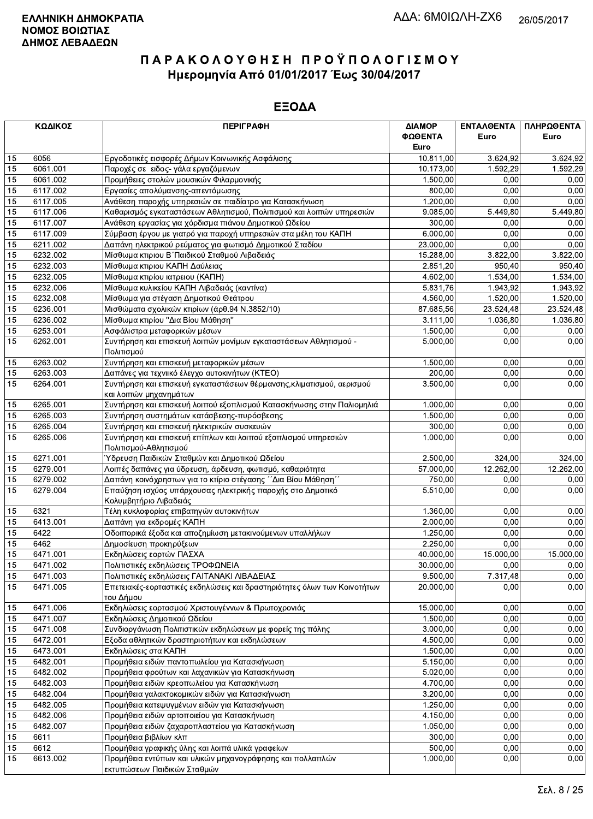|    | ΚΩΔΙΚΟΣ  | <b>ПЕРІГРАФН</b>                                                         | ΔΙΑΜΟΡ    | ΕΝΤΑΛΘΕΝΤΑ | ΠΛΗΡΩΘΕΝΤΑ |
|----|----------|--------------------------------------------------------------------------|-----------|------------|------------|
|    |          |                                                                          | ΦΩΘΕΝΤΑ   | Euro       | Euro       |
|    |          |                                                                          | Euro      |            |            |
| 15 | 6056     | Εργοδοτικές εισφορές Δήμων Κοινωνικής Ασφάλισης                          | 10.811,00 | 3.624,92   | 3.624,92   |
| 15 | 6061.001 | Παροχές σε ειδος- γάλα εργαζόμενων                                       | 10.173,00 | 1.592,29   | 1.592,29   |
| 15 | 6061.002 | Προμήθειες στολών μουσικών Φιλαρμονικής                                  | 1.500,00  | 0,00       | 0,00       |
| 15 | 6117.002 | Εργασίες απολύμανσης-απεντόμωσης                                         | 800,00    | 0,00       | 0,00       |
| 15 | 6117.005 | Ανάθεση παροχής υπηρεσιών σε παιδίατρο για Κατασκήνωση                   | 1.200,00  | 0,00       | 0,00       |
| 15 | 6117.006 | Καθαρισμός εγκαταστάσεων Αθλητισμού, Πολιτισμού και λοιπών υπηρεσιών     | 9.085,00  | 5.449,80   | 5.449,80   |
| 15 | 6117.007 | Ανάθεση εργασίας για χόρδισμα πιάνου Δημοτικού Ωδείου                    | 300,00    | 0,00       | 0,00       |
| 15 | 6117.009 | Σύμβαση έργου με γιατρό για παροχή υπηρεσιών στα μέλη του ΚΑΠΗ           | 6.000,00  | 0,00       | 0,00       |
| 15 | 6211.002 | Δαπάνη ηλεκτρικού ρεύματος για φωτισμό Δημοτικού Σταδίου                 | 23.000,00 | 0.00       | 0,00       |
| 15 | 6232.002 | Μίσθωμα κτιριου Β΄ Παιδικού Σταθμού Λιβαδειάς                            | 15.288,00 | 3.822,00   | 3.822,00   |
| 15 | 6232.003 | Μίσθωμα κτιριου ΚΑΠΗ Δαύλειας                                            | 2.851,20  | 950,40     | 950,40     |
| 15 | 6232.005 | Μίσθωμα κτιρίου ιατρειου (ΚΑΠΗ)                                          | 4.602,00  | 1.534,00   | 1.534,00   |
| 15 | 6232.006 | Μίσθωμα κυλικείου ΚΑΠΗ Λιβαδειάς (καντίνα)                               | 5.831,76  | 1.943,92   | 1.943,92   |
| 15 | 6232.008 | Μίσθωμα για στέγαση Δημοτικού Θεάτρου                                    | 4.560,00  | 1.520,00   | 1.520,00   |
| 15 | 6236.001 | Μισθώματα σχολικών κτιρίων (άρθ.94 Ν.3852/10)                            | 87.685,56 | 23.524,48  | 23.524,48  |
| 15 | 6236.002 | Μίσθωμα κτιρίου "Δια Βίου Μάθηση"                                        | 3.111,00  | 1.036,80   | 1.036,80   |
| 15 | 6253.001 | Ασφάλιστρα μεταφορικών μέσων                                             | 1.500,00  | 0,00       | 0,00       |
| 15 | 6262.001 | Συντήρηση και επισκευή λοιπών μονίμων εγκαταστάσεων Αθλητισμού -         | 5.000.00  | 0,00       | 0,00       |
|    |          | Πολιτισμού                                                               |           |            |            |
| 15 | 6263.002 | Συντήρηση και επισκευή μεταφορικών μέσων                                 | 1.500,00  | 0,00       | 0,00       |
| 15 | 6263.003 | Δαπάνες για τεχνιικό έλεγχο αυτοκινήτων (ΚΤΕΟ)                           | 200,00    | 0,00       | 0,00       |
| 15 | 6264.001 | Συντήρηση και επισκευή εγκαταστάσεων θέρμανσης, κλιματισμού, αερισμού    | 3.500,00  | 0,00       | 0,00       |
|    |          | και λοιπών μηχανημάτων                                                   |           |            |            |
| 15 | 6265.001 | Συντήρηση και επισκευή λοιπού εξοπλισμού Κατασκήνωσης στην Παλιομηλιά    | 1.000,00  | 0,00       | 0,00       |
| 15 | 6265.003 | Συντήρηση συστημάτων κατάσβεσης-πυρόσβεσης                               | 1.500,00  | 0,00       | 0,00       |
| 15 | 6265.004 | Συντήρηση και επισκευή ηλεκτρικών συσκευών                               | 300,00    | 0,00       | 0,00       |
| 15 | 6265.006 | Συντήρηση και επισκευή επίπλων και λοιπού εξοπλισμού υπηρεσιών           | 1.000,00  | 0,00       | 0,00       |
|    |          | Πολιτισμού-Αθλητισμού                                                    |           |            |            |
| 15 | 6271.001 | Ύδρευση Παιδικών Σταθμών και Δημοτικού Ωδείου                            | 2.500,00  | 324,00     | 324,00     |
| 15 | 6279.001 | Λοιπές δαπάνες για ύδρευση, άρδευση, φωτισμό, καθαριότητα                | 57.000,00 | 12.262,00  | 12.262,00  |
| 15 | 6279.002 | Δαπάνη κοινόχρηστων για το κτίριο στέγασης ΄΄Δια Βίου Μάθηση΄΄           | 750,00    | 0,00       | 0,00       |
| 15 | 6279.004 | Επαύξηση ισχύος υπάρχουσας ηλεκτρικής παροχής στο Δημοτικό               | 5.510,00  | 0,00       | 0,00       |
|    |          | Κολυμβητήριο Λιβαδειάς                                                   |           |            |            |
| 15 | 6321     | Τέλη κυκλοφορίας επιβατηγών αυτοκινήτων                                  | 1.360,00  | 0,00       | 0,00       |
| 15 | 6413.001 | Δαπάνη για εκδρομές ΚΑΠΗ                                                 | 2.000,00  | 0,00       | 0,00       |
| 15 | 6422     | Οδοιπορικά έξοδα και αποζημίωση μετακινούμενων υπαλλήλων                 | 1.250,00  | 0,00       | 0,00       |
| 15 | 6462     | Δημοσίευση προκηρύξεων                                                   | 2.250,00  | 0,00       | 0,00       |
| 15 | 6471.001 | Εκδηλώσεις εορτών ΠΑΣΧΑ                                                  | 40.000,00 | 15.000,00  | 15.000,00  |
| 15 | 6471.002 | Πολιτιστικές εκδηλώσεις ΤΡΟΦΩΝΕΙΑ                                        | 30.000,00 | 0,00       | 0,00       |
| 15 | 6471.003 | Πολιτιστικές εκδηλώσεις ΓΑΙΤΑΝΑΚΙ ΛΙΒΑΔΕΙΑΣ                              | 9.500,00  | 7.317,48   | 0,00       |
| 15 | 6471.005 | Επετειακές-εορταστικές εκδηλώσεις και δραστηριότητες όλων των Κοινοτήτων | 20.000,00 | 0,00       | 0,00       |
|    |          | του Δήμου                                                                |           |            |            |
| 15 | 6471.006 | Εκδηλώσεις εορτασμού Χριστουγέννων & Πρωτοχρονιάς                        | 15.000,00 | 0,00       | 0,00       |
| 15 | 6471.007 | Εκδηλώσεις Δημοτικού Ωδείου                                              | 1.500,00  | 0,00       | 0.00       |
| 15 | 6471.008 | Συνδιοργάνωση Πολιτιστικών εκδηλώσεων με φορείς της πόλης                | 3.000,00  | 0,00       | 0,00       |
| 15 | 6472.001 | Εξοδα αθλητικών δραστηριοτήτων και εκδηλώσεων                            | 4.500,00  | 0,00       | 0,00       |
| 15 | 6473.001 | Εκδηλώσεις στα ΚΑΠΗ                                                      | 1.500,00  | 0,00       | 0,00       |
| 15 | 6482.001 | Προμήθεια ειδών παντοπωλείου για Κατασκήνωση                             | 5.150,00  | 0,00       | 0,00       |
| 15 | 6482.002 | Προμήθεια φρούτων και λαχανικών για Κατασκήνωση                          | 5.020,00  | 0,00       | 0,00       |
| 15 | 6482.003 | Προμήθεια ειδών κρεοπωλείου για Κατασκήνωση                              | 4.700,00  | 0,00       | 0,00       |
| 15 | 6482.004 | Προμήθεια γαλακτοκομικών ειδών για Κατασκήνωση                           | 3.200,00  | 0,00       | 0,00       |
| 15 | 6482.005 | Προμήθεια κατεψυγμένων ειδών για Κατασκήνωση                             | 1.250,00  | 0,00       | 0,00       |
| 15 | 6482.006 | Προμήθεια ειδών αρτοποιείου για Κατασκήνωση                              | 4.150,00  | 0,00       | 0,00       |
| 15 | 6482.007 | Προμήθεια ειδών ζαχαροπλαστείου για Κατασκήνωση                          | 1.050,00  | 0,00       | 0,00       |
| 15 | 6611     | Προμήθεια βιβλίων κλπ                                                    | 300,00    | 0,00       | 0,00       |
| 15 | 6612     | Προμήθεια γραφικής ύλης και λοιπά υλικά γραφείων                         | 500,00    | 0,00       | 0,00       |
| 15 | 6613.002 | Προμήθεια εντύπων και υλικών μηχανογράφησης και πολλαπλών                | 1.000,00  | 0,00       | 0,00       |
|    |          | εκτυπώσεων Παιδικών Σταθμών                                              |           |            |            |
|    |          |                                                                          |           |            |            |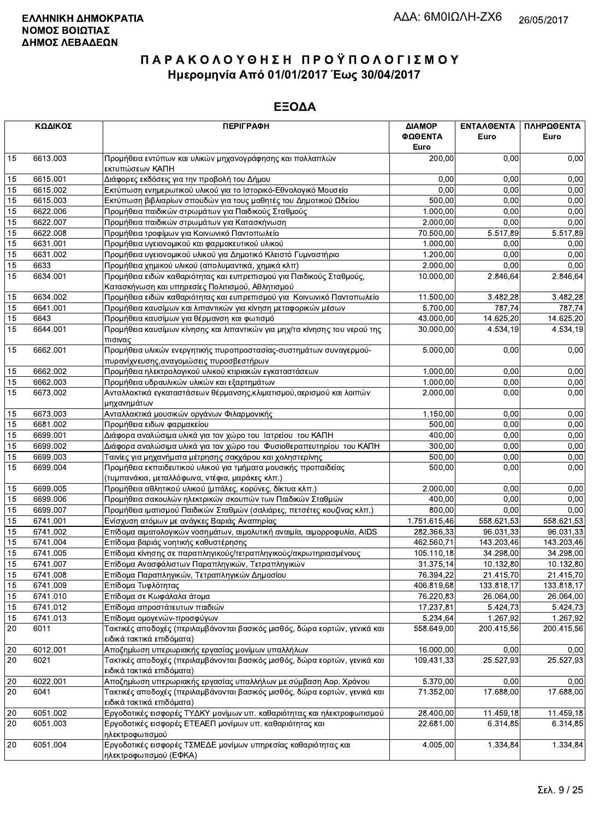|    | ΚΩΔΙΚΟΣ  | <b>ПЕРІГРАФН</b>                                                                                                   | ΔΙΑΜΟΡ<br>ΦΩΘΕΝΤΑ<br>Euro | ΕΝΤΑΛΘΕΝΤΑ<br>Euro | ΠΛΗΡΩΘΕΝΤΑ<br>Euro |
|----|----------|--------------------------------------------------------------------------------------------------------------------|---------------------------|--------------------|--------------------|
| 15 | 6613.003 | Προμήθεια εντύπων και υλικών μηχανογράφησης και πολλαπλών<br>εκτυπώσεων ΚΑΠΗ                                       | 200,00                    | 0.00               | 0,00               |
| 15 | 6615.001 | Διάφορες εκδόσεις για την προβολή του Δήμου                                                                        | 0.00                      | 0.00               | 0,00               |
| 15 | 6615.002 | Εκτύπωση ενημερωτικού υλικού για το Ιστορικό-Εθνολογικό Μουσείο                                                    | 0.00                      | 0,00               | 0,00               |
| 15 | 6615.003 | Εκτύπωση βιβλιαρίων σπουδών για τους μαθητές του Δημοτικού Ωδείου                                                  | 500,00                    | 0,00               | 0,00               |
| 15 | 6622.006 | Προμήθεια παιδικών στρωμάτων για Παιδικούς Σταθμούς                                                                | 1.000,00                  | 0,00               | 0,00               |
| 15 | 6622.007 | Προμήθεια παιδικών στρωμάτων για Κατασκήνωση                                                                       | 2.000,00                  | 0,00               | 0,00               |
| 15 | 6622.008 | Προμήθεια τροφίμων για Κοινωνικό Παντοπωλείο                                                                       | 70.500,00                 | 5.517,89           | 5.517,89           |
| 15 | 6631.001 | Προμήθεια υγειονομικού και φαρμακευτικού υλικού                                                                    | 1.000,00                  | 0,00               | 0,00               |
| 15 | 6631.002 | Προμήθεια υγειονομικού υλικού για Δημοτικό Κλειστό Γυμναστήριο                                                     | 1.200,00                  | 0.00               | 0,00               |
| 15 | 6633     | Προμήθεια χημικού υλικού (απολυμαντικά, χημικά κλπ)                                                                | 2.000,00                  | 0.00               | 0,00               |
| 15 | 6634.001 | Προμήθεια ειδών καθαριότητας και ευπρεπισμού για Παιδικούς Σταθμούς,                                               | 10.000,00                 | 2.846,64           | 2.846,64           |
|    |          | Κατασκήνωση και υπηρεσίες Πολιτισμού, Αθλητισμού                                                                   |                           |                    |                    |
| 15 | 6634.002 | Προμήθεια ειδών καθαριότητας και ευπρεπισμού για Κοινωνικό Παντοπωλείο                                             | 11.500,00                 | 3.482,28           | 3.482,28           |
| 15 | 6641.001 | Προμήθεια καυσίμων και λιπαντικών για κίνηση μεταφορικών μέσων                                                     | 5.700,00                  | 787,74             | 787,74             |
| 15 | 6643     | Προμήθεια καυσίμων για θέρμανση και φωτισμό                                                                        | 43.000,00                 | 14.625,20          | 14.625,20          |
| 15 | 6644.001 | Προμήθεια καυσίμων κίνησης και λιπαντικών για μηχ/τα κίνησης του νερού της<br>πισινας                              | 30.000,00                 | 4.534,19           | 4.534,19           |
| 15 | 6662.001 | Προμήθεια υλικών ενεργητικής πυροπροστασίας-συστημάτων συναγερμού-<br>πυρανίχνευσης, αναγομώσεις πυροσβεστήρων     | 5.000,00                  | 0,00               | 0,00               |
| 15 | 6662.002 | Προμήθεια ηλεκτρολογικού υλικού κτιριακών εγκαταστάσεων                                                            | 1.000,00                  | 0,00               | 0,00               |
| 15 | 6662.003 | Προμήθεια υδραυλικών υλικών και εξαρτημάτων                                                                        | 1.000,00                  | 0.00               | 0,00               |
| 15 | 6673.002 | Ανταλλακτικά εγκαταστάσεων θέρμανσης, κλιματισμού, αερισμού και λοιπών<br>μηχανημάτων                              | 2.000.00                  | 0.00               | 0,00               |
| 15 | 6673.003 | Ανταλλακτικά μουσικών οργάνων Φιλαρμονικής                                                                         | 1.150,00                  | 0,00               | 0,00               |
| 15 | 6681.002 | Προμήθεια ειδων φαρμακείου                                                                                         | 500,00                    | 0,00               | 0,00               |
| 15 | 6699.001 | Διάφορα αναλώσιμα υλικά για τον χώρο του Ιατρείου του ΚΑΠΗ                                                         | 400,00                    | 0,00               | 0,00               |
| 15 | 6699.002 | Διάφορα αναλώσιμα υλικά για τον χώρο του Φυσιοθεραπευτηρίου του ΚΑΠΗ                                               | 300,00                    | 0,00               | 0,00               |
| 15 | 6699.003 | Ταινίες για μηχανήματα μέτρησης σακχάρου και χοληστερίνης                                                          | 500,00                    | 0.00               | 0,00               |
| 15 | 6699.004 | Προμήθεια εκπαιδευτικού υλικού για τμήματα μουσικής προπαιδείας<br>(τυμπανάκια, μεταλλόφωνα, ντέφια, μαράκες κλπ.) | 500,00                    | 0,00               | 0,00               |
| 15 | 6699.005 | Προμήθεια αθλητικού υλικού (μπάλες, κορύνες, δίκτυα κλπ.)                                                          | 2.000,00                  | 0,00               | 0,00               |
| 15 | 6699.006 | Προμήθεια σακουλών ηλεκτρικών σκουπών των Παιδικών Σταθμών                                                         | 400,00                    | 0.00               | 0,00               |
| 15 | 6699.007 | Προμήθεια ιματισμού Παιδικών Σταθμών (σαλιάρες, πετσέτες κουζίνας κλπ.)                                            | 800,00                    | 0.00               | 0,00               |
| 15 | 6741.001 | Ενίσχυση ατόμων με ανάγκες Βαριάς Αναπηρίας                                                                        | 1.751.615,46              | 558.621,53         | 558.621,53         |
| 15 | 6741.002 | Επίδομα αιματολογικών νοσημάτων, αιμολυτική αναιμία, αιμορροφυλία, AIDS                                            | 282.366,33                | 96.031,33          | 96.031,33          |
| 15 | 6741.004 | Επίδομα βαριάς νοητικής καθυστέρησης                                                                               | 462.560,71                | 143.203,46         | 143.203,46         |
| 15 | 6741.005 | Επίδομα κίνησης σε παραπληγικούς/τετραπληγικούς/ακρωτηριασμένους                                                   | 105.110,18                | 34.298,00          | 34.298,00          |
| 15 | 6741.007 | Επίδομα Ανασφάλιστων Παραπληγικών, Τετραπληγικών                                                                   | 31.375,14                 | 10.132,80          | 10.132,80          |
| 15 | 6741.008 | Επίδομα Παραπληγικών, Τετραπληγικών Δημοσίου                                                                       | 76.394,22                 | 21.415,70          | 21.415,70          |
| 15 | 6741.009 | Επίδομα Τυφλότητας                                                                                                 | 406.819,68                | 133.818,17         | 133.818,17         |
| 15 | 6741.010 | Επίδομα σε Κωφάλαλα άτομα                                                                                          | 76.220,83                 | 26.064,00          | 26.064,00          |
| 15 | 6741.012 | Επίδομα απροστάτευτων παιδιών                                                                                      | 17.237,81                 | 5.424,73           | 5.424,73           |
| 15 | 6741.013 | Επίδομα ομογενών-προσφύγων                                                                                         | 5.234,64                  | 1.267,92           | 1.267,92           |
| 20 | 6011     | Τακτικές αποδοχές (περιλαμβάνονται βασικός μισθός, δώρα εορτών, γενικά και<br>ειδικά τακτικά επιδόματα)            | 558.649,00                | 200.415,56         | 200.415,56         |
| 20 | 6012.001 | Αποζημίωση υπερωριακής εργασίας μονίμων υπαλλήλων                                                                  | 16.000,00                 | 0,00               | 0,00               |
| 20 | 6021     | Τακτικές αποδοχές (περιλαμβάνονται βασικός μισθός, δώρα εορτών, γενικά και                                         | 109.431,33                | 25.527,93          | 25.527,93          |
|    |          | ειδικά τακτικά επιδόματα)                                                                                          |                           |                    |                    |
| 20 | 6022.001 | Αποζημίωση υπερωριακής εργασίας υπαλλήλων με σύμβαση Αορ. Χρόνου                                                   | 5.370,00                  | 0,00<br>17.688,00  | 0,00               |
| 20 | 6041     | Τακτικές αποδοχές (περιλαμβάνονται βασικός μισθός, δώρα εορτών, γενικά και<br>ειδικά τακτικά επιδόματα)            | 71.352,00                 |                    | 17.688,00          |
| 20 | 6051.002 | Εργοδοτικές εισφορές ΤΥΔΚΥ μονίμων υπ. καθαριότητας και ηλεκτροφωτισμού                                            | 28.400,00                 | 11.459,18          | 11.459,18          |
| 20 | 6051.003 | Εργοδοτικές εισφορές ΕΤΕΑΕΠ μονίμων υπ. καθαριότητας και<br>ηλεκτροφωτισμού                                        | 22.681,00                 | 6.314,85           | 6.314,85           |
| 20 | 6051.004 | Εργοδοτικές εισφορές ΤΣΜΕΔΕ μονίμων υπηρεσίας καθαριότητας και<br>ηλεκτροφωτισμού (ΕΦΚΑ)                           | 4.005,00                  | 1.334,84           | 1.334,84           |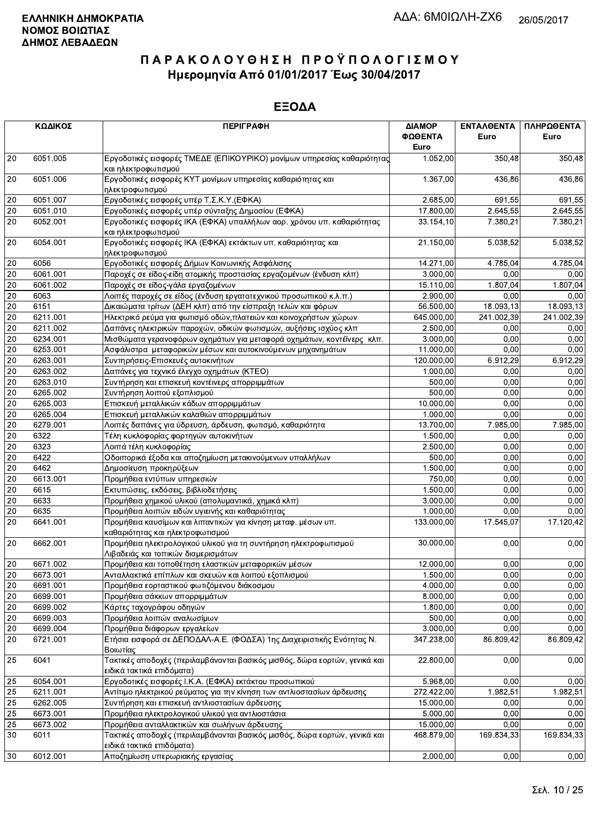|           | ΚΩΔΙΚΟΣ  | <b>ПЕРІГРАФН</b>                                                                                        | ΔΙΑΜΟΡ<br>ΦΩΘΕΝΤΑ<br>Euro | <b>ENTAA@ENTA</b><br>Euro | ΠΛΗΡΩΘΕΝΤΑ<br>Euro |
|-----------|----------|---------------------------------------------------------------------------------------------------------|---------------------------|---------------------------|--------------------|
| 20        | 6051.005 | Εργοδοτικές εισφορές ΤΜΕΔΕ (ΕΠΙΚΟΥΡΙΚΟ) μονίμων υπηρεσίας καθαριότητας<br>και ηλεκτροφωτισμού           | 1.052,00                  | 350,48                    | 350,48             |
| 20        | 6051.006 | Εργοδοτικές εισφορές ΚΥΤ μονίμων υπηρεσίας καθαριότητας και<br>ηλεκτροφωτισμού                          | 1.367,00                  | 436,86                    | 436,86             |
| 20        | 6051.007 | Εργοδοτικές εισφορές υπέρ Τ.Σ.Κ.Υ. (ΕΦΚΑ)                                                               | 2.685,00                  | 691,55                    | 691,55             |
| 20        | 6051.010 | Εργοδοτικές εισφορές υπέρ σύνταξης Δημοσίου (ΕΦΚΑ)                                                      | 17.800,00                 | 2.645,55                  | 2.645,55           |
| 20        | 6052.001 | Εργοδοτικές εισφορές ΙΚΑ (ΕΦΚΑ) υπαλλήλων αορ. χρόνου υπ. καθαριότητας<br>και ηλεκτροφωτισμού           | 33.154, 10                | 7.380,21                  | 7.380,21           |
| 20        | 6054.001 | Εργοδοτικές εισφορές ΙΚΑ (ΕΦΚΑ) εκτάκτων υπ. καθαριότητας και<br>ηλεκτροφωτισμού                        | 21.150,00                 | 5.038,52                  | 5.038,52           |
| 20        | 6056     | Εργοδοτικές εισφορές Δήμων Κοινωνικής Ασφάλισης                                                         | 14.271.00                 | 4.785,04                  | 4.785,04           |
| 20        | 6061.001 | Παροχές σε είδος-είδη ατομικής προστασίας εργαζομένων (ένδυση κλπ)                                      | 3.000,00                  | 0,00                      | 0,00               |
| 20        | 6061.002 | Παροχές σε είδος-γάλα εργαζομένων                                                                       | 15.110,00                 | 1.807,04                  | 1.807,04           |
| 20        | 6063     | Λοιπές παροχές σε είδος (ένδυση εργατοτεχνικού προσωπικού κ.λ.π.)                                       | 2.900,00                  | 0,00                      | 0,00               |
| 20        | 6151     | Δικαιώματα τρίτων (ΔΕΗ κλπ) από την είσπραξη τελών και φόρων                                            | 56.500,00                 | 18.093,13                 | 18.093,13          |
| 20        | 6211.001 | Ηλεκτρικό ρεύμα για φωτισμό οδών, πλατειών και κοινοχρήστων χώρων                                       | 645.000,00                | 241.002,39                | 241.002,39         |
| 20        | 6211.002 | Δαπάνες ηλεκτρικών παροχών, οδικών φωτισμών, αυξήσεις ισχύος κλπ                                        | 2.500,00                  | 0,00                      | 0,00               |
| 20        | 6234.001 | Μισθώματα γερανοφόρων οχημάτων για μεταφορά οχημάτων, κοντέϊνερς κλπ.                                   | 3.000,00                  | 0,00                      | 0,00               |
| 20        | 6253.001 | Ασφάλιστρα μεταφορικών μέσων και αυτοκινούμενων μηχανημάτων                                             | 11.000,00                 | 0,00                      | 0,00               |
| 20        | 6263.001 | Συντηρήσεις-Επισκευές αυτοκινήτων                                                                       | 120.000,00                | 6.912,29                  | 6.912,29           |
| $20\,$    | 6263.002 | Δαπάνες για τεχνικό έλεγχο οχημάτων (ΚΤΕΟ)                                                              | 1.000,00                  | 0,00                      | 0,00               |
| 20        | 6263.010 | Συντήρηση και επισκευή κοντέινερς απορριμμάτων                                                          | 500,00                    | 0,00                      | 0,00               |
| 20        | 6265.002 | Συντήρηση λοιπού εξοπλισμού                                                                             | 500,00                    | 0,00                      | 0,00               |
| 20        | 6265.003 | Επισκευή μεταλλικών κάδων απορριμμάτων                                                                  | 10.000,00                 | 0,00                      | 0,00               |
| 20        | 6265.004 | Επισκευή μεταλλικών καλαθιών απορριμμάτων                                                               | 1.000,00                  | 0,00                      | 0,00               |
| $20\,$    | 6279.001 | Λοιπές δαπάνες για ύδρευση, άρδευση, φωτισμό, καθαριότητα                                               | 13.700,00                 | 7.985,00                  | 7.985,00           |
| 20        | 6322     | Τέλη κυκλοφορίας φορτηγών αυτοκινήτων                                                                   | 1.500,00                  | 0,00                      | 0,00               |
| 20        | 6323     | Λοιπά τέλη κυκλοφορίας                                                                                  | 2.500,00                  | 0,00                      | 0,00               |
| 20        | 6422     | Οδοιπορικά έξοδα και αποζημίωση μετακινούμενων υπαλλήλων                                                | 500,00                    | 0,00                      | 0,00               |
| 20        | 6462     | Δημοσίευση προκηρύξεων                                                                                  | 1.500,00                  | 0.00                      | 0,00               |
| 20        | 6613.001 | Προμήθεια εντύπων υπηρεσιών                                                                             | 750,00                    | 0,00                      | 0,00               |
| 20        | 6615     | Εκτυπώσεις, εκδόσεις, βιβλιοδετήσεις                                                                    | 1.500,00                  | 0,00                      | 0,00               |
| 20        | 6633     | Προμήθεια χημικού υλικού (απολυμαντικά, χημικά κλπ)                                                     | 3.000,00                  | 0,00                      | 0,00               |
| 20        | 6635     | Προμήθεια λοιπών ειδών υγιεινής και καθαριότητας                                                        | 1.000,00                  | 0,00                      | 0,00               |
| 20        | 6641.001 | Προμήθεια καυσίμων και λιπαντικών για κίνηση μεταφ. μέσων υπ.<br>καθαριότητας και ηλεκτροφωτισμού       | 133.000,00                | 17.545,07                 | 17.120,42          |
| 20        | 6662.001 | Προμήθεια ηλεκτρολογικού υλικού για τη συντήρηση ηλεκτροφωτισμού<br>Λιβαδειάς και τοπικών διαμερισμάτων | 30.000,00                 | 0,00                      | 0,00               |
| <b>20</b> | 6671.002 | Προμήθεια και τοποθέτηση ελαστικών μεταφορικών μέσων                                                    | 12.000,00                 | 0,00                      | 0,00               |
| 20        | 6673.001 | Ανταλλακτικά επίπλων και σκευών και λοιπού εξοπλισμού                                                   | 1.500,00                  | 0,00                      | 0,00               |
| 20        | 6691.001 | Προμήθεια εορταστικού φωτιζόμενου διάκοσμου                                                             | 4.000,00                  | 0,00                      | 0,00               |
| 20        | 6699.001 | Προμήθεια σάκκων απορριμμάτων                                                                           | 8.000,00                  | 0,00                      | 0,00               |
| 20        | 6699.002 | Κάρτες ταχογράφου οδηγών                                                                                | 1.800,00                  | 0,00                      | 0,00               |
| 20        | 6699.003 | Προμήθεια λοιπών αναλωσίμων                                                                             | 500,00                    | 0,00                      | 0,00               |
| 20        | 6699.004 | Προμήθεια διάφορων εργαλείων                                                                            | 3.000,00                  | 0,00                      | 0,00               |
| 20        | 6721.001 | Ετήσια εισφορά σε ΔΕΠΟΔΑΛ-Α.Ε. (ΦΟΔΣΑ) 1ης Διαχειριστικής Ενότητας Ν.<br>Βοιωτίας                       | 347.238,00                | 86.809,42                 | 86.809,42          |
| 25        | 6041     | Τακτικές αποδοχές (περιλαμβάνονται βασικός μισθός, δώρα εορτών, γενικά και<br>ειδικά τακτικά επιδόματα) | 22.800,00                 | 0.00                      | 0,00               |
| $\mid$ 25 | 6054.001 | Εργοδοτικές εισφορές Ι.Κ.Α. (ΕΦΚΑ) εκτάκτου προσωπικού                                                  | 5.968,00                  | 0,00                      | 0,00               |
| 25        | 6211.001 | Αντίτιμο ηλεκτρικού ρεύματος για την κίνηση των αντλιοστασίων άρδευσης                                  | 272.422,00                | 1.982,51                  | 1.982,51           |
| 25        | 6262.005 | Συντήρηση και επισκευή αντλιοστασίων άρδευσης                                                           | 15.000,00                 | 0,00                      | 0,00               |
| 25        | 6673.001 | Προμήθεια ηλεκτρολογικού υλικού για αντλιοστάσια                                                        | 5.000,00                  | 0,00                      | 0,00               |
| 25        | 6673.002 | Προμήθεια ανταλλακτικών και σωλήνων άρδευσης                                                            | 15.000,00                 | 0,00                      | 0,00               |
| 30        | 6011     | Τακτικές αποδοχές (περιλαμβάνονται βασικός μισθός, δώρα εορτών, γενικά και<br>ειδικά τακτικά επιδόματα) | 468.879,00                | 169.834,33                | 169.834,33         |
| 30        | 6012.001 | Αποζημίωση υπερωριακής εργασίας                                                                         | 2.000,00                  | 0,00                      | 0,00               |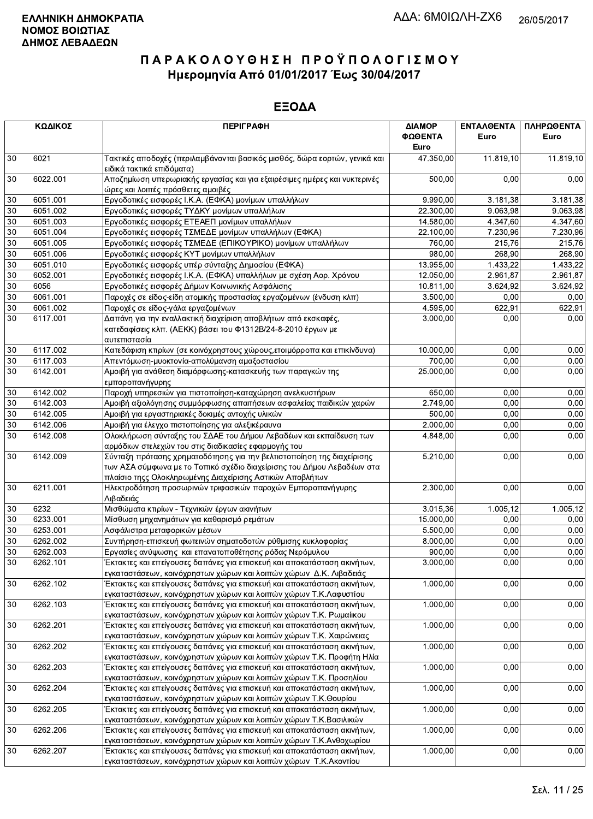|    | ΚΩΔΙΚΟΣ  | <b>ПЕРІГРАФН</b>                                                                                                                                                                                             | ΔΙΑΜΟΡ    | ΕΝΤΑΛΘΕΝΤΑ | ΠΛΗΡΩΘΕΝΤΑ |
|----|----------|--------------------------------------------------------------------------------------------------------------------------------------------------------------------------------------------------------------|-----------|------------|------------|
|    |          |                                                                                                                                                                                                              | ΦΩΘΕΝΤΑ   | Euro       | Euro       |
|    |          |                                                                                                                                                                                                              | Euro      |            |            |
| 30 | 6021     | Τακτικές αποδοχές (περιλαμβάνονται βασικός μισθός, δώρα εορτών, γενικά και<br>ειδικά τακτικά επιδόματα)                                                                                                      | 47.350,00 | 11.819,10  | 11.819,10  |
| 30 | 6022.001 | Αποζημίωση υπερωριακής εργασίας και για εξαιρέσιμες ημέρες και νυκτερινές<br>ώρες και λοιπές πρόσθετες αμοιβές                                                                                               | 500,00    | 0,00       | 0,00       |
| 30 | 6051.001 | Εργοδοτικές εισφορές Ι.Κ.Α. (ΕΦΚΑ) μονίμων υπαλλήλων                                                                                                                                                         | 9.990,00  | 3.181,38   | 3.181,38   |
| 30 | 6051.002 | Εργοδοτικές εισφορές ΤΥΔΚΥ μονίμων υπαλλήλων                                                                                                                                                                 | 22.300,00 | 9.063,98   | 9.063,98   |
| 30 | 6051.003 | Εργοδοτικές εισφορές ΕΤΕΑΕΠ μονίμων υπαλλήλων                                                                                                                                                                | 14.580,00 | 4.347,60   | 4.347,60   |
| 30 | 6051.004 | Εργοδοτικές εισφορές ΤΣΜΕΔΕ μονίμων υπαλλήλων (ΕΦΚΑ)                                                                                                                                                         | 22.100,00 | 7.230,96   | 7.230,96   |
| 30 | 6051.005 | Εργοδοτικές εισφορές ΤΣΜΕΔΕ (ΕΠΙΚΟΥΡΙΚΟ) μονίμων υπαλλήλων                                                                                                                                                   | 760,00    | 215,76     | 215,76     |
| 30 | 6051.006 | Εργοδοτικές εισφορές ΚΥΤ μονίμων υπαλλήλων                                                                                                                                                                   | 980,00    | 268,90     | 268,90     |
| 30 | 6051.010 | Εργοδοτικές εισφορές υπέρ σύνταξης Δημοσίου (ΕΦΚΑ)                                                                                                                                                           | 13.955,00 | 1.433,22   | 1.433,22   |
| 30 | 6052.001 | Εργοδοτικές εισφορές Ι.Κ.Α. (ΕΦΚΑ) υπαλλήλων με σχέση Αορ. Χρόνου                                                                                                                                            | 12.050,00 | 2.961,87   | 2.961,87   |
| 30 | 6056     | Εργοδοτικές εισφορές Δήμων Κοινωνικής Ασφάλισης                                                                                                                                                              | 10.811,00 | 3.624,92   | 3.624,92   |
| 30 | 6061.001 | Παροχές σε είδος-είδη ατομικής προστασίας εργαζομένων (ένδυση κλπ)                                                                                                                                           | 3.500,00  | 0,00       | 0,00       |
| 30 | 6061.002 | Παροχές σε είδος-γάλα εργαζομένων                                                                                                                                                                            | 4.595,00  | 622,91     | 622,91     |
| 30 | 6117.001 | Δαπάνη για την εναλλακτική διαχείριση αποβλήτων από εκσκαφές,<br>κατεδαφίσεις κλπ. (ΑΕΚΚ) βάσει του Φ1312Β/24-8-2010 έργων με<br>αυτεπιστασία                                                                | 3.000,00  | 0,00       | 0,00       |
| 30 | 6117.002 | Κατεδάφιση κτιρίων (σε κοινόχρηστους χώρους, ετοιμόρροπα και επικίνδυνα)                                                                                                                                     | 10.000,00 | 0,00       | 0,00       |
| 30 | 6117.003 | Απεντόμωση-μυοκτονία-απολύμανση αμαξοστασίου                                                                                                                                                                 | 700,00    | 0,00       | 0,00       |
| 30 | 6142.001 | Αμοιβή για ανάθεση διαμόρφωσης-κατασκευής των παραγκών της<br>εμποροπανήγυρης                                                                                                                                | 25.000,00 | 0,00       | 0,00       |
| 30 | 6142.002 | Παροχή υπηρεσιών για πιστοποίηση-καταχώρηση ανελκυστήρων                                                                                                                                                     | 650,00    | 0,00       | 0,00       |
| 30 | 6142.003 | Αμοιβή αξιολόγησης συμμόρφωσης απαιτήσεων ασφαλείας παιδικών χαρών                                                                                                                                           | 2.749,00  | 0.00       | 0,00       |
| 30 | 6142.005 | Αμοιβή για εργαστηριακές δοκιμές αντοχής υλικών                                                                                                                                                              | 500,00    | 0,00       | 0,00       |
| 30 | 6142.006 | Αμοιβή για έλεγχο πιστοποίησης για αλεξικέραυνα                                                                                                                                                              | 2.000,00  | 0,00       | 0,00       |
| 30 | 6142.008 | Ολοκλήρωση σύνταξης του ΣΔΑΕ του Δήμου Λεβαδέων και εκπαίδευση των                                                                                                                                           | 4.848,00  | 0,00       | 0,00       |
|    |          | αρμόδιων στελεχών του στις διαδικασίες εφαρμογής του                                                                                                                                                         |           |            |            |
| 30 | 6142.009 | Σύνταξη πρότασης χρηματοδότησης για την βελτιστοποίηση της διαχείρισης<br>των ΑΣΑ σύμφωνα με το Τοπικό σχέδιο διαχείρισης του Δήμου Λεβαδέων στα<br>πλαίσιο τηςς Ολοκληρωμένης Διαχείρισης Αστικών Αποβλήτων | 5.210,00  | 0,00       | 0,00       |
| 30 | 6211.001 | Ηλεκτροδότηση προσωρινών τριφασικών παροχών Εμποροπανήγυρης                                                                                                                                                  | 2.300,00  | 0,00       | 0,00       |
| 30 | 6232     | Λιβαδειάς<br>Μισθώματα κτιρίων - Τεχνικών έργων ακινήτων                                                                                                                                                     | 3.015,36  | 1.005,12   | 1.005,12   |
| 30 | 6233.001 | Μίσθωση μηχανημάτων για καθαρισμό ρεμάτων                                                                                                                                                                    | 15.000,00 | 0,00       | 0,00       |
| 30 | 6253.001 | Ασφάλιστρα μεταφορικών μέσων                                                                                                                                                                                 | 5.500,00  | 0,00       | 0,00       |
| 30 | 6262.002 | Συντήρηση-επισκευή φωτεινών σηματοδοτών ρύθμισης κυκλοφορίας                                                                                                                                                 | 8.000,00  | 0.00       | 0,00       |
| 30 | 6262.003 | Εργασίες ανύψωσης και επανατοποθέτησης ρόδας Νερόμυλου                                                                                                                                                       | 900,00    | 0,00       | 0,00       |
| 30 | 6262.101 | Έκτακτες και επείγουσες δαπάνες για επισκευή και αποκατάσταση ακινήτων,                                                                                                                                      | 3.000,00  | 0,00       | 0,00       |
|    |          | εγκαταστάσεων, κοινόχρηστων χώρων και λοιπών χώρων Δ.Κ. Λιβαδειάς                                                                                                                                            |           |            |            |
| 30 | 6262.102 | Έκτακτες και επείγουσες δαπάνες για επισκευή και αποκατάσταση ακινήτων,                                                                                                                                      | 1.000,00  | 0,00       | 0,00       |
|    |          | εγκαταστάσεων, κοινόχρηστων χώρων και λοιπών χώρων Τ.Κ.Λαφυστίου                                                                                                                                             |           |            |            |
| 30 | 6262.103 | Έκτακτες και επείγουσες δαπάνες για επισκευή και αποκατάσταση ακινήτων,                                                                                                                                      | 1.000,00  | 0,00       | 0,00       |
|    |          | εγκαταστάσεων, κοινόχρηστων χώρων και λοιπών χώρων Τ.Κ. Ρωμαίικου                                                                                                                                            |           |            |            |
| 30 | 6262.201 | Έκτακτες και επείγουσες δαπάνες για επισκευή και αποκατάσταση ακινήτων,                                                                                                                                      | 1.000,00  | 0,00       | 0,00       |
|    |          | εγκαταστάσεων, κοινόχρηστων χώρων και λοιπών χώρων Τ.Κ. Χαιρώνειας                                                                                                                                           |           |            |            |
| 30 | 6262.202 | Έκτακτες και επείγουσες δαπάνες για επισκευή και αποκατάσταση ακινήτων,                                                                                                                                      | 1.000,00  | 0,00       | 0,00       |
|    |          | εγκαταστάσεων, κοινόχρηστων χώρων και λοιπών χώρων Τ.Κ. Προφήτη Ηλία                                                                                                                                         |           |            |            |
| 30 | 6262.203 | Έκτακτες και επείγουσες δαπάνες για επισκευή και αποκατάσταση ακινήτων,<br>εγκαταστάσεων, κοινόχρηστων χώρων και λοιπών χώρων Τ.Κ. Προσηλίου                                                                 | 1.000,00  | 0,00       | 0,00       |
| 30 | 6262.204 | Έκτακτες και επείγουσες δαπάνες για επισκευή και αποκατάσταση ακινήτων,<br>εγκαταστάσεων, κοινόχρηστων χώρων και λοιπών χώρων Τ.Κ.Θουρίου                                                                    | 1.000,00  | 0,00       | 0,00       |
| 30 | 6262.205 | Έκτακτες και επείγουσες δαπάνες για επισκευή και αποκατάσταση ακινήτων,<br>εγκαταστάσεων, κοινόχρηστων χώρων και λοιπών χώρων Τ.Κ.Βασιλικών                                                                  | 1.000,00  | 0,00       | 0,00       |
| 30 | 6262.206 | Έκτακτες και επείγουσες δαπάνες για επισκευή και αποκατάσταση ακινήτων,                                                                                                                                      | 1.000,00  | 0,00       | 0,00       |
|    |          | εγκαταστάσεων, κοινόχρηστων χώρων και λοιπών χώρων Τ.Κ.Ανθοχωρίου                                                                                                                                            |           |            |            |
| 30 | 6262.207 | Έκτακτες και επείγουσες δαπάνες για επισκευή και αποκατάσταση ακινήτων,                                                                                                                                      | 1.000,00  | 0,00       | 0,00       |
|    |          | εγκαταστάσεων, κοινόχρηστων χώρων και λοιπών χώρων Τ.Κ. Ακοντίου                                                                                                                                             |           |            |            |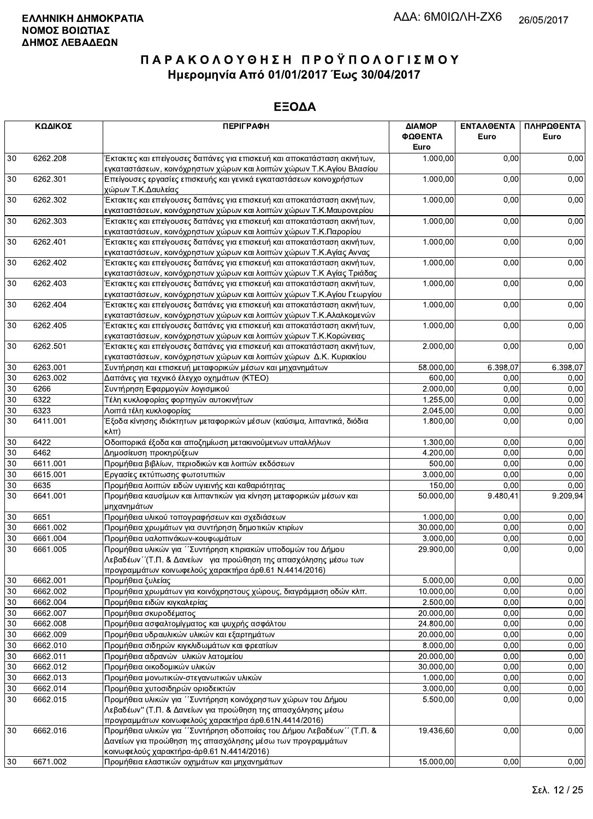|    | ΚΩΔΙΚΟΣ  | <b>ПЕРІГРАФН</b>                                                                                                                                                                           | ΔΙΑΜΟΡ<br>ΦΩΘΕΝΤΑ<br>Euro | <b>ENTAAOENTA</b><br>Euro | ΠΛΗΡΩΘΕΝΤΑ<br>Euro |
|----|----------|--------------------------------------------------------------------------------------------------------------------------------------------------------------------------------------------|---------------------------|---------------------------|--------------------|
| 30 | 6262.208 | Έκτακτες και επείγουσες δαπάνες για επισκευή και αποκατάσταση ακινήτων,                                                                                                                    | 1.000,00                  | 0,00                      | 0,00               |
|    |          | εγκαταστάσεων, κοινόχρηστων χώρων και λοιπών χώρων Τ.Κ.Αγίου Βλασίου                                                                                                                       |                           |                           |                    |
| 30 | 6262.301 | Επείγουσες εργασίες επισκευής και γενικά εγκαταστάσεων κοινοχρήστων<br>χώρων Τ.Κ.Δαυλείας                                                                                                  | 1.000,00                  | 0,00                      | 0,00               |
| 30 | 6262.302 | Έκτακτες και επείγουσες δαπάνες για επισκευή και αποκατάσταση ακινήτων,<br>εγκαταστάσεων, κοινόχρηστων χώρων και λοιπών χώρων Τ.Κ.Μαυρονερίου                                              | 1.000,00                  | 0,00                      | 0,00               |
| 30 | 6262.303 | Έκτακτες και επείγουσες δαπάνες για επισκευή και αποκατάσταση ακινήτων,<br>εγκαταστάσεων, κοινόχρηστων χώρων και λοιπών χώρων Τ.Κ.Παρορίου                                                 | 1.000,00                  | 0,00                      | 0,00               |
| 30 | 6262.401 | Έκτακτες και επείγουσες δαπάνες για επισκευή και αποκατάσταση ακινήτων,<br>εγκαταστάσεων, κοινόχρηστων χώρων και λοιπών χώρων Τ.Κ.Αγίας Αννας                                              | 1.000,00                  | 0,00                      | 0,00               |
| 30 | 6262.402 | Έκτακτες και επείγουσες δαπάνες για επισκευή και αποκατάσταση ακινήτων,<br>εγκαταστάσεων, κοινόχρηστων χώρων και λοιπών χώρων Τ.Κ Αγίας Τριάδας                                            | 1.000,00                  | 0,00                      | 0,00               |
| 30 | 6262.403 | Έκτακτες και επείγουσες δαπάνες για επισκευή και αποκατάσταση ακινήτων,<br>εγκαταστάσεων, κοινόχρηστων χώρων και λοιπών χώρων Τ.Κ.Αγίου Γεωργίου                                           | 1.000,00                  | 0.00                      | 0,00               |
| 30 | 6262.404 | Έκτακτες και επείγουσες δαπάνες για επισκευή και αποκατάσταση ακινήτων,<br>εγκαταστάσεων, κοινόχρηστων χώρων και λοιπών χώρων Τ.Κ.Αλαλκομενών                                              | 1.000,00                  | 0,00                      | 0,00               |
| 30 | 6262.405 | Έκτακτες και επείγουσες δαπάνες για επισκευή και αποκατάσταση ακινήτων,<br>εγκαταστάσεων, κοινόχρηστων χώρων και λοιπών χώρων Τ.Κ.Κορώνειας                                                | 1.000,00                  | 0,00                      | 0,00               |
| 30 | 6262.501 | Έκτακτες και επείγουσες δαπάνες για επισκευή και αποκατάσταση ακινήτων,<br>εγκαταστάσεων, κοινόχρηστων χώρων και λοιπών χώρων Δ.Κ. Κυριακίου                                               | 2.000,00                  | 0,00                      | 0,00               |
| 30 | 6263.001 | Συντήρηση και επισκευή μεταφορικών μέσων και μηχανημάτων                                                                                                                                   | 58.000,00                 | 6.398,07                  | 6.398,07           |
| 30 | 6263.002 | Δαπάνες για τεχνικό έλεγχο οχημάτων (ΚΤΕΟ)                                                                                                                                                 | 600,00                    | 0,00                      | 0,00               |
| 30 | 6266     | Συντήρηση Εφαρμογών λογισμικού                                                                                                                                                             | 2.000,00                  | 0,00                      | 0,00               |
| 30 | 6322     | Τέλη κυκλοφορίας φορτηγών αυτοκινήτων                                                                                                                                                      | 1.255,00                  | 0,00                      | 0,00               |
| 30 | 6323     | Λοιπά τέλη κυκλοφορίας                                                                                                                                                                     | 2.045,00                  | 0,00                      | 0,00               |
| 30 | 6411.001 | Έξοδα κίνησης ιδιόκτητων μεταφορικών μέσων (καύσιμα, λιπαντικά, διόδια<br>$\kappa\lambda\pi$                                                                                               | 1.800,00                  | 0,00                      | 0,00               |
| 30 | 6422     | Οδοιπορικά έξοδα και αποζημίωση μετακινούμενων υπαλλήλων                                                                                                                                   | 1.300,00                  | 0,00                      | 0,00               |
| 30 | 6462     | Δημοσίευση προκηρύξεων                                                                                                                                                                     | 4.200,00                  | 0.00                      | 0,00               |
| 30 | 6611.001 | Προμήθεια βιβλίων, περιοδικών και λοιπών εκδόσεων                                                                                                                                          | 500,00                    | 0,00                      | 0,00               |
| 30 | 6615.001 | Εργασίες εκτύπωσης φωτοτυπιών                                                                                                                                                              | 3.000,00                  | 0,00                      | 0,00               |
| 30 | 6635     | Προμήθεια λοιπών ειδών υγιεινής και καθαριότητας                                                                                                                                           | 150,00                    | 0,00                      | 0,00               |
| 30 | 6641.001 | Προμήθεια καυσίμων και λιπαντικών για κίνηση μεταφορικών μέσων και<br>μηχανημάτων                                                                                                          | 50.000,00                 | 9.480,41                  | 9.209,94           |
| 30 | 6651     | Προμήθεια υλικού τοπογραφήσεων και σχεδιάσεων                                                                                                                                              | 1.000,00                  | 0,00                      | 0,00               |
| 30 | 6661.002 | Προμήθεια χρωμάτων για συντήρηση δημοτικών κτιρίων                                                                                                                                         | 30.000,00                 | 0,00                      | 0,00               |
| 30 | 6661.004 | Προμήθεια υαλοπινάκων-κουφωμάτων                                                                                                                                                           | 3.000,00                  | 0,00                      | 0,00               |
| 30 | 6661.005 | Προμήθεια υλικών για ΄ Συντήρηση κτιριακών υποδομών του Δήμου<br>Λεβαδέων "(Τ.Π. & Δανείων για προώθηση της απασχόλησης μέσω των<br>προγραμμάτων κοινωφελούς χαρακτήρα άρθ.61 Ν.4414/2016) | 29.900,00                 | 0,00                      | 0,00               |
| 30 | 6662.001 | Προμήθεια ξυλείας                                                                                                                                                                          | 5.000,00                  | 0.00                      | 0,00               |
| 30 | 6662.002 | Προμήθεια χρωμάτων για κοινόχρηστους χώρους, διαγράμμιση οδών κλπ.                                                                                                                         | 10.000,00                 | 0,00                      | 0,00               |
| 30 | 6662.004 | Προμήθεια ειδών κιγκαλερίας                                                                                                                                                                | 2.500,00                  | 0,00                      | 0,00               |
| 30 | 6662.007 | Προμήθεια σκυροδέματος                                                                                                                                                                     | 20.000,00                 | 0,00                      | 0,00               |
| 30 | 6662.008 | Προμήθεια ασφαλτομίγματος και ψυχρής ασφάλτου                                                                                                                                              | 24.800,00                 | 0,00                      | 0,00               |
| 30 | 6662.009 | Προμήθεια υδραυλικών υλικών και εξαρτημάτων                                                                                                                                                | 20.000,00                 | 0,00                      | 0,00               |
| 30 | 6662.010 | Προμήθεια σιδηρών κιγκλιδωμάτων και φρεατίων                                                                                                                                               | 8.000,00                  | 0,00                      | 0,00               |
| 30 | 6662.011 | Προμήθεια αδρανών υλικών λατομείου                                                                                                                                                         | 20.000,00                 | 0,00                      | 0,00               |
| 30 | 6662.012 | Προμήθεια οικοδομικών υλικών                                                                                                                                                               | 30.000,00                 | 0,00                      | 0,00               |
| 30 | 6662.013 | Προμήθεια μονωτικών-στεγανωτικών υλικών                                                                                                                                                    | 1.000,00                  | 0,00                      | 0,00               |
| 30 | 6662.014 | Προμήθεια χυτοσιδηρών οριοδεικτών                                                                                                                                                          | 3.000,00                  | 0,00                      | 0,00               |
| 30 | 6662.015 | Προμήθεια υλικών για "Συντήρηση κοινόχρηστων χώρων του Δήμου<br>Λεβαδέων" (Τ.Π. & Δανείων για προώθηση της απασχόλησης μέσω<br>προγραμμάτων κοινωφελούς χαρακτήρα άρθ.61Ν.4414/2016)       | 5.500,00                  | 0,00                      | 0,00               |
| 30 | 6662.016 | Προμήθεια υλικών για "Συντήρηση οδοποιίας του Δήμου Λεβαδέων" (Τ.Π. &<br>Δανείων για προώθηση της απασχόλησης μέσω των προγραμμάτων<br>κοινωφελούς χαρακτήρα-άρθ.61 Ν.4414/2016)           | 19.436,60                 | 0,00                      | 0,00               |
| 30 | 6671.002 | Προμήθεια ελαστικών οχημάτων και μηχανημάτων                                                                                                                                               | 15.000,00                 | 0,00                      | 0,00               |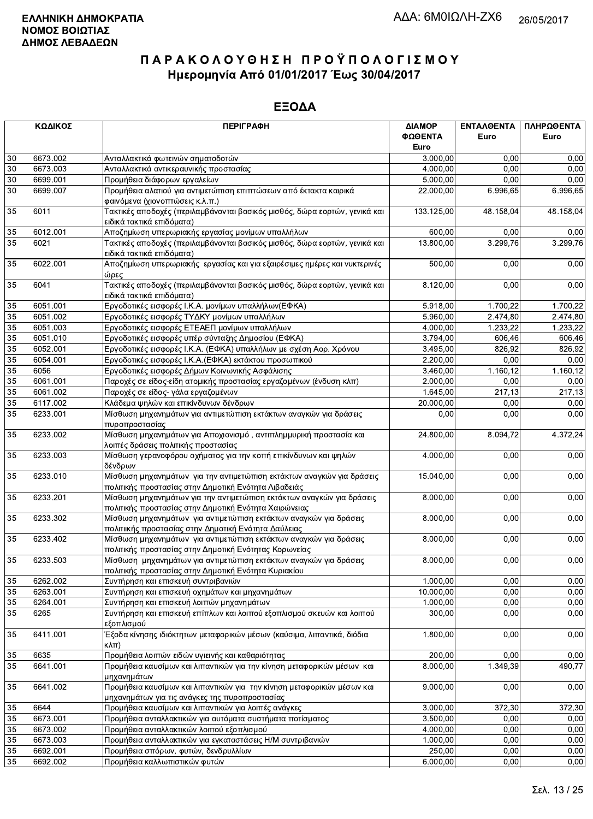| ΚΩΔΙΚΟΣ         |          | <b>ПЕРІГРАФН</b>                                                                                                              | ΔΙΑΜΟΡ     | ΕΝΤΑΛΘΕΝΤΑ | ΠΛΗΡΩΘΕΝΤΑ |
|-----------------|----------|-------------------------------------------------------------------------------------------------------------------------------|------------|------------|------------|
|                 |          |                                                                                                                               | ΦΩΘΕΝΤΑ    | Euro       | Euro       |
|                 |          |                                                                                                                               | Euro       |            |            |
| 30              | 6673.002 | Ανταλλακτικά φωτεινών σηματοδοτών                                                                                             | 3.000,00   | 0,00       | 0,00       |
| 30              | 6673.003 | Ανταλλακτικά αντικεραυνικής προστασίας                                                                                        | 4.000,00   | 0.00       | 0,00       |
| 30              | 6699.001 | Προμήθεια διάφορων εργαλείων                                                                                                  | 5.000,00   | 0,00       | 0,00       |
| 30              | 6699.007 | Προμήθεια αλατιού για αντιμετώπιση επιπτώσεων από έκτακτα καιρικά<br>φαινόμενα (χιονοπτώσεις κ.λ.π.)                          | 22.000,00  | 6.996,65   | 6.996,65   |
| 35              | 6011     | Τακτικές αποδοχές (περιλαμβάνονται βασικός μισθός, δώρα εορτών, γενικά και<br>ειδικά τακτικά επιδόματα)                       | 133.125,00 | 48.158,04  | 48.158,04  |
| 35              | 6012.001 | Αποζημίωση υπερωριακής εργασίας μονίμων υπαλλήλων                                                                             | 600,00     | 0,00       | 0,00       |
| 35              | 6021     | Τακτικές αποδοχές (περιλαμβάνονται βασικός μισθός, δώρα εορτών, γενικά και                                                    | 13.800.00  | 3.299,76   | 3.299,76   |
|                 |          | ειδικά τακτικά επιδόματα)                                                                                                     |            |            |            |
| 35              | 6022.001 | Αποζημίωση υπερωριακής εργασίας και για εξαιρέσιμες ημέρες και νυκτερινές<br>ώρες                                             | 500,00     | 0,00       | 0,00       |
| 35              | 6041     | Τακτικές αποδοχές (περιλαμβάνονται βασικός μισθός, δώρα εορτών, γενικά και<br>8.120,00<br>ειδικά τακτικά επιδόματα)           |            | 0,00       | 0,00       |
| 35              | 6051.001 | Εργοδοτικές εισφορές Ι.Κ.Α. μονίμων υπαλλήλων(ΕΦΚΑ)                                                                           | 5.918,00   | 1.700,22   | 1.700,22   |
| 35              | 6051.002 | Εργοδοτικές εισφορές ΤΥΔΚΥ μονίμων υπαλλήλων                                                                                  | 5.960,00   | 2.474,80   | 2.474,80   |
| 35              | 6051.003 | Εργοδοτικές εισφορές ΕΤΕΑΕΠ μονίμων υπαλλήλων                                                                                 | 4.000,00   | 1.233,22   | 1.233,22   |
| 35              | 6051.010 | Εργοδοτικές εισφορές υπέρ σύνταξης Δημοσίου (ΕΦΚΑ)                                                                            | 3.794,00   | 606,46     | 606,46     |
| $\overline{35}$ | 6052.001 | Εργοδοτικές εισφορές Ι.Κ.Α. (ΕΦΚΑ) υπαλλήλων με σχέση Αορ. Χρόνου                                                             | 3.495,00   | 826,92     | 826,92     |
| 35              | 6054.001 | Εργοδοτικές εισφορές Ι.Κ.Α. (ΕΦΚΑ) εκτάκτου προσωπικού                                                                        | 2.200,00   | 0,00       | 0,00       |
| $\overline{35}$ | 6056     | Εργοδοτικές εισφορές Δήμων Κοινωνικής Ασφάλισης                                                                               | 3.460,00   | 1.160,12   | 1.160,12   |
| 35              | 6061.001 | Παροχές σε είδος-είδη ατομικής προστασίας εργαζομένων (ένδυση κλπ)                                                            | 2.000,00   | 0,00       | 0,00       |
| 35              | 6061.002 | Παροχές σε είδος- γάλα εργαζομένων                                                                                            | 1.645,00   | 217,13     | 217,13     |
| 35              | 6117.002 | Κλάδεμα ψηλών και επικίνδυνων δένδρων                                                                                         | 20.000,00  | 0,00       | 0,00       |
| 35              | 6233.001 | Μίσθωση μηχανημάτων για αντιμετώπιση εκτάκτων αναγκών για δράσεις                                                             | 0,00       | 0,00       | 0,00       |
| 35              | 6233.002 | πυροπροστασίας<br>Μίσθωση μηχανημάτων για Αποχιονισμό, αντιπλημμυρική προστασία και                                           | 24.800,00  | 8.094,72   | 4.372,24   |
|                 |          | λοιπές δράσεις πολιτικής προστασίας                                                                                           |            |            |            |
| 35              | 6233.003 | Μίσθωση γερανοφόρου οχήματος για την κοπή επικίνδυνων και ψηλών<br>δένδρων                                                    | 4.000,00   | 0,00       | 0,00       |
| 35              | 6233.010 | Μίσθωση μηχανημάτων για την αντιμετώπιση εκτάκτων αναγκών για δράσεις<br>πολιτικής προστασίας στην Δημοτική Ενότητα Λιβαδειάς | 15.040,00  | 0,00       | 0,00       |
| 35              | 6233.201 | Μίσθωση μηχανημάτων για την αντιμετώπιση εκτάκτων αναγκών για δράσεις                                                         | 8.000,00   | 0,00       | 0,00       |
|                 | 6233.302 | πολιτικής προστασίας στην Δημοτική Ενότητα Χαιρώνειας                                                                         |            |            |            |
| 35              |          | Μίσθωση μηχανημάτων για αντιμετώπιση εκτάκτων αναγκών για δράσεις<br>πολιτιικής προστασίας στην Δημοτική Ενότητα Δαύλειας     | 8.000,00   | 0,00       | 0,00       |
| 35              | 6233.402 | Μίσθωση μηχανημάτων για αντιμετώπιση εκτάκτων αναγκών για δράσεις                                                             | 8.000,00   | 0,00       | 0,00       |
|                 |          | πολιτικής προστασίας στην Δημοτική Ενότητας Κορωνείας                                                                         |            |            |            |
| 35              | 6233.503 | Μίσθωση μηχανημάτων για αντιμετώπιση εκτάκτων αναγκών για δράσεις<br>πολιτικής προστασίας στην Δημοτική Ενότητα Κυριακίου     | 8.000,00   | 0,00       | 0,00       |
| 35              | 6262.002 | Συντήρηση και επισκευή συντριβανιών                                                                                           | 1.000,00   | 0,00       | 0,00       |
| 35              | 6263.001 | Συντήρηση και επισκευή οχημάτων και μηχανημάτων                                                                               | 10.000,00  | 0,00       | 0,00       |
| 35              | 6264.001 | Συντήρηση και επισκευή λοιπών μηχανημάτων                                                                                     | 1.000,00   | 0,00       | 0,00       |
| 35              | 6265     | Συντήρηση και επισκευή επίπλων και λοιπού εξοπλισμού σκευών και λοιπού<br>εξοπλισμού                                          | 300,00     | 0,00       | 0,00       |
| 35              | 6411.001 | Έξοδα κίνησης ιδιόκτητων μεταφορικών μέσων (καύσιμα, λιπαντικά, διόδια<br>$K\lambda\pi$ )                                     | 1.800,00   | 0,00       | 0,00       |
| 35              | 6635     | Προμήθεια λοιπών ειδών υγιεινής και καθαριότητας                                                                              | 200,00     | 0,00       | 0,00       |
| 35              | 6641.001 | Προμήθεια καυσίμων και λιπαντικών για την κίνηση μεταφορικών μέσων και<br>μηχανημάτων                                         | 8.000,00   | 1.349,39   | 490,77     |
| 35              | 6641.002 | Προμήθεια καυσίμων και λιπαντικών για την κίνηση μεταφορικών μέσων και                                                        | 9.000,00   | 0,00       | 0,00       |
| 35              | 6644     | μηχανημάτων για τις ανάγκες της πυροπροστασίας<br>Προμήθεια καυσίμων και λιπαντικών για λοιπές ανάγκες                        | 3.000,00   | 372,30     | 372,30     |
|                 |          |                                                                                                                               |            |            |            |
| 35              | 6673.001 | Προμήθεια ανταλλακτικών για αυτόματα συστήματα ποτίσματος                                                                     | 3.500,00   | 0,00       | 0,00       |
| 35              | 6673.002 | Προμήθεια ανταλλακτικών λοιπού εξοπλισμού                                                                                     | 4.000,00   | 0,00       | 0,00       |
| 35              | 6673.003 | Προμήθεια ανταλλακτικών για εγκαταστάσεις Η/Μ συντριβανιών                                                                    | 1.000,00   | 0,00       | 0,00       |
| 35              | 6692.001 | Προμήθεια σπόρων, φυτών, δενδρυλλίων                                                                                          | 250,00     | 0,00       | 0,00       |
| 35              | 6692.002 | Προμήθεια καλλωπιστικών φυτών                                                                                                 | 6.000,00   | 0,00       | 0,00       |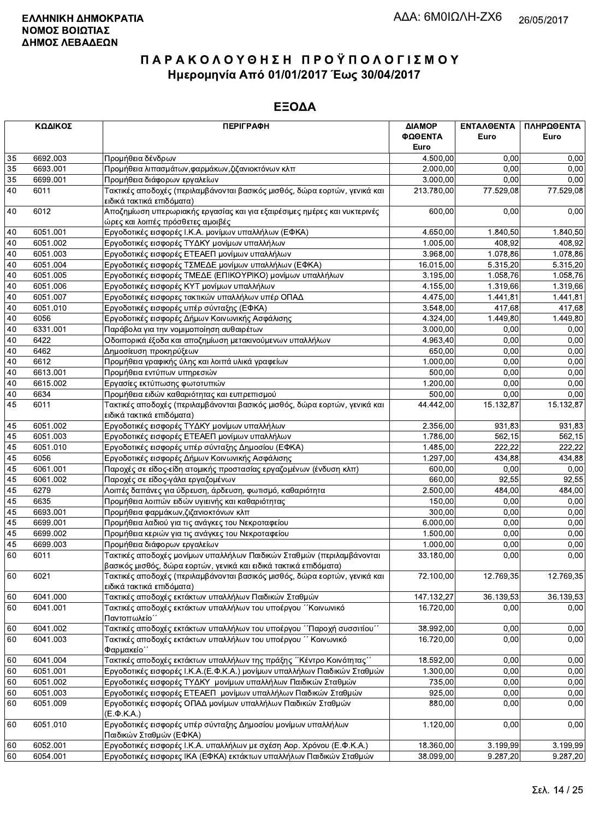| ΚΩΔΙΚΟΣ |          | <b>ПЕРІГРАФН</b>                                                                                                                                | ΔΙΑΜΟΡ<br>ΦΩΘΕΝΤΑ | <b>ENTAAGENTA</b><br>Euro | ΠΛΗΡΩΘΕΝΤΑ<br>Euro |
|---------|----------|-------------------------------------------------------------------------------------------------------------------------------------------------|-------------------|---------------------------|--------------------|
|         |          |                                                                                                                                                 | Euro              |                           |                    |
| 35      | 6692.003 | Προμήθεια δένδρων                                                                                                                               | 4.500,00          | 0,00                      | 0,00               |
| 35      | 6693.001 | Προμήθεια λιπασμάτων, φαρμάκων, ζιζανιοκτόνων κλπ                                                                                               | 2.000,00          | 0.00                      | 0,00               |
| 35      | 6699.001 | Προμήθεια διάφορων εργαλείων                                                                                                                    | 3.000,00          | 0.00                      | 0,00               |
| 40      | 6011     | Τακτικές αποδοχές (περιλαμβάνονται βασικός μισθός, δώρα εορτών, γενικά και<br>ειδικά τακτικά επιδόματα)                                         | 213.780,00        | 77.529,08                 | 77.529,08          |
| 40      | 6012     | Αποζημίωση υπερωριακής εργασίας και για εξαιρέσιμες ημέρες και νυκτερινές                                                                       | 600,00            | 0,00                      | 0,00               |
|         |          | ώρες και λοιπές πρόσθετες αμοιβές                                                                                                               |                   |                           |                    |
| 40      | 6051.001 | Εργοδοτικές εισφορές Ι.Κ.Α. μονίμων υπαλλήλων (ΕΦΚΑ)                                                                                            | 4.650,00          | 1.840,50                  | 1.840,50           |
| 40      | 6051.002 | Εργοδοτικές εισφορές ΤΥΔΚΥ μονίμων υπαλλήλων                                                                                                    | 1.005,00          | 408,92                    | 408,92             |
| 40      | 6051.003 | Εργοδοτικές εισφορές ΕΤΕΑΕΠ μονίμων υπαλλήλων                                                                                                   | 3.968,00          | 1.078,86                  | 1.078,86           |
| 40      | 6051.004 | Εργοδοτικές εισφορές ΤΣΜΕΔΕ μονίμων υπαλλήλων (ΕΦΚΑ)                                                                                            | 16.015,00         | 5.315,20                  | 5.315,20           |
| 40      | 6051.005 | Εργοδοτικές εισφορές ΤΜΕΔΕ (ΕΠΙΚΟΥΡΙΚΟ) μονίμων υπαλλήλων                                                                                       | 3.195,00          | 1.058,76                  | 1.058,76           |
| 40      | 6051.006 | Εργοδοτικές εισφορές ΚΥΤ μονίμων υπαλλήλων                                                                                                      | 4.155,00          | 1.319,66                  | 1.319,66           |
| 40      | 6051.007 | Εργοδοτικές εισφορες τακτικών υπαλλήλων υπέρ ΟΠΑΔ                                                                                               | 4.475,00          | 1.441,81                  | 1.441,81           |
| 40      | 6051.010 | Εργοδοτικές εισφορές υπέρ σύνταξης (ΕΦΚΑ)                                                                                                       | 3.548,00          | 417,68                    | 417,68             |
| 40      | 6056     | Εργοδοτικές εισφορές Δήμων Κοινωνικής Ασφάλισης                                                                                                 | 4.324,00          | 1.449,80                  | 1.449,80           |
| 40      | 6331.001 | Παράβολα για την νομιμοποίηση αυθαιρέτων                                                                                                        | 3.000,00          | 0,00                      | 0,00               |
| 40      | 6422     | Οδοιπορικά έξοδα και αποζημίωση μετακινούμενων υπαλλήλων                                                                                        | 4.963,40          | 0,00                      | 0,00               |
| 40      | 6462     | Δημοσίευση προκηρύξεων                                                                                                                          | 650,00            | 0.00                      | 0,00               |
| 40      | 6612     | Προμήθεια γραφικής ύλης και λοιπά υλικά γραφείων                                                                                                | 1.000,00          | 0.00                      | 0,00               |
| 40      | 6613.001 | Προμήθεια εντύπων υπηρεσιών                                                                                                                     | 500,00            | 0,00                      | 0,00               |
| 40      | 6615.002 | Εργασίες εκτύπωσης φωτοτυπιών                                                                                                                   | 1.200,00          | 0,00                      | 0,00               |
| $40\,$  | 6634     | Προμήθεια ειδών καθαριότητας και ευπρεπισμού                                                                                                    | 500,00            | 0,00                      | 0,00               |
| 45      | 6011     | Τακτικές αποδοχές (περιλαμβάνονται βασικός μισθός, δώρα εορτών, γενικά και<br>ειδικά τακτικά επιδόματα)                                         | 44.442,00         | 15.132,87                 | 15.132,87          |
| 45      | 6051.002 | Εργοδοτικές εισφορές ΤΥΔΚΥ μονίμων υπαλλήλων                                                                                                    | 2.356,00          | 931,83                    | 931,83             |
| 45      | 6051.003 | Εργοδοτικές εισφορές ΕΤΕΑΕΠ μονίμων υπαλλήλων                                                                                                   | 1.786,00          | 562,15                    | 562,15             |
| 45      | 6051.010 | Εργοδοτικές εισφορές υπέρ σύνταξης Δημοσίου (ΕΦΚΑ)                                                                                              | 1.485,00          | 222,22                    | 222,22             |
| 45      | 6056     | Εργοδοτικές εισφορές Δήμων Κοινωνικής Ασφάλισης                                                                                                 | 1.297,00          | 434,88                    | 434,88             |
| 45      | 6061.001 | Παροχές σε είδος-είδη ατομικής προστασίας εργαζομένων (ένδυση κλπ)                                                                              | 600,00            | 0,00                      | 0,00               |
| 45      | 6061.002 | Παροχές σε είδος-γάλα εργαζομένων                                                                                                               | 660,00            | 92,55                     | 92,55              |
| 45      | 6279     | Λοιπές δαπάνες για ύδρευση, άρδευση, φωτισμό, καθαριότητα                                                                                       | 2.500,00          | 484,00                    | 484,00             |
| 45      | 6635     | Προμήθεια λοιπών ειδών υγιεινής και καθαριότητας                                                                                                | 150,00            | 0,00                      | 0,00               |
| 45      | 6693.001 | Προμήθεια φαρμάκων, ζιζανιοκτόνων κλπ                                                                                                           | 300,00            | 0,00                      | 0,00               |
| 45      | 6699.001 | Προμήθεια λαδιού για τις ανάγκες του Νεκροταφείου                                                                                               | 6.000,00          | 0,00                      | 0,00               |
| 45      | 6699.002 | Προμήθεια κεριών για τις ανάγκες του Νεκροταφείου                                                                                               | 1.500,00          | 0,00                      | 0,00               |
| 45      | 6699.003 | Προμήθεια διάφορων εργαλείων                                                                                                                    | 1.000,00          | 0,00                      | 0,00               |
| 60      | 6011     | Τακτικές αποδοχές μονίμων υπαλλήλων Παιδικών Σταθμών (περιλαμβάνονται                                                                           | 33.180,00         | 0,00                      | 0,00               |
| 60      | 6021     | βασικός μισθός, δώρα εορτών, γενικά και ειδικά τακτικά επιδόματα)<br>Τακτικές αποδοχές (περιλαμβάνονται βασικός μισθός, δώρα εορτών, γενικά και | 72.100,00         | 12.769,35                 | 12.769,35          |
|         |          | ειδικά τακτικά επιδόματα)                                                                                                                       |                   |                           |                    |
| 60      | 6041.000 | Τακτικές αποδοχές εκτάκτων υπαλλήλων Παιδικών Σταθμών                                                                                           | 147.132,27        | 36.139,53                 | 36.139,53          |
| 60      | 6041.001 | Τακτικές αποδοχές εκτάκτων υπαλλήλων του υποέργου ΄΄Κοινωνικό<br>Παντοπωλείο΄                                                                   | 16.720,00         | 0,00                      | 0,00               |
| 60      | 6041.002 | Τακτικές αποδοχές εκτάκτων υπαλλήλων του υποέργου ΄΄Παροχή συσσιτίου΄΄                                                                          | 38.992,00         | 0,00                      | 0,00               |
| 60      | 6041.003 | Τακτικές αποδοχές εκτάκτων υπαλλήλων του υποέργου "Κοινωνικό<br>Φαρμακείο"                                                                      | 16.720,00         | 0,00                      | 0,00               |
| 60      | 6041.004 | Τακτικές αποδοχές εκτάκτων υπαλλήλων της πράξης ΄΄Κέντρο Κοινότητας΄΄                                                                           | 18.592,00         | 0,00                      | 0,00               |
| 60      | 6051.001 | Εργοδοτικές εισφορές Ι.Κ.Α.(Ε.Φ.Κ.Α.) μονίμων υπαλλήλων Παιδικών Σταθμών                                                                        | 1.300,00          | 0,00                      | 0,00               |
| 60      | 6051.002 | Εργοδοτικές εισφορές ΤΥΔΚΥ μονίμων υπαλλήλων Παιδικών Σταθμών                                                                                   | 735,00            | 0,00                      | 0,00               |
| 60      | 6051.003 | Εργοδοτικές εισφορές ΕΤΕΑΕΠ μονίμων υπαλλήλων Παιδικών Σταθμών                                                                                  | 925,00            | 0,00                      | 0,00               |
| 60      | 6051.009 | Εργοδοτικές εισφορές ΟΠΑΔ μονίμων υπαλλήλων Παιδικών Σταθμών<br>$(E.\Phi.K.A.)$                                                                 | 880,00            | 0,00                      | 0,00               |
| 60      | 6051.010 | Εργοδοτικές εισφορές υπέρ σύνταξης Δημοσίου μονίμων υπαλλήλων<br>Παιδικών Σταθμών (ΕΦΚΑ)                                                        | 1.120,00          | 0,00                      | 0,00               |
| 60      | 6052.001 | Εργοδοτικές εισφορές Ι.Κ.Α. υπαλλήλων με σχέση Αορ. Χρόνου (Ε.Φ.Κ.Α.)                                                                           | 18.360,00         | 3.199,99                  | 3.199,99           |
| 60      | 6054.001 | Εργοδοτικές εισφορες ΙΚΑ (ΕΦΚΑ) εκτάκτων υπαλλήλων Παιδικών Σταθμών                                                                             | 38.099,00         | 9.287,20                  | 9.287,20           |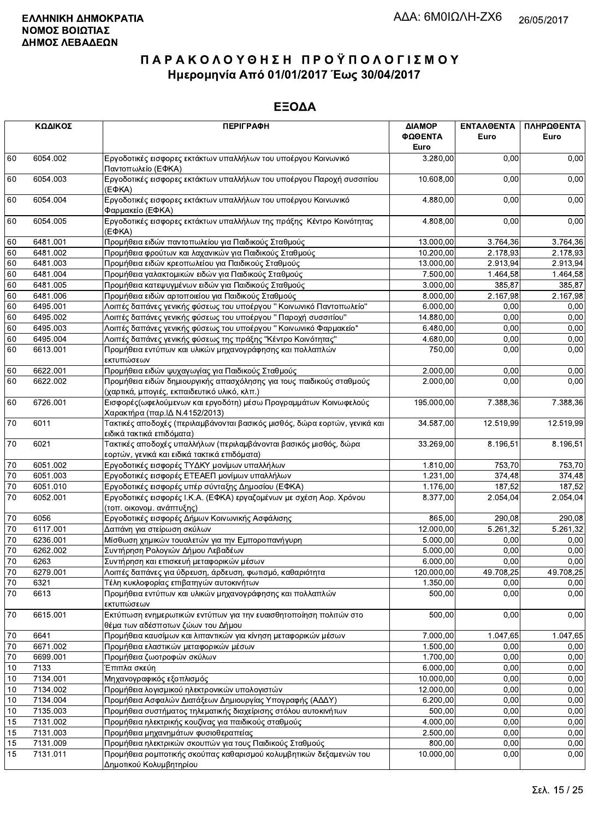|                 | ΚΩΔΙΚΟΣ                                                                                     | <b>ПЕРІГРАФН</b>                                                                                                     | ΔΙΑΜΟΡ<br>ΦΩΘΕΝΤΑ<br>Euro | <b>ENTAAGENTA</b><br>Euro | ΠΛΗΡΩΘΕΝΤΑ<br>Euro |
|-----------------|---------------------------------------------------------------------------------------------|----------------------------------------------------------------------------------------------------------------------|---------------------------|---------------------------|--------------------|
| 60              | 6054.002                                                                                    | Εργοδοτικές εισφορες εκτάκτων υπαλλήλων του υποέργου Κοινωνικό<br>Παντοπωλείο (ΕΦΚΑ)                                 | 3.280,00                  | 0,00                      | 0,00               |
| 60              | 6054.003<br>Εργοδοτικές εισφορες εκτάκτων υπαλλήλων του υποέργου Παροχή συσσιτίου<br>(EФKA) |                                                                                                                      | 10.608,00                 | 0,00                      | 0,00               |
| 60              | 6054.004                                                                                    | Εργοδοτικές εισφορες εκτάκτων υπαλλήλων του υποέργου Κοινωνικό<br>Φαρμακείο (ΕΦΚΑ)                                   | 4.880,00                  | 0.00                      | 0,00               |
| 60              | 6054.005<br>Εργοδοτικές εισφορες εκτάκτων υπαλλήλων της πράξης Κέντρο Κοινότητας<br>(E¢KA)  |                                                                                                                      | 4.808,00                  | 0,00                      | 0,00               |
| 60              | 6481.001                                                                                    | Προμήθεια ειδών παντοπωλείου για Παιδικούς Σταθμούς                                                                  | 13.000,00                 | 3.764,36                  | 3.764,36           |
| 60              | 6481.002                                                                                    | Προμήθεια φρούτων και λαχανικών για Παιδικούς Σταθμούς                                                               | 10.200,00                 | 2.178.93                  | 2.178,93           |
| 60              | 6481.003                                                                                    | Προμήθεια ειδών κρεοπωλείου για Παιδικούς Σταθμούς                                                                   | 13.000,00                 | 2.913,94                  | 2.913,94           |
| 60              | 6481.004                                                                                    | Προμήθεια γαλακτομικών ειδών για Παιδικούς Σταθμούς                                                                  | 7.500,00                  | 1.464,58                  | 1.464,58           |
| 60              | 6481.005                                                                                    | Προμήθεια κατεψυγμένων ειδών για Παιδικούς Σταθμούς                                                                  | 3.000,00                  | 385,87                    | 385,87             |
| 60              | 6481.006                                                                                    | Προμήθεια ειδών αρτοποιείου για Παιδικούς Σταθμούς                                                                   | 8.000,00                  | 2.167,98                  | 2.167,98           |
| 60              | 6495.001                                                                                    | Λοιπές δαπάνες γενικής φύσεως του υποέργου " Κοινωνικό Παντοπωλείο"                                                  | 6.000,00                  | 0,00                      | 0,00               |
| 60              | 6495.002                                                                                    | Λοιπές δαπάνες γενικής φύσεως του υποέργου "Παροχή συσσιτίου"                                                        | 14.880,00                 | 0,00                      | 0,00               |
| 60              | 6495.003                                                                                    | Λοιπές δαπάνες γενικής φύσεως του υποέργου " Κοινωνικό Φαρμακείο"                                                    | 6.480,00                  | 0,00                      | 0,00               |
| 60              | 6495.004                                                                                    | Λοιπές δαπάνες γενικής φύσεως της πράξης "Κέντρο Κοινότητας"                                                         | 4.680,00                  | 0,00                      | 0,00               |
| 60              | 6613.001                                                                                    | Προμήθεια εντύπων και υλικών μηχανογράφησης και πολλαπλών<br>εκτυπώσεων                                              | 750,00                    | 0,00                      | 0,00               |
| 60              | 6622.001                                                                                    | Προμήθεια ειδών ψυχαγωγίας για Παιδικούς Σταθμούς                                                                    | 2.000,00                  | 0,00                      | 0,00               |
| 60              | 6622.002                                                                                    | Προμήθεια ειδών δημιουργικής απασχόλησης για τους παιδικούς σταθμούς<br>(χαρτικά, μπογιές, εκπαιδευτικό υλικό, κλπ.) | 2.000,00                  | 0,00                      | 0,00               |
| 60              | 6726.001                                                                                    | Εισφορές (ωφελούμενων και εργοδότη) μέσω Προγραμμάτων Κοινωφελούς<br>Χαρακτήρα (παρ.ΙΔ Ν.4152/2013)                  | 195.000,00                | 7.388,36                  | 7.388,36           |
| 70              | 6011                                                                                        | Τακτικές αποδοχές (περιλαμβάνονται βασικός μισθός, δώρα εορτών, γενικά και<br>ειδικά τακτικά επιδόματα)              | 34.587,00                 | 12.519,99                 | 12.519,99          |
| 70              | 6021                                                                                        | Τακτικές αποδοχές υπαλλήλων (περιλαμβάνονται βασικός μισθός, δώρα<br>εορτών, γενικά και ειδικά τακτικά επιδόματα)    | 33.269,00                 | 8.196,51                  | 8.196,51           |
| $70\,$          | 6051.002                                                                                    | Εργοδοτικές εισφορές ΤΥΔΚΥ μονίμων υπαλλήλων                                                                         | 1.810,00                  | 753,70                    | 753,70             |
| 70              | 6051.003                                                                                    | Εργοδοτικές εισφορές ΕΤΕΑΕΠ μονίμων υπαλλήλων                                                                        | 1.231,00                  | 374,48                    | 374,48             |
| 70              | 6051.010                                                                                    | Εργοδοτικές εισφορές υπέρ σύνταξης Δημοσίου (ΕΦΚΑ)                                                                   | 1.176,00                  | 187,52                    | 187,52             |
| 70              | 6052.001                                                                                    | Εργοδοτικές εισφορές Ι.Κ.Α. (ΕΦΚΑ) εργαζομένων με σχέση Αορ. Χρόνου<br>(τοπ. οικονομ. ανάπτυξης)                     | 8.377,00                  | 2.054,04                  | 2.054,04           |
| 70              | 6056                                                                                        | Εργοδοτικές εισφορές Δήμων Κοινωνικής Ασφάλισης                                                                      | 865,00                    | 290,08                    | 290,08             |
| $70\,$          | 6117.001                                                                                    | Δαπάνη για στείρωση σκύλων                                                                                           | 12.000,00                 | 5.261,32                  | 5.261,32           |
| 70              | 6236.001                                                                                    | Μίσθωση χημικών τουαλετών για την Εμποροπανήγυρη                                                                     | 5.000,00                  | 0,00                      | 0,00               |
| 70              | 6262.002                                                                                    | Συντήρηση Ρολογιών Δήμου Λεβαδέων                                                                                    | 5.000.00                  | 0,00                      | 0,00               |
| $\overline{70}$ | 6263                                                                                        | Συντήρηση και επισκευή μεταφορικών μέσων                                                                             | 6.000,00                  | 0.00                      | 0,00               |
| 70              | 6279.001                                                                                    | Λοιπές δαπάνες για ύδρευση, άρδευση, φωτισμό, καθαριότητα                                                            | 120.000,00                | 49.708,25                 | 49.708,25          |
| $70\,$          | 6321                                                                                        | Τέλη κυκλοφορίας επιβατηγών αυτοκινήτων                                                                              | 1.350,00                  | 0.00                      | 0,00               |
| 70              | 6613                                                                                        | Προμήθεια εντύπων και υλικών μηχανογράφησης και πολλαπλών<br>εκτυπώσεων                                              | 500,00                    | 0,00                      | 0,00               |
| $70\,$          | 6615.001                                                                                    | Εκτύπωση ενημερωτικών εντύπων για την ευαισθητοποίηση πολιτών στο<br>θέμα των αδέσποτων ζώων του Δήμου               | 500,00                    | 0,00                      | 0,00               |
| $70\,$          | 6641                                                                                        | Προμήθεια καυσίμων και λιπαντικών για κίνηση μεταφορικών μέσων                                                       | 7.000,00                  | 1.047,65                  | 1.047,65           |
| 70              | 6671.002                                                                                    | Προμήθεια ελαστικών μεταφορικών μέσων                                                                                | 1.500,00                  | 0,00                      | 0,00               |
| $70\,$          | 6699.001                                                                                    | Προμήθεια ζωοτροφών σκύλων                                                                                           | 1.700,00                  | 0,00                      | 0,00               |
| 10              | 7133                                                                                        | Έπιπλα σκεύη                                                                                                         | 6.000,00                  | 0,00                      | 0,00               |
| 10              | 7134.001                                                                                    | Μηχανογραφικός εξοπλισμός                                                                                            | 10.000,00                 | 0,00                      | 0,00               |
| $10$            | 7134.002                                                                                    | Προμήθεια λογισμικού ηλεκτρονικών υπολογιστών                                                                        | 12.000,00                 | 0,00                      | 0,00               |
| 10              | 7134.004                                                                                    | Προμήθεια Ασφαλών Διατάξεων Δημιουργίας Υπογραφής (ΑΔΔΥ)                                                             | 6.200,00                  | 0,00                      | 0,00               |
| 10              | 7135.003                                                                                    | Προμήθεια συστήματος τηλεματικής διαχείρισης στόλου αυτοκινήτων                                                      | 500,00                    | 0,00                      | 0,00               |
| 15              | 7131.002                                                                                    | Προμήθεια ηλεκτρικής κουζίνας για παιδικούς σταθμούς                                                                 | 4.000,00                  | 0,00                      | 0,00               |
| 15              | 7131.003                                                                                    | Προμήθεια μηχανημάτων φυσιοθεραπείας                                                                                 | 2.500,00                  | 0,00                      | 0,00               |
| 15              | 7131.009                                                                                    | Προμήθεια ηλεκτρικών σκουπών για τους Παιδικούς Σταθμούς                                                             | 800,00                    | 0,00                      | 0,00               |
| 15              | 7131.011                                                                                    | Προμήθεια ρομποτικής σκούπας καθαρισμού κολυμβητικών δεξαμενών του<br>Δημοτικού Κολυμβητηρίου                        | 10.000,00                 | 0,00                      | 0,00               |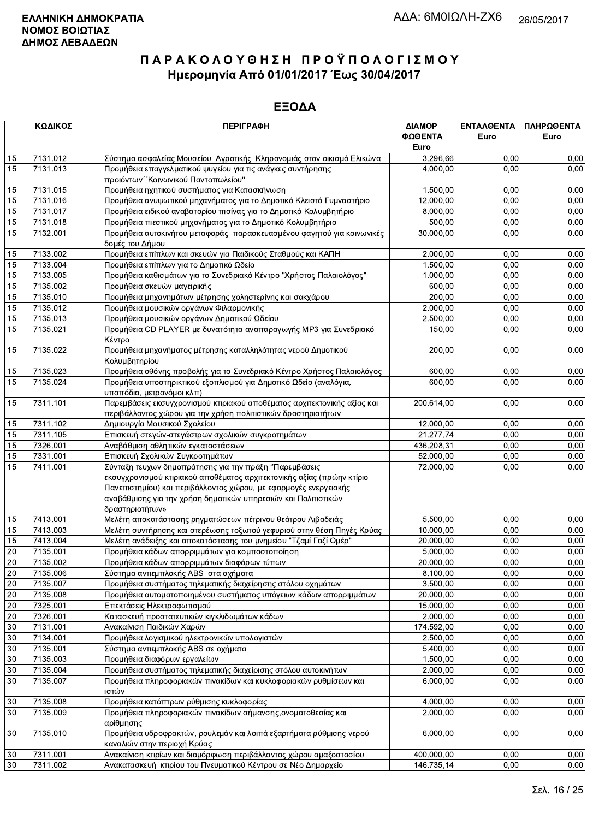| ΚΩΔΙΚΟΣ |          | <b>ПЕРІГРАФН</b>                                                                                   | ΔΙΑΜΟΡ     | ΕΝΤΑΛΘΕΝΤΑ | ΠΛΗΡΩΘΕΝΤΑ |
|---------|----------|----------------------------------------------------------------------------------------------------|------------|------------|------------|
|         |          |                                                                                                    | ΦΩΘΕΝΤΑ    | Euro       | Euro       |
|         |          |                                                                                                    | Euro       |            |            |
| 15      | 7131.012 | Σύστημα ασφαλείας Μουσείου Αγροτικής Κληρονομιάς στον οικισμό Ελικώνα                              | 3.296,66   | 0,00       | 0,00       |
| 15      | 7131.013 | Προμήθεια επαγγελματικού ψυγείου για τις ανάγκες συντήρησης                                        | 4.000,00   | 0.00       | 0,00       |
|         |          | προιόντων "Κοινωνικού Παντοπωλείου"                                                                |            |            |            |
| 15      | 7131.015 | Προμήθεια ηχητικού συστήματος για Κατασκήνωση                                                      | 1.500,00   | 0,00       | 0,00       |
| 15      | 7131.016 | Προμήθεια ανυψωτικού μηχανήματος για το Δημοτικό Κλειστό Γυμναστήριο                               | 12.000,00  | 0,00       | 0,00       |
| 15      | 7131.017 | Προμήθεια ειδικού αναβατορίου πισίνας για το Δημοτικό Κολυμβητήριο                                 | 8.000,00   | 0,00       | 0,00       |
| 15      | 7131.018 | Προμήθεια πιεστικού μηχανήματος για το Δημοτικό Κολυμβητήριο                                       | 500,00     | 0,00       | 0,00       |
| 15      | 7132.001 | Προμήθεια αυτοκινήτου μεταφοράς παρασκευασμένου φαγητού για κοινωνικές                             | 30.000,00  | 0,00       | 0,00       |
|         |          | δομές του Δήμου                                                                                    |            |            |            |
| 15      | 7133.002 | Προμήθεια επίπλων και σκευών για Παιδικούς Σταθμούς και ΚΑΠΗ                                       | 2.000,00   | 0,00       | 0,00       |
| 15      | 7133.004 | Προμήθεια επίπλων για το Δημοτικό Ωδείο                                                            | 1.500,00   | 0,00       | 0,00       |
| 15      | 7133.005 | Προμήθεια καθισμάτων για το Συνεδριακό Κέντρο "Χρήστος Παλαιολόγος"                                | 1.000,00   | 0,00       | 0,00       |
| 15      | 7135.002 | Προμήθεια σκευών μαγειρικής                                                                        | 600,00     | 0,00       | 0,00       |
| 15      | 7135.010 | Προμήθεια μηχανημάτων μέτρησης χοληστερίνης και σακχάρου                                           | 200,00     | 0,00       | 0,00       |
| 15      | 7135.012 | Προμήθεια μουσικών οργάνων Φιλαρμονικής                                                            | 2.000,00   | 0,00       | 0,00       |
| 15      | 7135.013 | Προμήθεια μουσικών οργάνων Δημοτικού Ωδείου                                                        | 2.500,00   | 0,00       | 0,00       |
| 15      | 7135.021 | Προμήθεια CD PLAYER με δυνατότητα αναπαραγωγής MP3 για Συνεδριακό<br>Κέντρο                        | 150,00     | 0,00       | 0,00       |
| 15      | 7135.022 | Προμήθεια μηχανήματος μέτρησης καταλληλότητας νερού Δημοτικού<br>Κολυμβητηρίου                     | 200,00     | 0,00       | 0,00       |
| 15      | 7135.023 | Προμήθεια οθόνης προβολής για το Συνεδριακό Κέντρο Χρήστος Παλαιολόγος                             | 600,00     | 0,00       | 0,00       |
| 15      | 7135.024 | Προμήθεια υποστηρικτικού εξοπλισμού για Δημοτικό Ωδείο (αναλόγια,                                  | 600,00     | 0,00       | 0,00       |
|         |          | υποπόδια, μετρονόμοι κλπ)                                                                          |            |            |            |
| 15      | 7311.101 | Παρεμβάσεις εκσυγχρονισμού κτιριακού αποθέματος αρχιτεκτονικής αξίας και                           | 200.614,00 | 0,00       | 0,00       |
|         |          | περιβάλλοντος χώρου για την χρήση πολιτιστικών δραστηριοτήτων                                      |            |            |            |
| 15      | 7311.102 | Δημιουργία Μουσικού Σχολείου                                                                       | 12.000,00  | 0,00       | 0,00       |
| 15      | 7311.105 | Επισκευή στεγών-στεγάστρων σχολικών συγκροτημάτων                                                  | 21.277,74  | 0,00       | 0,00       |
| 15      | 7326.001 | Αναβάθμιση αθλητικών εγκαταστάσεων                                                                 | 436.208,31 | 0,00       | 0,00       |
| 15      | 7331.001 | Επισκευή Σχολικών Συγκροτημάτων                                                                    | 52.000,00  | 0,00       | 0,00       |
| 15      | 7411.001 | Σύνταξη τευχων δημοπράτησης για την πράξη "Παρεμβάσεις                                             | 72.000,00  | 0,00       | 0,00       |
|         |          | εκσυγχρονισμού κτιριακού αποθέματος αρχιτεκτονικής αξίας (πρώην κτίριο                             |            |            |            |
|         |          | Πανεπιστημίου) και περιβάλλοντος χώρου, με εφαρμογές ενεργειακής                                   |            |            |            |
|         |          | αναβάθμισης για την χρήση δημοτικών υπηρεσιών και Πολιτιστικών                                     |            |            |            |
|         |          | δραστηριοτήτων»                                                                                    |            |            |            |
| 15      | 7413.001 | Μελέτη αποκατάστασης ρηγματώσεων πέτρινου θεάτρου Λιβαδειάς                                        | 5.500,00   | 0,00       | 0,00       |
| 15      | 7413.003 | Μελέτη συντήρησης και στερέωσης τοξωτού γεφυριού στην θέση Πηγές Κρύας                             | 10.000,00  | 0,00       | 0,00       |
| 15      | 7413.004 | Μελέτη ανάδειξης και αποκατάστασης του μνημείου "Τζαμί Γαζί Ομέρ"                                  | 20.000,00  | 0,00       | 0,00       |
| 20      | 7135.001 | Προμήθεια κάδων απορριμμάτων για κομποστοποίηση                                                    | 5.000,00   | 0,00       | 0,00       |
| 20      | 7135.002 | Προμήθεια κάδων απορριμμάτων διαφόρων τύπων                                                        | 20.000,00  | 0,00       | 0,00       |
| 20      | 7135.006 | Σύστημα αντιεμπλοκής ABS στα οχήματα                                                               | 8.100,00   | 0,00       | 0,00       |
| 20      | 7135.007 | Προμήθεια συστήματος τηλεματικής διαχείρησης στόλου οχημάτων                                       | 3.500,00   | 0,00       | 0,00       |
| 20      | 7135.008 | Προμήθεια αυτοματοποιημένου συστήματος υπόγειων κάδων απορριμμάτων                                 | 20.000,00  | 0,00       | 0,00       |
| $20\,$  | 7325.001 | Επεκτάσεις Ηλεκτροφωτισμού                                                                         | 15.000,00  | 0,00       | 0,00       |
| 20      | 7326.001 | Κατασκευή προστατευτικών κιγκλιδωμάτων κάδων                                                       | 2.000,00   | 0,00       | 0,00       |
| 30      | 7131.001 | Ανακαίνιση Παιδικών Χαρών                                                                          | 174.592,00 | 0,00       | 0,00       |
| 30      | 7134.001 | Προμήθεια λογισμικού ηλεκτρονικών υπολογιστών                                                      | 2.500,00   | 0,00       | 0,00       |
| 30      | 7135.001 | Σύστημα αντιεμπλοκής ABS σε οχήματα                                                                | 5.400,00   | 0,00       | 0,00       |
| 30      | 7135.003 | Προμήθεια διαφόρων εργαλείων                                                                       | 1.500,00   | 0,00       | 0,00       |
| 30      | 7135.004 | Προμήθεια συστήματος τηλεματικής διαχείρισης στόλου αυτοκινήτων                                    | 2.000,00   | 0,00       | 0,00       |
| 30      | 7135.007 | Προμήθεια πληροφοριακών πινακίδων και κυκλοφοριακών ρυθμίσεων και                                  | 6.000,00   | 0,00       | 0,00       |
|         |          | ιστών                                                                                              |            |            |            |
| 30      | 7135.008 | Προμήθεια κατόπτρων ρύθμισης κυκλοφορίας                                                           | 4.000,00   | 0,00       | 0,00       |
| 30      | 7135.009 | Προμήθεια πληροφοριακών πινακίδων σήμανσης, ονοματοθεσίας και                                      | 2.000,00   | 0,00       | 0,00       |
|         |          | ∣αρίθμησης                                                                                         |            |            |            |
| 30      | 7135.010 | Προμήθεια υδροφρακτών, ρουλεμάν και λοιπά εξαρτήματα ρύθμισης νερού<br>καναλιών στην περιοχή Κρύας | 6.000,00   | 0,00       | 0,00       |
| 30      | 7311.001 | Ανακαίνιση κτιρίων και διαμόρφωση περιβάλλοντος χώρου αμαξοστασίου                                 | 400.000,00 | 0,00       | 0,00       |
| 30      | 7311.002 | Ανακατασκευή κτιρίου του Πνευματικού Κέντρου σε Νέο Δημαρχείο                                      | 146.735,14 | 0,00       | 0,00       |
|         |          |                                                                                                    |            |            |            |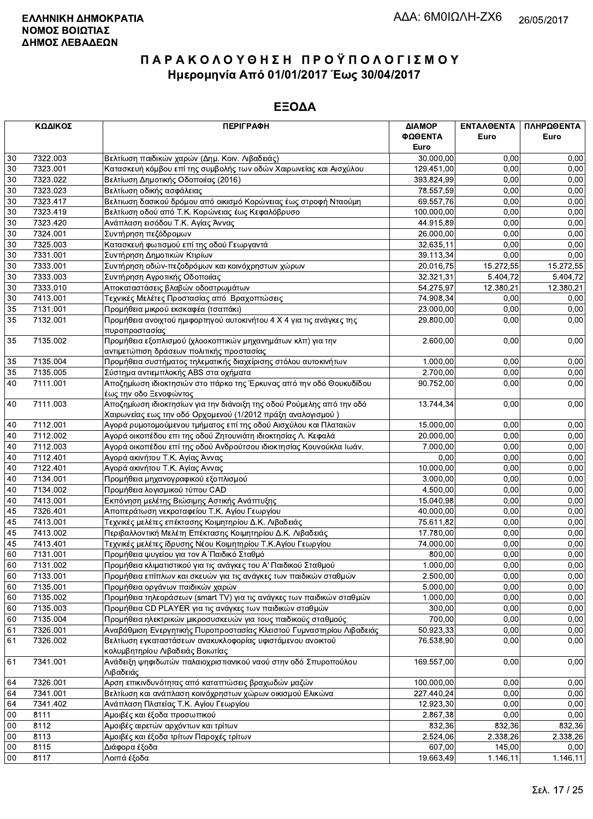|                 | ΚΩΔΙΚΟΣ  | <b>ПЕРІГРАФН</b>                                                      | ΔΙΑΜΟΡ<br>ΦΩΘΕΝΤΑ | ΕΝΤΑΛΘΕΝΤΑ<br>Euro | ΠΛΗΡΩΘΕΝΤΑ<br>Euro |
|-----------------|----------|-----------------------------------------------------------------------|-------------------|--------------------|--------------------|
|                 |          |                                                                       | Euro              |                    |                    |
| 30              | 7322.003 | Βελτίωση παιδικών χαρών (Δημ. Κοιν. Λιβαδειάς)                        | 30.000,00         | 0,00               | 0,00               |
| 30              | 7323.001 | Κατασκευή κόμβου επί της συμβολής των οδών Χαιρωνείας και Αισχύλου    | 129.451,00        | 0,00               | 0,00               |
| $\overline{30}$ | 7323.022 | Βελτίωση Δημοτικής Οδοποιίας (2016)                                   | 393.824,99        | 0,00               | 0,00               |
| 30              | 7323.023 | Βελτίωση οδικής ασφάλειας                                             | 78.557,59         | 0,00               | 0,00               |
| 30              | 7323.417 | Βελτιωση δασικού δρόμου από οικισμό Κορώνειας έως στροφή Νταούμη      | 69.557,76         | 0,00               | 0,00               |
| 30              | 7323.419 | Βελτίωση οδού από Τ.Κ. Κορώνειας έως Κεφαλόβρυσο                      | 100.000,00        | 0,00               | 0,00               |
| $30\,$          | 7323.420 | Ανάπλαση εισόδου Τ.Κ. Αγίας Άννας                                     | 44.915,89         | 0,00               | 0,00               |
| 30              | 7324.001 | Συντήρηση πεζόδρομων                                                  | 26.000,00         | 0,00               | 0,00               |
| 30              | 7325.003 | Κατασκευή φωτισμού επί της οδού Γεωργαντά                             | 32.635,11         | 0,00               | 0,00               |
| 30              | 7331.001 | Συντήρηση Δημοτικών Κτιρίων                                           | 39.113,34         | 0,00               | 0,00               |
| 30              | 7333.001 | Συντήρηση οδών-πεζοδρόμων και κοινόχρηστων χώρων                      | 20.016,75         | 15.272,55          | 15.272,55          |
| $30\,$          | 7333.003 | Συντήρηση Αγροτικής Οδοποιίας                                         | 32.321,31         | 5.404.72           | 5.404,72           |
| 30              | 7333.010 | Αποκαταστάσεις βλαβών οδοστρωμάτων                                    | 54.275,97         | 12.380,21          | 12.380,21          |
| $30\,$          | 7413.001 | Τεχνικές Μελέτες Προστασίας από Βραχοπτώσεις                          | 74.908,34         | 0,00               | 0,00               |
| 35              | 7131.001 | Προμήθεια μικρού εκσκαφέα (τσαπάκι)                                   | 23.000,00         | 0,00               | 0,00               |
| $\overline{35}$ | 7132.001 | Προμήθεια ανοιχτού ημιφορτηγού αυτοκινήτου 4 Χ 4 για τις ανάγκες της  | 29.800,00         | 0.00               | 0,00               |
|                 |          | πυροπροστασίας                                                        |                   |                    |                    |
| 35              | 7135.002 | Προμήθεια εξοπλισμού (χλοοκοπτικών μηχανημάτων κλπ) για την           | 2.600,00          | 0,00               | 0,00               |
|                 |          | αντιμετώπιση δράσεων πολιτικής προστασίας                             |                   |                    |                    |
| 35              | 7135.004 | Προμήθεια συστήματος τηλεματικής διαχείρισης στόλου αυτοκινήτων       | 1.000,00          | 0,00               | 0,00               |
| 35              | 7135.005 | Σύστημα αντιεμπλοκής ABS στα οχήματα                                  | 2.700,00          | 0,00               | 0,00               |
| 40              | 7111.001 | Αποζημίωση ιδιοκτησιών στο πάρκο της Έρκυνας από την οδό Θουκυδίδου   | 90.752,00         | 0,00               | 0,00               |
|                 |          | έως την οδο Ξενοφώντος                                                |                   |                    |                    |
| 40              | 7111.003 | Αποζημίωση ιδιοκτησίων για την διάνοιξη της οδού Ρούμελης από την οδό | 13.744,34         | 0,00               | 0,00               |
|                 |          | Χαιρωνείας εως την οδό Ορχομενού (1/2012 πράξη αναλογισμού)           |                   |                    |                    |
| 40              | 7112.001 | Αγορά ρυμοτομούμενου τμήματος επί της οδού Αισχύλου και Πλαταιών      | 15.000,00         | 0,00               | 0,00               |
| 40              | 7112.002 | Αγορά οικοπέδου επι της οδού Ζητουνιάτη ιδιοκτησίας Λ. Κεφαλά         | 20.000,00         | 0,00               | 0,00               |
| 40              | 7112.003 | Αγορά οικοπέδου επί της οδού Ανδρούτσου ιδιοκτησίας Κουνούκλα Ιωάν.   | 7.000,00          | 0,00               | 0,00               |
| 40              | 7112.401 | Αγορά ακινήτου Τ.Κ. Αγίας Άννας                                       | 0.00              | 0,00               | 0,00               |
| 40              | 7122.401 | Αγορά ακινήτου Τ.Κ. Αγίας Αννας                                       | 10.000,00         | 0,00               | 0,00               |
| 40              | 7134.001 | Προμήθεια μηχανογραφικού εξοπλισμού                                   | 3.000,00          | 0,00               | 0,00               |
| 40              | 7134.002 | Προμήθεια λογισμικού τύπου CAD                                        | 4.500,00          | 0,00               | 0,00               |
| 40              | 7413.001 | Εκπόνηση μελέτης Βιώσιμης Αστικής Ανάπτυξης                           | 15.040,98         | 0,00               | 0,00               |
| 45              | 7326.401 | Αποπεράτωση νεκροταφείου Τ.Κ. Αγίου Γεωργίου                          | 40.000,00         | 0,00               | 0,00               |
| 45              | 7413.001 | Τεχνικές μελέτες επέκτασης Κοιμητηρίου Δ.Κ. Λιβαδειάς                 | 75.611,82         | 0,00               | 0,00               |
| 45              | 7413.002 | Περιβαλλοντική Μελέτη Επέκτασης Κοιμητηρίου Δ.Κ. Λιβαδειάς            | 17.780,00         | 0,00               | 0,00               |
| 45              | 7413.401 | Τεχνικές μελέτες ίδρυσης Νέου Κοιμητηρίου Τ.Κ.Αγίου Γεωργίου          | 74.000,00         | 0,00               | 0,00               |
| 60              | 7131.001 | Προμήθεια ψυγείου για τον Α΄ Παιδικό Σταθμό                           | 800,00            | 0,00               | 0,00               |
| 60              | 7131.002 | Προμήθεια κλιματιστικού για τις ανάγκες του Α' Παιδικού Σταθμού       | 1.000,00          | 0,00               | 0,00               |
| 60              | 7133.001 | Προμήθεια επίπλων και σκευών για τις ανάγκες των παιδικών σταθμών     | 2.500,00          | 0,00               | 0,00               |
| 60              | 7135.001 | Προμήθεια οργάνων παιδικών χαρών                                      | 5.000,00          | 0,00               | 0,00               |
| 60              | 7135.002 | Προμήθεια τηλεοράσεων (smart TV) για τις ανάγκες των παιδικών σταθμών | 1.000,00          | 0,00               | 0,00               |
| 60              | 7135.003 | Προμήθεια CD PLAYER για τις ανάγκες των παιδικών σταθμών              | 300,00            | 0,00               | 0,00               |
| 60              | 7135.004 | Προμήθεια ηλεκτρικών μικροσυσκευών για τους παιδικούς σταθμούς        | 700,00            | 0,00               | 0,00               |
| 61              | 7326.001 | Αναβάθμιση Ενεργητικής Πυροπροστασίας Κλειστού Γυμναστηρίου Λιβαδειάς | 50.923,33         | 0,00               | 0,00               |
| 61              | 7326.002 | Βελτίωση εγκαταστάσεων ανακυκλοφορίας υφιστάμενου ανοικτού            | 76.538,90         | 0,00               | 0,00               |
|                 |          | κολυμβητηρίου Λιβαδειάς Βοιωτίας                                      |                   |                    |                    |
| 61              | 7341.001 | Ανάδειξη ψηφιδωτών παλαιοχριστιανικού ναού στην οδό Σπυροπούλου       | 169.557,00        | 0,00               | 0,00               |
|                 |          | Λιβαδειάς                                                             |                   |                    |                    |
| 64              | 7326.001 | Αρση επικινδυνότητας από καταπτώσεις βραχωδών μαζών                   | 100.000,00        | 0,00               | 0,00               |
| 64              | 7341.001 | Βελτίωση και ανάπλαση κοινόχρηστων χώρων οικισμού Ελικώνα             | 227.440,24        | 0,00               | 0,00               |
| 64              | 7341.402 | Ανάπλαση Πλατείας Τ.Κ. Αγίου Γεωργίου                                 | 12.923,30         | 0,00               | 0,00               |
| 00              | 8111     | Αμοιβές και έξοδα προσωπικού                                          | 2.867,38          | 0.00               | 0,00               |
| 00              | 8112     | Αμοιβές αιρετών αρχόντων και τρίτων                                   | 832,36            | 832,36             | 832,36             |
| 00              | 8113     | Αμοιβές και έξοδα τρίτων Παροχές τρίτων                               | 2.524,06          | 2.338,26           | 2.338,26           |
| 00              | 8115     | Διάφορα έξοδα                                                         | 607,00            | 145,00             | 0,00               |
| 00              | 8117     | Λοιπά έξοδα                                                           | 19.663,49         | 1.146, 11          | 1.146,11           |
|                 |          |                                                                       |                   |                    |                    |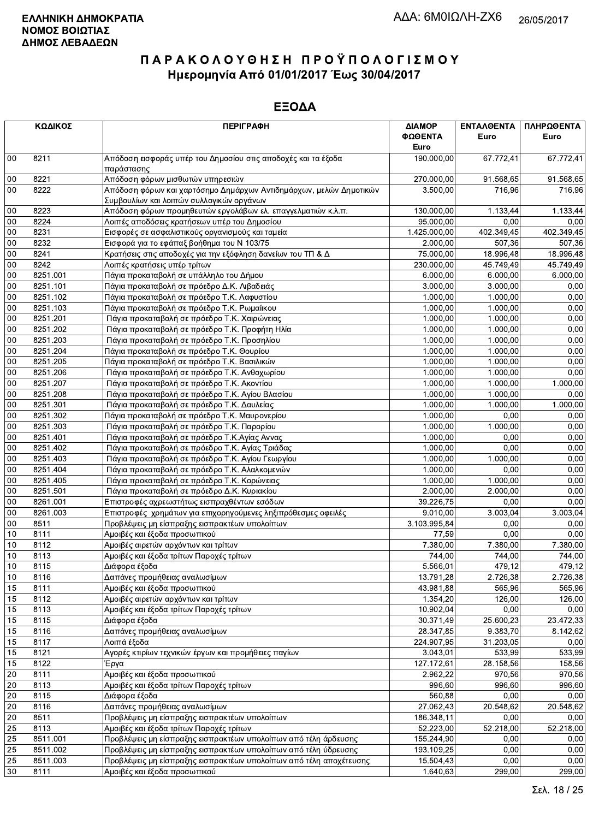|          | ΚΩΔΙΚΟΣ  | <b>ПЕРІГРАФН</b>                                                            | ΔΙΑΜΟΡ                    | ΕΝΤΑΛΘΕΝΤΑ     | ΠΛΗΡΩΘΕΝΤΑ |
|----------|----------|-----------------------------------------------------------------------------|---------------------------|----------------|------------|
|          |          |                                                                             | ΦΩΘΕΝΤΑ                   | Euro           | Euro       |
|          |          |                                                                             | Euro                      |                |            |
| 00       | 8211     | Απόδοση εισφοράς υπέρ του Δημοσίου στις αποδοχές και τα έξοδα<br>παράστασης | 190.000,00                | 67.772,41      | 67.772,41  |
| $00\,$   | 8221     | Απόδοση φόρων μισθωτών υπηρεσιών                                            | 270.000,00                | 91.568,65      | 91.568,65  |
| 00       | 8222     | Απόδοση φόρων και χαρτόσημο Δημάρχων Αντιδημάρχων, μελών Δημοτικών          | 3.500,00                  | 716,96         | 716,96     |
|          |          | Συμβουλίων και λοιπών συλλογικών οργάνων                                    |                           |                |            |
| 00       | 8223     | Απόδοση φόρων προμηθευτών εργολάβων ελ. επαγγελματιών κ.λ.π.                | 130.000,00                | 1.133,44       | 1.133,44   |
| 00       | 8224     | Λοιπές αποδόσεις κρατήσεων υπέρ του Δημοσίου                                | 95.000,00                 | 0,00           | 0,00       |
| 00       | 8231     | Εισφορές σε ασφαλιστικούς οργανισμούς και ταμεία                            | $\overline{1.4}25.000,00$ | 402.349,45     | 402.349,45 |
| 00       | 8232     | Εισφορά για το εφάπαξ βοήθημα του Ν 103/75                                  | 2.000,00                  | 507,36         | 507,36     |
| 00       | 8241     | Κρατήσεις στις αποδοχές για την εξόφληση δανείων του ΤΠ & Δ                 | 75.000,00                 | 18.996,48      | 18.996,48  |
| $00\,$   | 8242     | Λοιπές κρατήσεις υπέρ τρίτων                                                | 230.000,00                | 45.749,49      | 45.749.49  |
| 00       | 8251.001 | Πάγια προκαταβολή σε υπάλληλο του Δήμου                                     | 6.000,00                  | 6.000,00       | 6.000,00   |
| 00       | 8251.101 | Πάγια προκαταβολή σε πρόεδρο Δ.Κ. Λιβαδειάς                                 | 3.000,00                  | 3.000,00       | 0,00       |
| 00       | 8251.102 | Πάγια προκαταβολή σε πρόεδρο Τ.Κ. Λαφυστίου                                 | 1.000,00                  | 1.000,00       | 0,00       |
| 00       | 8251.103 | Πάγια προκαταβολή σε πρόεδρο Τ.Κ. Ρωμαίικου                                 | 1.000,00                  | 1.000,00       | 0,00       |
| 00       | 8251.201 | Πάγια προκαταβολή σε πρόεδρο Τ.Κ. Χαιρώνειας                                | 1.000,00                  | 1.000,00       | 0,00       |
| 00       | 8251.202 | Πάγια προκαταβολή σε πρόεδρο Τ.Κ. Προφήτη Ηλία                              | 1.000,00                  | 1.000,00       | 0,00       |
| $00\,$   | 8251.203 | Πάγια προκαταβολή σε πρόεδρο Τ.Κ. Προσηλίου                                 | 1.000,00                  | 1.000,00       | 0,00       |
| 00       | 8251.204 | Πάγια προκαταβολή σε πρόεδρο Τ.Κ. Θουρίου                                   | 1.000,00                  | 1.000,00       | 0,00       |
| 00       | 8251.205 | Πάγια προκαταβολή σε πρόεδρο Τ.Κ. Βασιλικών                                 | 1.000,00                  | 1.000,00       | 0,00       |
| 00       | 8251.206 | Πάγια προκαταβολή σε πρόεδρο Τ.Κ. Ανθοχωρίου                                | 1.000,00                  | 1.000,00       | 0,00       |
| 00       | 8251.207 | Πάγια προκαταβολή σε πρόεδρο Τ.Κ. Ακοντίου                                  | 1.000,00                  | 1.000,00       | 1.000,00   |
| $00\,$   | 8251.208 | Πάγια προκαταβολή σε πρόεδρο Τ.Κ. Αγίου Βλασίου                             | 1.000,00                  | 1.000,00       | 0,00       |
| 00       | 8251.301 | Πάγια προκαταβολή σε πρόεδρο Τ.Κ. Δαυλείας                                  | 1.000,00                  | 1.000,00       | 1.000,00   |
| 00       | 8251.302 | Πάγια προκαταβολή σε πρόεδρο Τ.Κ. Μαυρονερίου                               | 1.000,00                  | 0,00           | 0,00       |
| 00       | 8251.303 | Πάγια προκαταβολή σε πρόεδρο Τ.Κ. Παρορίου                                  | 1.000,00                  | 1.000,00       | 0,00       |
| 00       | 8251.401 | Πάγια προκαταβολή σε πρόεδρο Τ.Κ.Αγίας Αννας                                | 1.000,00                  | 0,00           | 0,00       |
| 00       | 8251.402 | Πάγια προκαταβολή σε πρόεδρο Τ.Κ. Αγίας Τριάδας                             | 1.000,00                  | 0,00           | 0,00       |
| 00       | 8251.403 | Πάγια προκαταβολή σε πρόεδρο Τ.Κ. Αγίου Γεωργίου                            | 1.000,00                  | 1.000,00       | 0,00       |
| 00       | 8251.404 | Πάγια προκαταβολή σε πρόεδρο Τ.Κ. Αλαλκομενών                               | 1.000,00                  | 0,00           | 0,00       |
| 00       | 8251.405 | Πάγια προκαταβολή σε πρόεδρο Τ.Κ. Κορώνειας                                 | 1.000,00                  | 1.000,00       | 0,00       |
| 00       | 8251.501 | Πάγια προκαταβολή σε πρόεδρο Δ.Κ. Κυριακίου                                 | 2.000,00                  | 2.000,00       | 0,00       |
| $00\,$   | 8261.001 | Επιστροφές αχρεωστήτως εισπραχθέντων εσόδων                                 | 39.226,75                 | 0.00           | 0,00       |
| 00       | 8261.003 | Επιστροφές χρημάτων για επιχορηγούμενες ληξιπρόθεσμες οφειλές               | 9.010,00                  | 3.003,04       | 3.003,04   |
| 00       | 8511     | Προβλέψεις μη είσπραξης εισπρακτέων υπολοίπων                               | 3.103.995,84              | 0,00           | 0,00       |
| 10       | 8111     | Αμοιβές και έξοδα προσωπικού                                                | 77,59                     | 0,00           | 0,00       |
| 10       | 8112     | Αμοιβές αιρετών αρχόντων και τρίτων                                         | 7.380,00                  | 7.380,00       | 7.380,00   |
| 10       | 8113     | Αμοιβές και έξοδα τρίτων Παροχές τρίτων                                     | 744,00                    | 744,00         | 744,00     |
| 10       | 8115     | Διάφορα έξοδα                                                               | $5.\overline{566,01}$     | 479,12         | 479,12     |
| 10       | 8116     | Δαπάνες προμήθειας αναλωσίμων                                               | 13.791,28                 | 2.726,38       | 2.726,38   |
| 15       | 8111     | Αμοιβές και έξοδα προσωπικού                                                | 43.981,88                 | 565,96         | 565,96     |
| 15       | 8112     | Αμοιβές αιρετών αρχόντων και τρίτων                                         | 1.354,20                  | 126,00         | 126,00     |
| 15       | 8113     | Αμοιβές και έξοδα τρίτων Παροχές τρίτων                                     | 10.902,04                 | 0,00           | 0,00       |
| 15       | 8115     | Διάφορα έξοδα                                                               | 30.371,49                 | 25.600,23      | 23.472,33  |
| 15       | 8116     | Δαπάνες προμήθειας αναλωσίμων                                               | 28.347,85                 | 9.383,70       | 8.142,62   |
| 15       | 8117     | Λοιπά έξοδα                                                                 | 224.907,95                | 31.203,05      | 0,00       |
| 15       | 8121     | Αγορές κτιρίων τεχνικών έργων και προμήθειες παγίων                         | 3.043,01                  | 533,99         | 533,99     |
| 15       | 8122     | Έργα                                                                        | 127.172,61                | 28.158,56      | 158,56     |
| 20       | 8111     | Αμοιβές και έξοδα προσωπικού                                                | 2.962,22                  | 970,56         | 970,56     |
|          | 8113     | Αμοιβές και έξοδα τρίτων Παροχές τρίτων                                     | 996,60                    |                |            |
| 20<br>20 | 8115     | Διάφορα έξοδα                                                               | 560,88                    | 996,60<br>0,00 | 996,60     |
| $20\,$   | 8116     | Δαπάνες προμήθειας αναλωσίμων                                               |                           | 20.548,62      | 0,00       |
|          |          |                                                                             | 27.062,43                 |                | 20.548,62  |
| 20       | 8511     | Προβλέψεις μη είσπραξης εισπρακτέων υπολοίπων                               | 186.348,11                | 0,00           | 0,00       |
| 25       | 8113     | Αμοιβές και έξοδα τρίτων Παροχές τρίτων                                     | 52.223,00                 | 52.218,00      | 52.218,00  |
| 25       | 8511.001 | Προβλέψεις μη είσπραξης εισπρακτέων υπολοίπων από τέλη άρδευσης             | 155.244,90                | 0,00           | 0,00       |
| 25       | 8511.002 | Προβλέψεις μη είσπραξης εισπρακτέων υπολοίπων από τέλη ύδρευσης             | 193.109,25                | 0,00           | 0,00       |
| 25       | 8511.003 | Προβλέψεις μη είσπραξης εισπρακτέων υπολοίπων από τέλη αποχέτευσης          | 15.504,43                 | 0,00           | 0,00       |
| 30       | 8111     | Αμοιβές και έξοδα προσωπικού                                                | 1.640,63                  | 299,00         | 299,00     |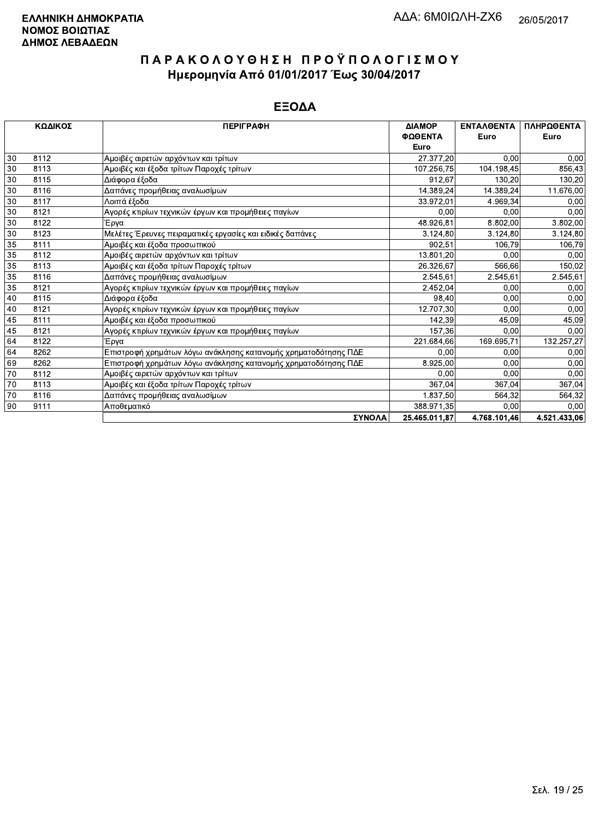|    | ΚΩΔΙΚΟΣ | <b>ПЕРІГРАФН</b>                                               | ΔΙΑΜΟΡ        | <b>ENTAAOENTA</b> | ΠΛΗΡΩΘΕΝΤΑ   |
|----|---------|----------------------------------------------------------------|---------------|-------------------|--------------|
|    |         |                                                                | ΦΩΘΕΝΤΑ       | Euro              | Euro         |
|    |         |                                                                | Euro          |                   |              |
| 30 | 8112    | Αμοιβές αιρετών αρχόντων και τρίτων                            | 27.377,20     | 0.00              | 0,00         |
| 30 | 8113    | Αμοιβές και έξοδα τρίτων Παροχές τρίτων                        | 107.256,75    | 104.198,45        | 856,43       |
| 30 | 8115    | Διάφορα έξοδα                                                  | 912,67        | 130.20            | 130,20       |
| 30 | 8116    | Δαπάνες προμήθειας αναλωσίμων                                  | 14.389,24     | 14.389.24         | 11.676,00    |
| 30 | 8117    | Λοιπά έξοδα                                                    | 33.972,01     | 4.969,34          | 0,00         |
| 30 | 8121    | Αγορές κτιρίων τεχνικών έργων και προμήθειες παγίων            | 0,00          | 0,00              | 0,00         |
| 30 | 8122    | Έργα                                                           | 48.926,81     | 8.802,00          | 3.802,00     |
| 30 | 8123    | Μελέτες Έρευνες πειραματικές εργασίες και ειδικές δαπάνες      | 3.124,80      | 3.124,80          | 3.124,80     |
| 35 | 8111    | Αμοιβές και έξοδα προσωπικού                                   | 902,51        | 106.79            | 106,79       |
| 35 | 8112    | Αμοιβές αιρετών αρχόντων και τρίτων                            | 13.801,20     | 0.00              | 0,00         |
| 35 | 8113    | Αμοιβές και έξοδα τρίτων Παροχές τρίτων                        | 26.326,67     | 566,66            | 150,02       |
| 35 | 8116    | Δαπάνες προμήθειας αναλωσίμων                                  | 2.545,61      | 2.545,61          | 2.545,61     |
| 35 | 8121    | Αγορές κτιρίων τεχνικών έργων και προμήθειες παγίων            | 2.452.04      | 0.00              | 0,00         |
| 40 | 8115    | Διάφορα έξοδα                                                  | 98,40         | 0.00              | 0,00         |
| 40 | 8121    | Αγορές κτιρίων τεχνικών έργων και προμήθειες παγίων            | 12.707,30     | 0.00              | 0,00         |
| 45 | 8111    | Αμοιβές και έξοδα προσωπικού                                   | 142,39        | 45.09             | 45,09        |
| 45 | 8121    | Αγορές κτιρίων τεχνικών έργων και προμήθειες παγίων            | 157,36        | 0.00              | 0,00         |
| 64 | 8122    | Έργα                                                           | 221.684,66    | 169.695.71        | 132.257,27   |
| 64 | 8262    | Επιστροφή χρημάτων λόγω ανάκλησης κατανομής χρηματοδότησης ΠΔΕ | 0.00          | 0.00              | 0,00         |
| 69 | 8262    | Επιστροφή χρημάτων λόγω ανάκλησης κατανομής χρηματοδότησης ΠΔΕ | 8.925,00      | 0.00              | 0,00         |
| 70 | 8112    | Αμοιβές αιρετών αρχόντων και τρίτων                            | 0.00          | 0.00              | 0,00         |
| 70 | 8113    | Αμοιβές και έξοδα τρίτων Παροχές τρίτων                        | 367,04        | 367,04            | 367,04       |
| 70 | 8116    | Δαπάνες προμήθειας αναλωσίμων                                  | 1.837,50      | 564,32            | 564,32       |
| 90 | 9111    | Αποθεματικό                                                    | 388.971,35    | 0.00              | 0,00         |
|    |         | ΣΥΝΟΛΑ                                                         | 25.465.011.87 | 4.768.101,46      | 4.521.433.06 |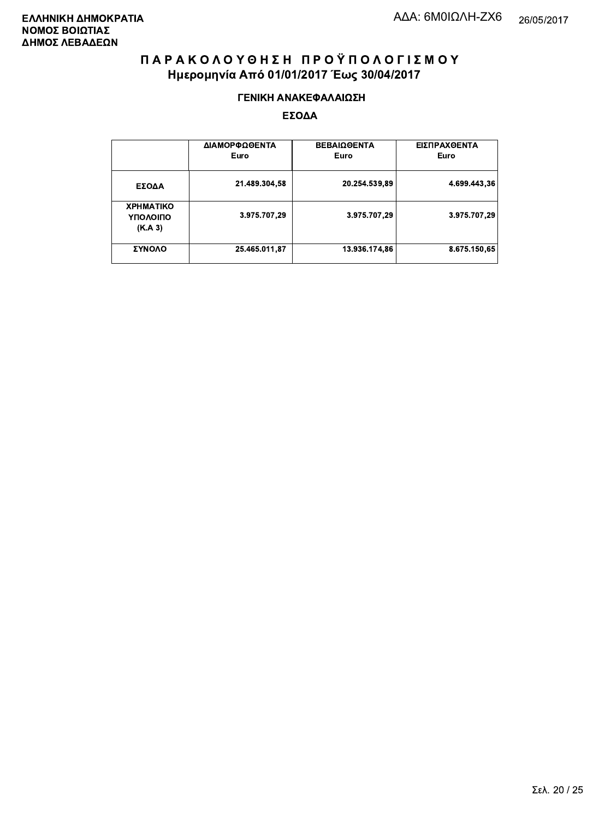#### ΓΕΝΙΚΗ ΑΝΑΚΕΦΑΛΑΙΩΣΗ

|                                         | ΔΙΑΜΟΡΦΩΘΕΝΤΑ<br>Euro | <b>ΒΕΒΑΙΩΘΕΝΤΑ</b><br>Euro | ΕΙΣΠΡΑΧΘΕΝΤΑ<br>Euro |
|-----------------------------------------|-----------------------|----------------------------|----------------------|
| ΕΣΟΔΑ                                   | 21.489.304,58         | 20.254.539,89              | 4.699.443,36         |
| <b>XPHMATIKO</b><br>ΥΠΟΛΟΙΠΟ<br>(K.A.3) | 3.975.707,29          | 3.975.707,29               | 3.975.707,29         |
| ΣΥΝΟΛΟ                                  | 25.465.011.87         | 13.936.174,86              | 8.675.150.65         |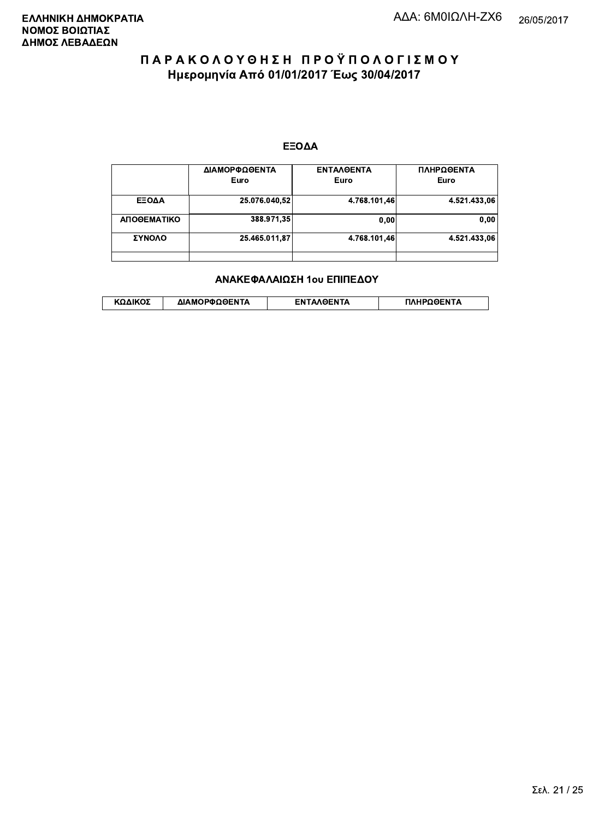#### ΕΞΟΔΑ

|             | ΔΙΑΜΟΡΦΩΘΕΝΤΑ<br>Euro | <b>ENTAAGENTA</b><br>Euro | ΠΛΗΡΩΘΕΝΤΑ<br>Euro |
|-------------|-----------------------|---------------------------|--------------------|
| ΕΞΟΔΑ       | 25.076.040,52         | 4.768.101,46              | 4.521.433.06       |
| ΑΠΟΘΕΜΑΤΙΚΟ | 388.971,35            | 0.00                      | 0.00               |
| ΣΥΝΟΛΟ      | 25.465.011,87         | 4.768.101.46              | 4.521.433.06       |
|             |                       |                           |                    |

#### ΑΝΑΚΕΦΑΛΑΙΩΣΗ 1ου ΕΠΙΠΕΔΟΥ

|  | λΔΙΚΟΣ | ΔΙΑΜΟΡΦΩΘΕΝΤΑ | <b>OENTA</b><br>FΝ | ΠΛΗΡΩΘΕΝΤΑ |
|--|--------|---------------|--------------------|------------|
|--|--------|---------------|--------------------|------------|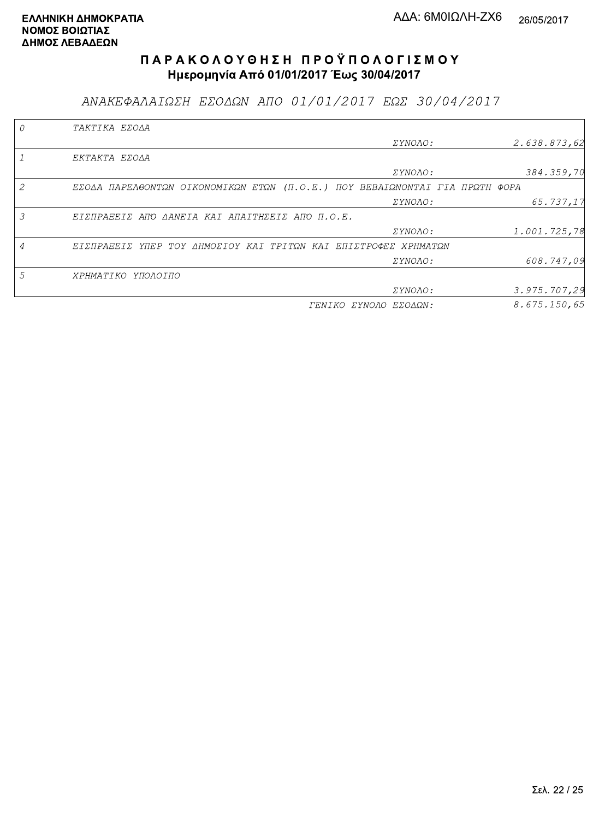ΑΝΑΚΕΦΑΛΑΙΩΣΗ ΕΣΟΔΩΝ ΑΠΟ 01/01/2017 ΕΩΣ 30/04/2017

|                | TAKTIKA EZOAA                                                               |                       |              |
|----------------|-----------------------------------------------------------------------------|-----------------------|--------------|
|                |                                                                             | <i>EYNOAO:</i>        | 2.638.873,62 |
|                | EKTAKTA EZOAA                                                               |                       |              |
|                |                                                                             | <i>EYNOAO:</i>        | 384.359,70   |
| 2              | EZOAA ΠΑΡΕΛΘΟΝΤΩΝ ΟΙΚΟΝΟΜΙΚΩΝ ΕΤΩΝ (Π.Ο.Ε.) ΠΟΥ ΒΕΒΑΙΩΝΟΝΤΑΙ ΓΙΑ ΠΡΩΤΗ ΦΟΡΑ |                       |              |
|                |                                                                             | <i>EYNOAO:</i>        | 65.737,17    |
| 3              | EIZNPASEIZ ANO AANEIA KAI ANAITHZEIZ ANO N.O.E.                             |                       |              |
|                |                                                                             | ΣΥΝΟΛΟ:               | 1.001.725,78 |
| $\overline{A}$ | ΕΙΣΠΡΑΞΕΙΣ ΥΠΕΡ ΤΟΥ ΔΗΜΟΣΙΟΥ ΚΑΙ ΤΡΙΤΩΝ ΚΑΙ ΕΠΙΣΤΡΟΦΕΣ ΧΡΗΜΑΤΩΝ             |                       |              |
|                |                                                                             | <i>EYNOAO:</i>        | 608.747,09   |
| 5              | ΧΡΗΜΑΤΙΚΟ ΥΠΟΛΟΙΠΟ                                                          |                       |              |
|                |                                                                             | ΣΥΝΟΛΟ:               | 3.975.707,29 |
|                |                                                                             | ΓΕΝΙΚΟ ΣΥΝΟΛΟ ΕΣΟΔΩΝ: | 8.675.150.65 |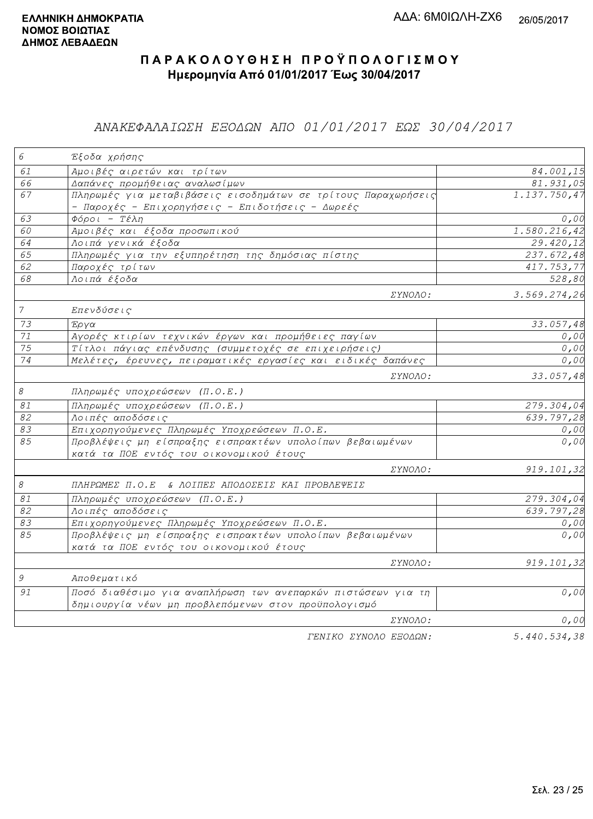### ΑΝΑΚΕΦΑΛΑΙΩΣΗ ΕΞΟΔΩΝ ΑΠΟ 01/01/2017 ΕΩΣ 30/04/2017

| $\epsilon$                | Έξοδα χρήσης                                                                                                      |                          |
|---------------------------|-------------------------------------------------------------------------------------------------------------------|--------------------------|
| 61                        | Αμοιβές αιρετών και τρίτων                                                                                        | 84.001,15                |
| 66                        | Δαπάνες προμήθειας αναλωσίμων                                                                                     | 81.931,05                |
| 67                        | Πληρωμές για μεταβιβάσεις εισοδημάτων σε τρίτους Παραχωρήσεις<br>- Παροχές - Επιχορηγήσεις - Επιδοτήσεις - Δωρεές | 1.137.750,47             |
| 63                        | $Φ$ όροι - Τέλη                                                                                                   | 0,00                     |
| 60                        | Αμοιβές και έξοδα προσωπικού                                                                                      | 1.580.216,42             |
| 64                        | Λοιπά γενικά έξοδα                                                                                                | 29.420,12                |
| 65                        | Πληρωμές για την εξυπηρέτηση της δημόσιας πίστης                                                                  | 237.672,48               |
| 62                        | Παροχές τρίτων                                                                                                    | 417.753,77               |
| 68                        | Λοιπά έξοδα                                                                                                       | 528,80                   |
|                           | ΣΥΝΟΛΟ:                                                                                                           | 3.569.274,26             |
| $\overline{7}$            | Επενδύσεις                                                                                                        |                          |
| 73                        | Έργα                                                                                                              | 33.057,48                |
| $71\,$                    | Αγορές κτιρίων τεχνικών έργων και προμήθειες παγίων                                                               | 0,00                     |
| $\overline{75}$           | Τίτλοι πάγιας επένδυσης (συμμετοχές σε επιχειρήσεις)                                                              | 0,00                     |
| 74                        | Μελέτες, έρευνες, πειραματικές εργασίες και ειδικές δαπάνες                                                       | 0,00                     |
|                           | <i>EYNOAO:</i>                                                                                                    | 33.057,48                |
| $\mathcal S$              | Πληρωμές υποχρεώσεων (Π.Ο.Ε.)                                                                                     |                          |
| $\mathcal{S} \mathcal{I}$ | Πληρωμές υποχρεώσεων (Π.Ο.Ε.)                                                                                     | $\overline{279.304}$ ,04 |
| 82                        | Λοιπές αποδόσεις                                                                                                  | $\overline{639.797,28}$  |
| 83                        | Επιχορηγούμενες Πληρωμές Υποχρεώσεων Π.Ο.Ε.                                                                       | 0,00                     |
| 85                        | Προβλέψεις μη είσπραξης εισπρακτέων υπολοίπων βεβαιωμένων<br>κατά τα ΠΟΕ εντός του οικονομικού έτους              | 0,00                     |
|                           | ΣΥΝΟΛΟ:                                                                                                           | 919.101,32               |
| $\mathcal S$              | ΠΛΗΡΩΜΕΣ Π.Ο.Ε & ΛΟΙΠΕΣ ΑΠΟΔΟΣΕΙΣ ΚΑΙ ΠΡΟΒΛΕΨΕΙΣ                                                                  |                          |
| $\mathcal{S}1$            | Πληρωμές υποχρεώσεων (Π.Ο.Ε.)                                                                                     | 279.304,04               |
| 82                        | Λοιπές αποδόσεις                                                                                                  | $\overline{639.797,28}$  |
| 83                        | Επιχορηγούμενες Πληρωμές Υποχρεώσεων Π.Ο.Ε.                                                                       | 0,00                     |
| 85                        | Προβλέψεις μη είσπραξης εισπρακτέων υπολοίπων βεβαιωμένων<br>κατά τα ΠΟΕ εντός του οικονομικού έτους              | 0,00                     |
|                           | ΣΥΝΟΛΟ:                                                                                                           | 919.101,32               |
| 9                         | Αποθεματικό                                                                                                       |                          |
| 91                        | Ποσό διαθέσιμο για αναπλήρωση των ανεπαρκών πιστώσεων για τη                                                      | 0,00                     |
|                           | δημιουργία νέων μη προβλεπόμενων στον προϋπολογισμό                                                               |                          |
|                           | ΣΥΝΟΛΟ:                                                                                                           | 0,00                     |
|                           | FENIKO XYNOAO EFOAQN:                                                                                             | 5.440.534.38             |